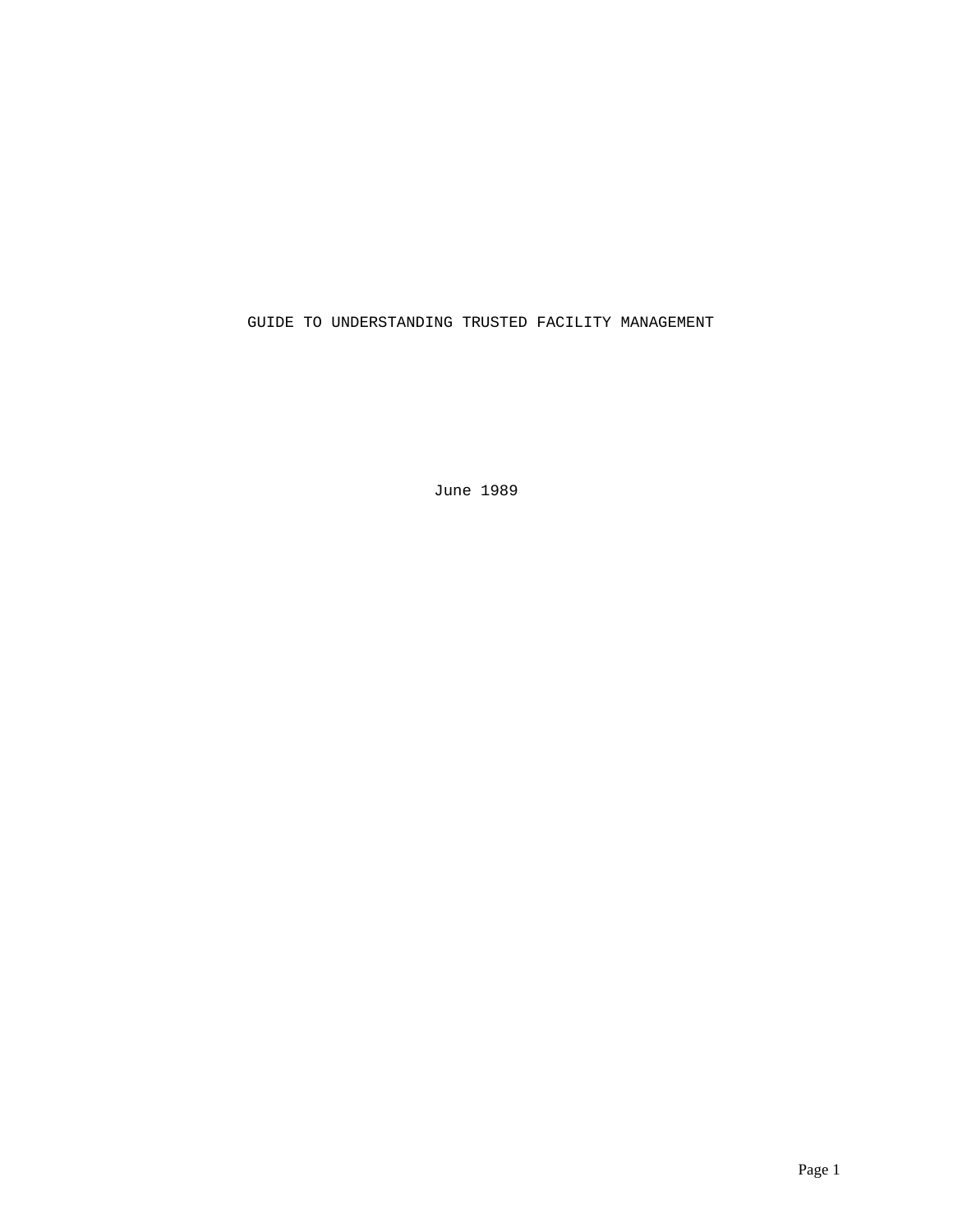GUIDE TO UNDERSTANDING TRUSTED FACILITY MANAGEMENT

June 1989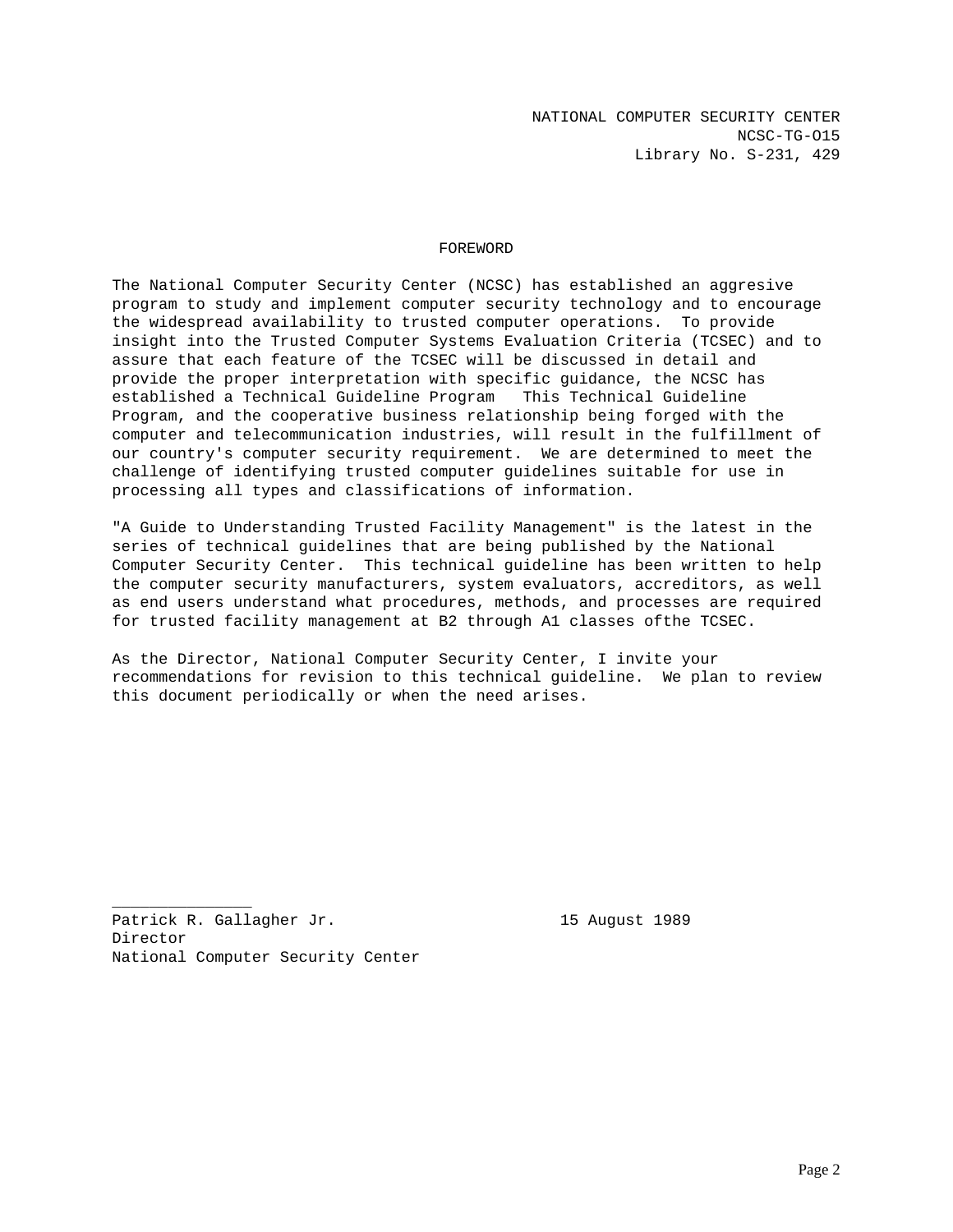# FOREWORD

The National Computer Security Center (NCSC) has established an aggresive program to study and implement computer security technology and to encourage the widespread availability to trusted computer operations. To provide insight into the Trusted Computer Systems Evaluation Criteria (TCSEC) and to assure that each feature of the TCSEC will be discussed in detail and provide the proper interpretation with specific guidance, the NCSC has established a Technical Guideline Program This Technical Guideline Program, and the cooperative business relationship being forged with the computer and telecommunication industries, will result in the fulfillment of our country's computer security requirement. We are determined to meet the challenge of identifying trusted computer guidelines suitable for use in processing all types and classifications of information.

"A Guide to Understanding Trusted Facility Management" is the latest in the series of technical guidelines that are being published by the National Computer Security Center. This technical guideline has been written to help the computer security manufacturers, system evaluators, accreditors, as well as end users understand what procedures, methods, and processes are required for trusted facility management at B2 through A1 classes ofthe TCSEC.

As the Director, National Computer Security Center, I invite your recommendations for revision to this technical guideline. We plan to review this document periodically or when the need arises.

Patrick R. Gallagher Jr. 15 August 1989 Director National Computer Security Center

\_\_\_\_\_\_\_\_\_\_\_\_\_\_\_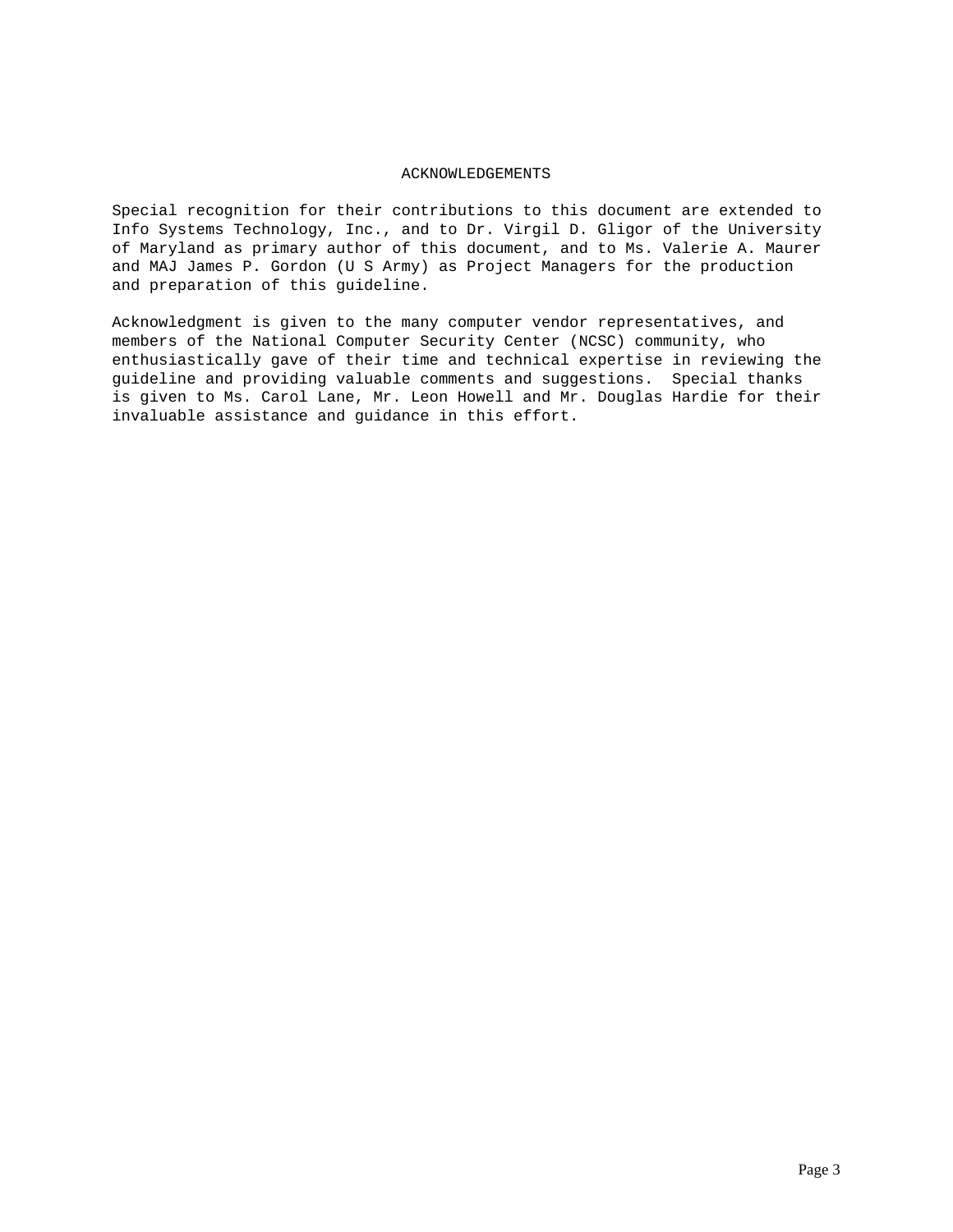# ACKNOWLEDGEMENTS

Special recognition for their contributions to this document are extended to Info Systems Technology, Inc., and to Dr. Virgil D. Gligor of the University of Maryland as primary author of this document, and to Ms. Valerie A. Maurer and MAJ James P. Gordon (U S Army) as Project Managers for the production and preparation of this guideline.

Acknowledgment is given to the many computer vendor representatives, and members of the National Computer Security Center (NCSC) community, who enthusiastically gave of their time and technical expertise in reviewing the guideline and providing valuable comments and suggestions. Special thanks is given to Ms. Carol Lane, Mr. Leon Howell and Mr. Douglas Hardie for their invaluable assistance and guidance in this effort.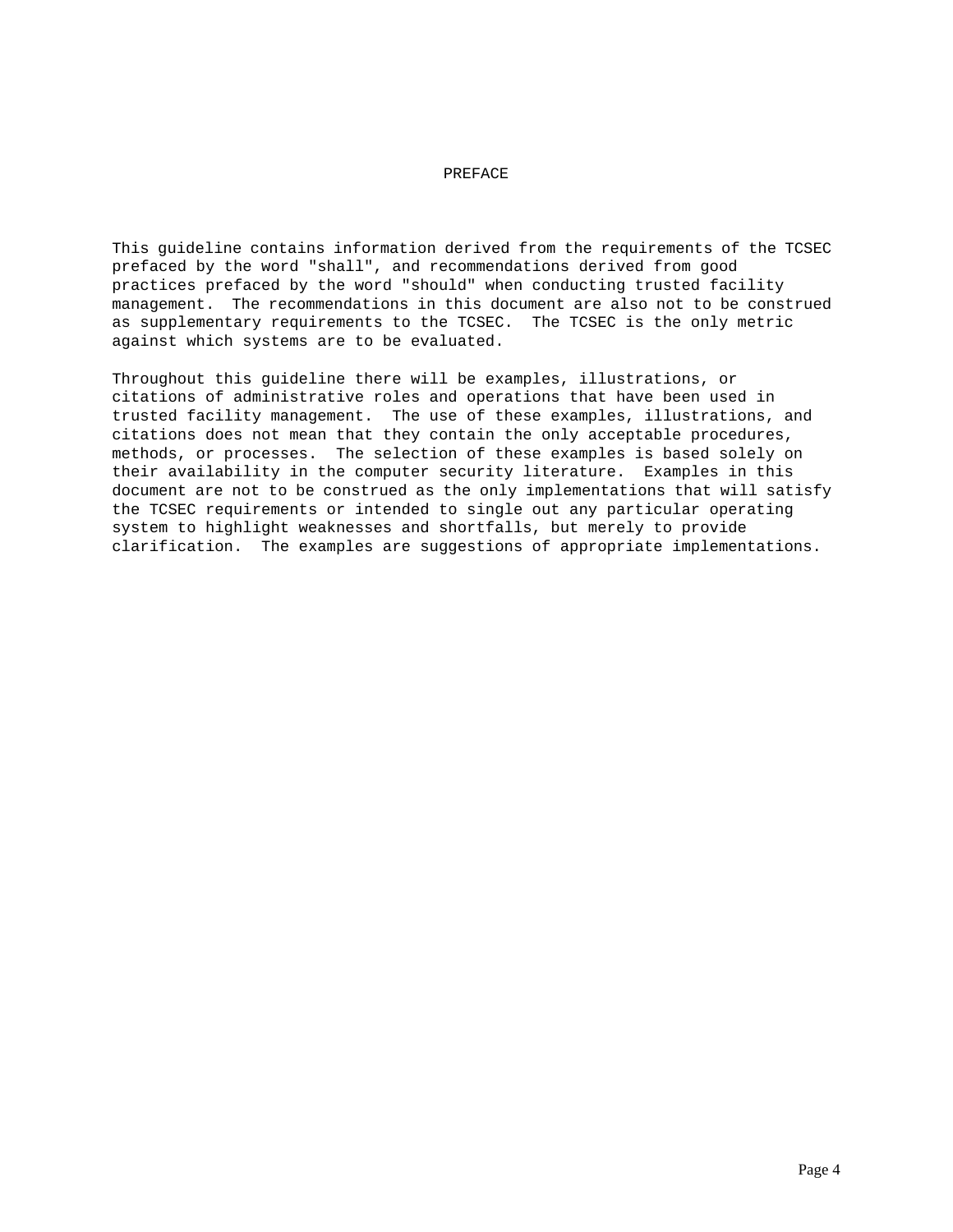# PREFACE

This guideline contains information derived from the requirements of the TCSEC prefaced by the word "shall", and recommendations derived from good practices prefaced by the word "should" when conducting trusted facility management. The recommendations in this document are also not to be construed as supplementary requirements to the TCSEC. The TCSEC is the only metric against which systems are to be evaluated.

Throughout this guideline there will be examples, illustrations, or citations of administrative roles and operations that have been used in trusted facility management. The use of these examples, illustrations, and citations does not mean that they contain the only acceptable procedures, methods, or processes. The selection of these examples is based solely on their availability in the computer security literature. Examples in this document are not to be construed as the only implementations that will satisfy the TCSEC requirements or intended to single out any particular operating system to highlight weaknesses and shortfalls, but merely to provide clarification. The examples are suggestions of appropriate implementations.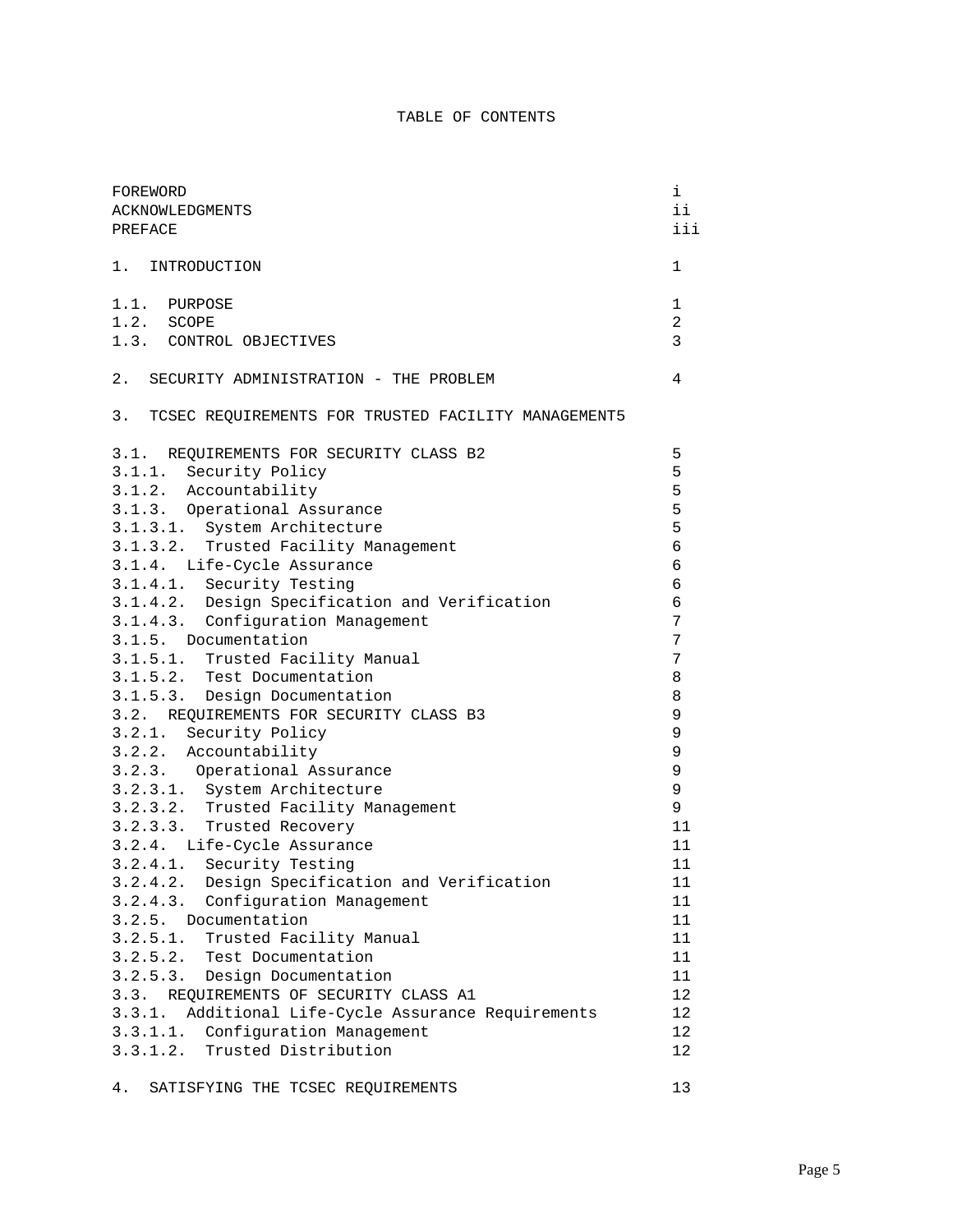# TABLE OF CONTENTS

| FOREWORD<br>ACKNOWLEDGMENTS<br>PREFACE                 |        |  |  |
|--------------------------------------------------------|--------|--|--|
| 1. INTRODUCTION                                        | 1      |  |  |
| 1.1. PURPOSE                                           | 1      |  |  |
| 1.2. SCOPE                                             |        |  |  |
| 1.3. CONTROL OBJECTIVES                                | 3      |  |  |
| 2. SECURITY ADMINISTRATION - THE PROBLEM               | 4      |  |  |
| 3. TCSEC REQUIREMENTS FOR TRUSTED FACILITY MANAGEMENT5 |        |  |  |
| 3.1. REQUIREMENTS FOR SECURITY CLASS B2                | 5      |  |  |
| 3.1.1. Security Policy                                 | 5      |  |  |
| 3.1.2. Accountability                                  | 5      |  |  |
| 3.1.3. Operational Assurance                           | 5      |  |  |
| 3.1.3.1. System Architecture                           | 5      |  |  |
| 3.1.3.2. Trusted Facility Management                   | 6      |  |  |
| 3.1.4. Life-Cycle Assurance                            | 6      |  |  |
| 3.1.4.1. Security Testing                              | 6      |  |  |
| 3.1.4.2. Design Specification and Verification         | 6      |  |  |
| 3.1.4.3. Configuration Management                      | 7      |  |  |
| 3.1.5. Documentation                                   | 7      |  |  |
| 3.1.5.1. Trusted Facility Manual                       | 7      |  |  |
| 3.1.5.2. Test Documentation                            | 8      |  |  |
| 3.1.5.3. Design Documentation                          | 8      |  |  |
| 3.2. REQUIREMENTS FOR SECURITY CLASS B3                | 9      |  |  |
| 3.2.1. Security Policy                                 | 9      |  |  |
| 3.2.2. Accountability                                  | 9      |  |  |
| 3.2.3. Operational Assurance                           | 9      |  |  |
| 3.2.3.1. System Architecture                           | 9      |  |  |
| 3.2.3.2. Trusted Facility Management                   | 9      |  |  |
| 3.2.3.3. Trusted Recovery                              | 11     |  |  |
| 3.2.4. Life-Cycle Assurance                            | 11     |  |  |
| 3.2.4.1. Security Testing                              | 11     |  |  |
| 3.2.4.2. Design Specification and Verification         | $11\,$ |  |  |
| Configuration Management<br>3.2.4.3.                   | 11     |  |  |
| 3.2.5.<br>Documentation                                | 11     |  |  |
| 3.2.5.1.<br>Trusted Facility Manual                    | 11     |  |  |
| 3.2.5.2.<br>Test Documentation                         | 11     |  |  |
| 3.2.5.3.<br>Design Documentation                       | 11     |  |  |
| REQUIREMENTS OF SECURITY CLASS A1<br>3.3.              | 12     |  |  |
| Additional Life-Cycle Assurance Requirements<br>3.3.1. | 12     |  |  |
| Configuration Management<br>3.3.1.1.                   | 12     |  |  |
| Trusted Distribution<br>3.3.1.2.                       | 12     |  |  |
| 4.<br>SATISFYING THE TCSEC REQUIREMENTS                | 13     |  |  |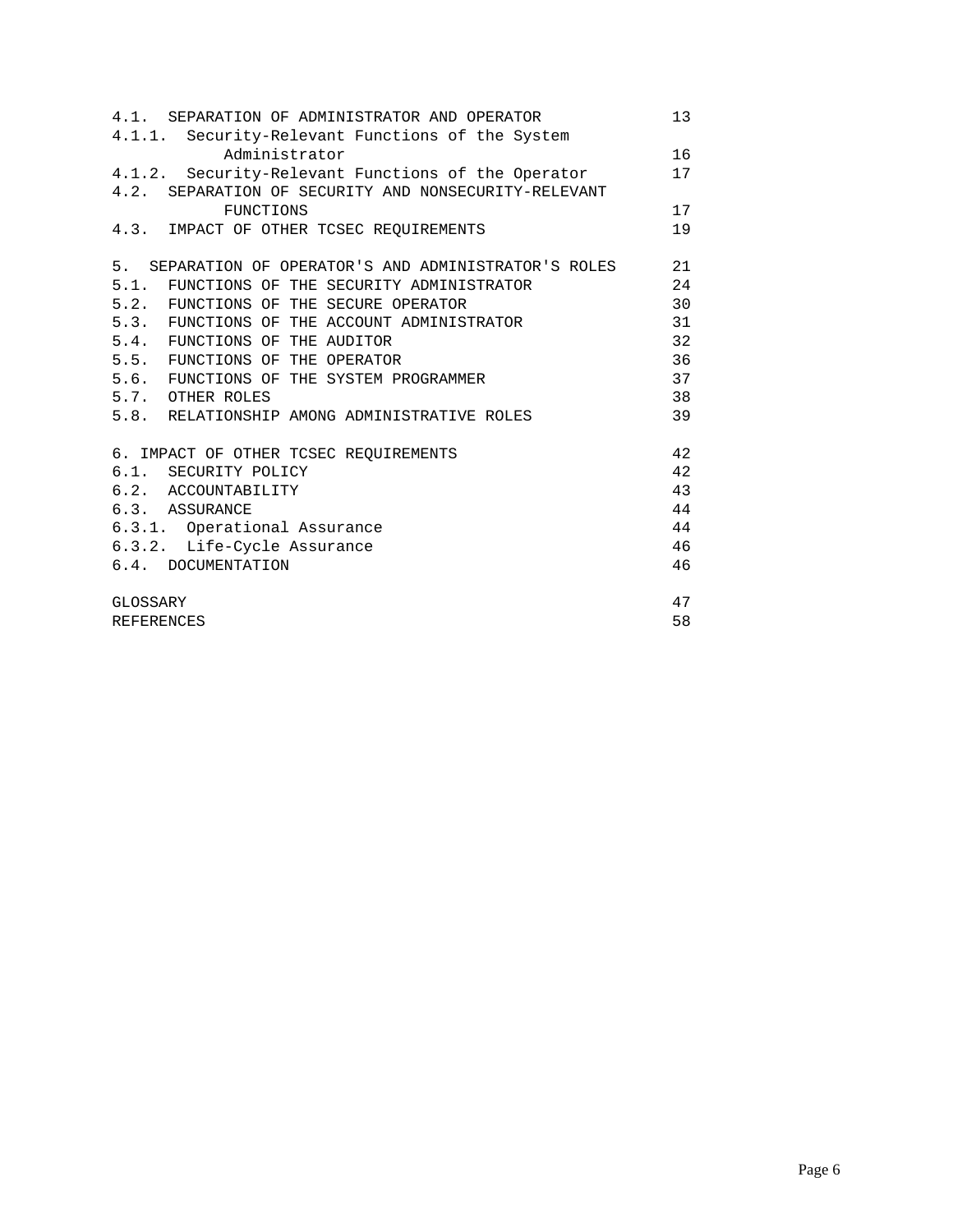| 4.1. SEPARATION OF ADMINISTRATOR AND OPERATOR         | 13 |  |  |
|-------------------------------------------------------|----|--|--|
| 4.1.1. Security-Relevant Functions of the System      |    |  |  |
| Administrator                                         | 16 |  |  |
| 4.1.2. Security-Relevant Functions of the Operator    | 17 |  |  |
| 4.2. SEPARATION OF SECURITY AND NONSECURITY-RELEVANT  |    |  |  |
| FUNCTIONS                                             | 17 |  |  |
| 4.3. IMPACT OF OTHER TCSEC REQUIREMENTS               | 19 |  |  |
| 5. SEPARATION OF OPERATOR'S AND ADMINISTRATOR'S ROLES | 21 |  |  |
| 5.1. FUNCTIONS OF THE SECURITY ADMINISTRATOR          | 24 |  |  |
| 5.2. FUNCTIONS OF THE SECURE OPERATOR                 | 30 |  |  |
| 5.3. FUNCTIONS OF THE ACCOUNT ADMINISTRATOR           | 31 |  |  |
| 5.4. FUNCTIONS OF THE AUDITOR                         | 32 |  |  |
| 5.5. FUNCTIONS OF THE OPERATOR                        | 36 |  |  |
| 5.6. FUNCTIONS OF THE SYSTEM PROGRAMMER               | 37 |  |  |
| 5.7. OTHER ROLES                                      | 38 |  |  |
| 5.8. RELATIONSHIP AMONG ADMINISTRATIVE ROLES          | 39 |  |  |
| 6. IMPACT OF OTHER TCSEC REOUIREMENTS                 | 42 |  |  |
| 6.1. SECURITY POLICY                                  |    |  |  |
| 6.2. ACCOUNTABILITY                                   |    |  |  |
| 6.3. ASSURANCE                                        | 44 |  |  |
| 6.3.1. Operational Assurance                          | 44 |  |  |
| 6.3.2. Life-Cycle Assurance                           |    |  |  |
| 6.4. DOCUMENTATION                                    | 46 |  |  |
| GLOSSARY                                              | 47 |  |  |
| <b>REFERENCES</b>                                     |    |  |  |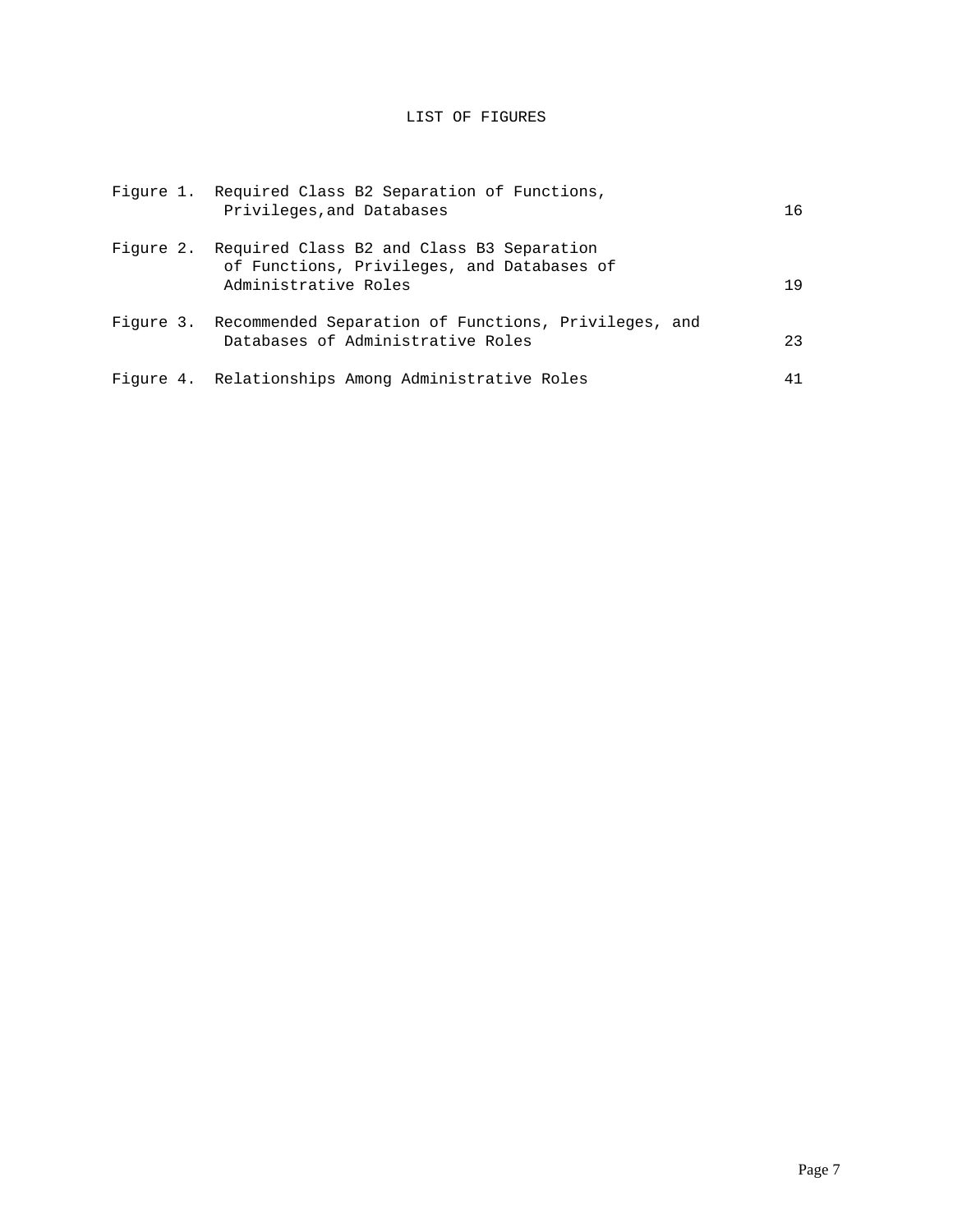# LIST OF FIGURES

|  | Figure 1. Required Class B2 Separation of Functions,<br>Privileges, and Databases                                         | 16 |
|--|---------------------------------------------------------------------------------------------------------------------------|----|
|  | Figure 2. Required Class B2 and Class B3 Separation<br>of Functions, Privileges, and Databases of<br>Administrative Roles | 19 |
|  | Figure 3. Recommended Separation of Functions, Privileges, and<br>Databases of Administrative Roles                       | 23 |
|  | Figure 4. Relationships Among Administrative Roles                                                                        | 41 |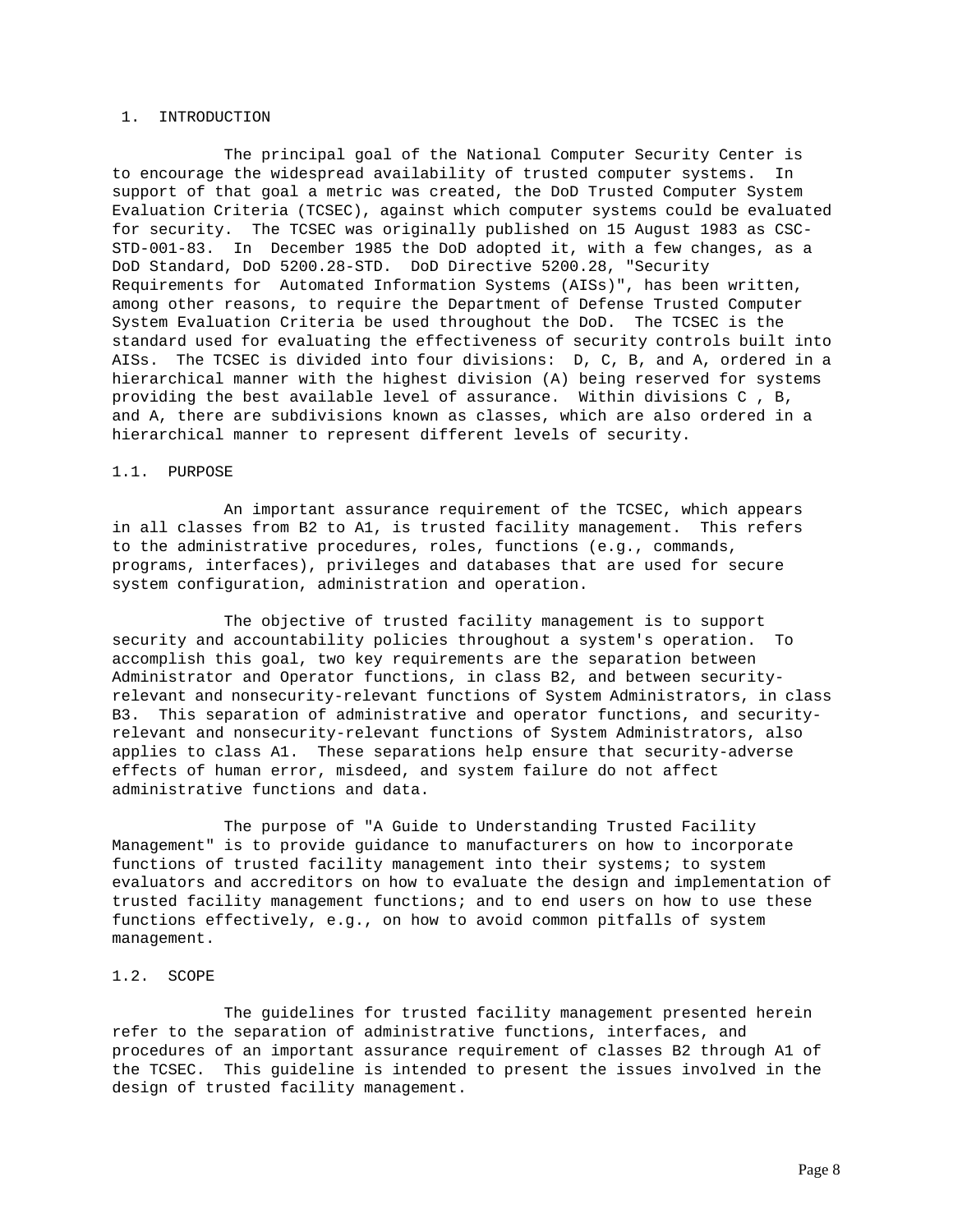### 1. INTRODUCTION

The principal goal of the National Computer Security Center is to encourage the widespread availability of trusted computer systems. In support of that goal a metric was created, the DoD Trusted Computer System Evaluation Criteria (TCSEC), against which computer systems could be evaluated for security. The TCSEC was originally published on 15 August 1983 as CSC-STD-001-83. In December 1985 the DoD adopted it, with a few changes, as a DoD Standard, DoD 5200.28-STD. DoD Directive 5200.28, "Security Requirements for Automated Information Systems (AISs)", has been written, among other reasons, to require the Department of Defense Trusted Computer System Evaluation Criteria be used throughout the DoD. The TCSEC is the standard used for evaluating the effectiveness of security controls built into AISs. The TCSEC is divided into four divisions: D, C, B, and A, ordered in a hierarchical manner with the highest division (A) being reserved for systems providing the best available level of assurance. Within divisions C , B, and A, there are subdivisions known as classes, which are also ordered in a hierarchical manner to represent different levels of security.

## 1.1. PURPOSE

An important assurance requirement of the TCSEC, which appears in all classes from B2 to A1, is trusted facility management. This refers to the administrative procedures, roles, functions (e.g., commands, programs, interfaces), privileges and databases that are used for secure system configuration, administration and operation.

The objective of trusted facility management is to support security and accountability policies throughout a system's operation. To accomplish this goal, two key requirements are the separation between Administrator and Operator functions, in class B2, and between securityrelevant and nonsecurity-relevant functions of System Administrators, in class B3. This separation of administrative and operator functions, and securityrelevant and nonsecurity-relevant functions of System Administrators, also applies to class A1. These separations help ensure that security-adverse effects of human error, misdeed, and system failure do not affect administrative functions and data.

The purpose of "A Guide to Understanding Trusted Facility Management" is to provide guidance to manufacturers on how to incorporate functions of trusted facility management into their systems; to system evaluators and accreditors on how to evaluate the design and implementation of trusted facility management functions; and to end users on how to use these functions effectively, e.g., on how to avoid common pitfalls of system management.

# 1.2. SCOPE

The guidelines for trusted facility management presented herein refer to the separation of administrative functions, interfaces, and procedures of an important assurance requirement of classes B2 through A1 of the TCSEC. This guideline is intended to present the issues involved in the design of trusted facility management.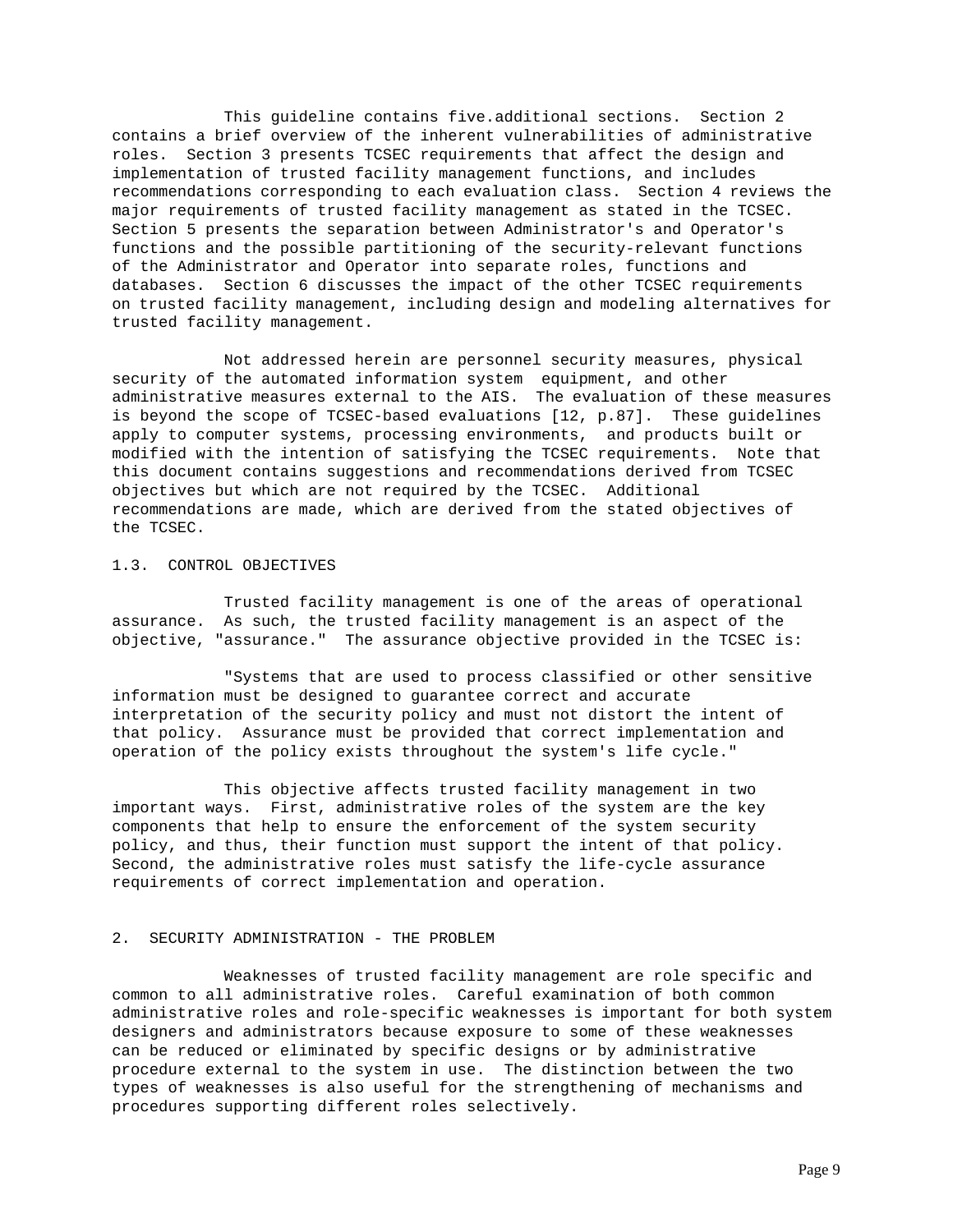This guideline contains five.additional sections. Section 2 contains a brief overview of the inherent vulnerabilities of administrative roles. Section 3 presents TCSEC requirements that affect the design and implementation of trusted facility management functions, and includes recommendations corresponding to each evaluation class. Section 4 reviews the major requirements of trusted facility management as stated in the TCSEC. Section 5 presents the separation between Administrator's and Operator's functions and the possible partitioning of the security-relevant functions of the Administrator and Operator into separate roles, functions and databases. Section 6 discusses the impact of the other TCSEC requirements on trusted facility management, including design and modeling alternatives for trusted facility management.

Not addressed herein are personnel security measures, physical security of the automated information system equipment, and other administrative measures external to the AIS. The evaluation of these measures is beyond the scope of TCSEC-based evaluations [12, p.87]. These guidelines apply to computer systems, processing environments, and products built or modified with the intention of satisfying the TCSEC requirements. Note that this document contains suggestions and recommendations derived from TCSEC objectives but which are not required by the TCSEC. Additional recommendations are made, which are derived from the stated objectives of the TCSEC.

# 1.3. CONTROL OBJECTIVES

Trusted facility management is one of the areas of operational assurance. As such, the trusted facility management is an aspect of the objective, "assurance." The assurance objective provided in the TCSEC is:

"Systems that are used to process classified or other sensitive information must be designed to guarantee correct and accurate interpretation of the security policy and must not distort the intent of that policy. Assurance must be provided that correct implementation and operation of the policy exists throughout the system's life cycle."

This objective affects trusted facility management in two important ways. First, administrative roles of the system are the key components that help to ensure the enforcement of the system security policy, and thus, their function must support the intent of that policy. Second, the administrative roles must satisfy the life-cycle assurance requirements of correct implementation and operation.

# 2. SECURITY ADMINISTRATION - THE PROBLEM

Weaknesses of trusted facility management are role specific and common to all administrative roles. Careful examination of both common administrative roles and role-specific weaknesses is important for both system designers and administrators because exposure to some of these weaknesses can be reduced or eliminated by specific designs or by administrative procedure external to the system in use. The distinction between the two types of weaknesses is also useful for the strengthening of mechanisms and procedures supporting different roles selectively.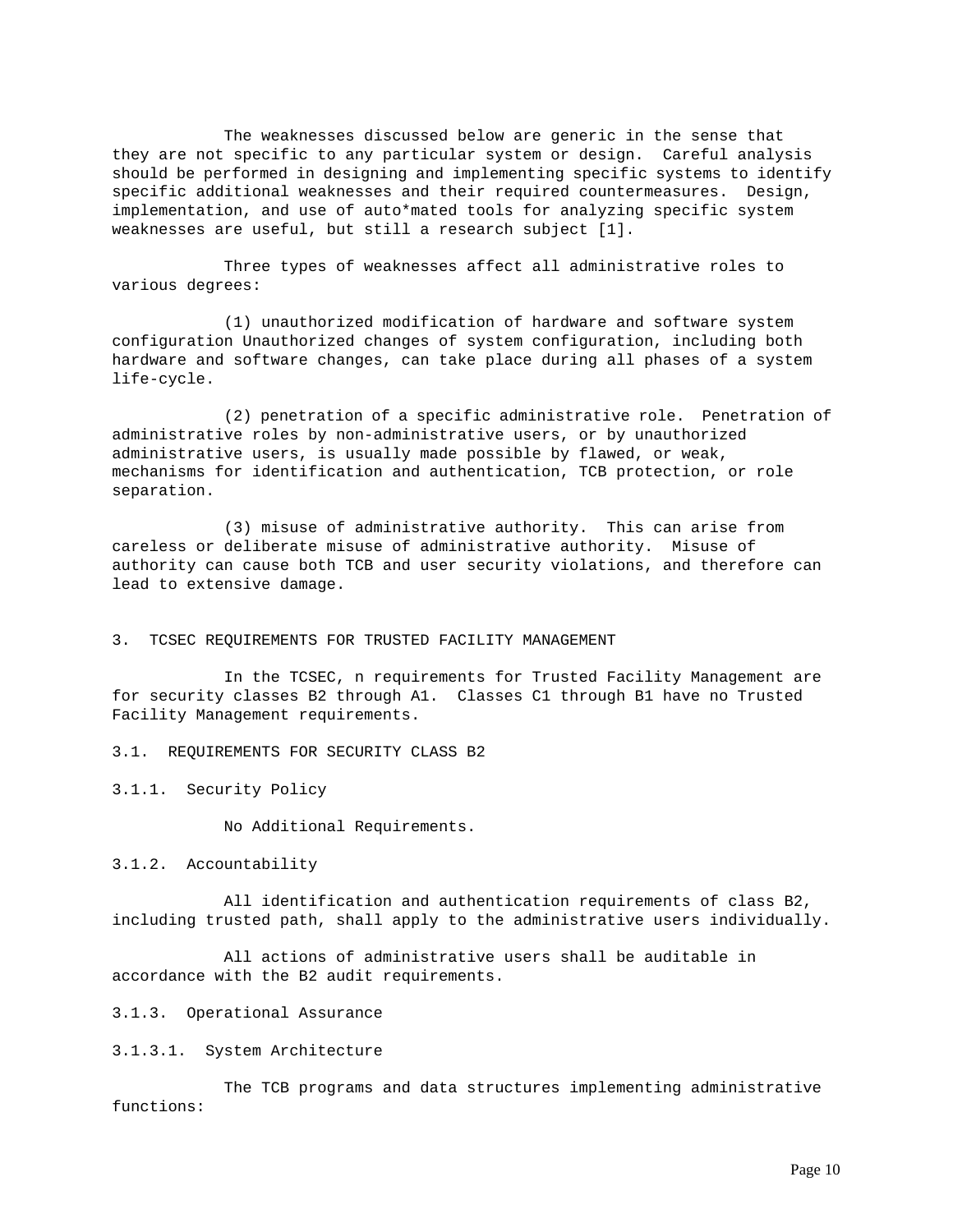The weaknesses discussed below are generic in the sense that they are not specific to any particular system or design. Careful analysis should be performed in designing and implementing specific systems to identify specific additional weaknesses and their required countermeasures. Design, implementation, and use of auto\*mated tools for analyzing specific system weaknesses are useful, but still a research subject [1].

Three types of weaknesses affect all administrative roles to various degrees:

(1) unauthorized modification of hardware and software system configuration Unauthorized changes of system configuration, including both hardware and software changes, can take place during all phases of a system life-cycle.

(2) penetration of a specific administrative role. Penetration of administrative roles by non-administrative users, or by unauthorized administrative users, is usually made possible by flawed, or weak, mechanisms for identification and authentication, TCB protection, or role separation.

(3) misuse of administrative authority. This can arise from careless or deliberate misuse of administrative authority. Misuse of authority can cause both TCB and user security violations, and therefore can lead to extensive damage.

3. TCSEC REQUIREMENTS FOR TRUSTED FACILITY MANAGEMENT

In the TCSEC, n requirements for Trusted Facility Management are for security classes B2 through A1. Classes C1 through B1 have no Trusted Facility Management requirements.

3.1. REQUIREMENTS FOR SECURITY CLASS B2

3.1.1. Security Policy

No Additional Requirements.

3.1.2. Accountability

All identification and authentication requirements of class B2, including trusted path, shall apply to the administrative users individually.

All actions of administrative users shall be auditable in accordance with the B2 audit requirements.

3.1.3. Operational Assurance

3.1.3.1. System Architecture

The TCB programs and data structures implementing administrative functions: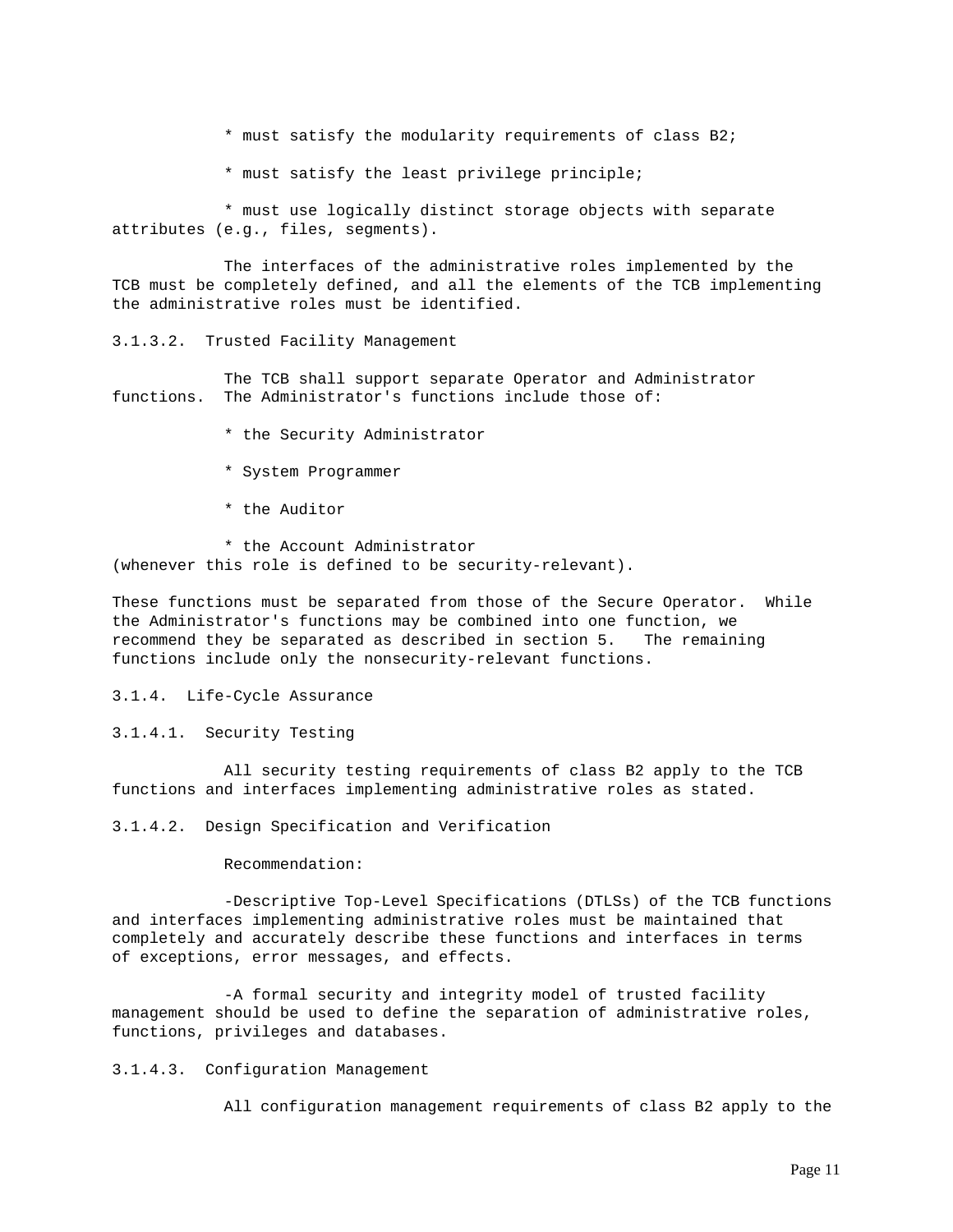- \* must satisfy the modularity requirements of class B2;
- \* must satisfy the least privilege principle;

\* must use logically distinct storage objects with separate attributes (e.g., files, segments).

The interfaces of the administrative roles implemented by the TCB must be completely defined, and all the elements of the TCB implementing the administrative roles must be identified.

3.1.3.2. Trusted Facility Management

The TCB shall support separate Operator and Administrator functions. The Administrator's functions include those of:

- \* the Security Administrator
- \* System Programmer
- \* the Auditor

\* the Account Administrator (whenever this role is defined to be security-relevant).

These functions must be separated from those of the Secure Operator. While the Administrator's functions may be combined into one function, we recommend they be separated as described in section 5. The remaining functions include only the nonsecurity-relevant functions.

3.1.4. Life-Cycle Assurance

3.1.4.1. Security Testing

All security testing requirements of class B2 apply to the TCB functions and interfaces implementing administrative roles as stated.

3.1.4.2. Design Specification and Verification

Recommendation:

-Descriptive Top-Level Specifications (DTLSs) of the TCB functions and interfaces implementing administrative roles must be maintained that completely and accurately describe these functions and interfaces in terms of exceptions, error messages, and effects.

-A formal security and integrity model of trusted facility management should be used to define the separation of administrative roles, functions, privileges and databases.

3.1.4.3. Configuration Management

All configuration management requirements of class B2 apply to the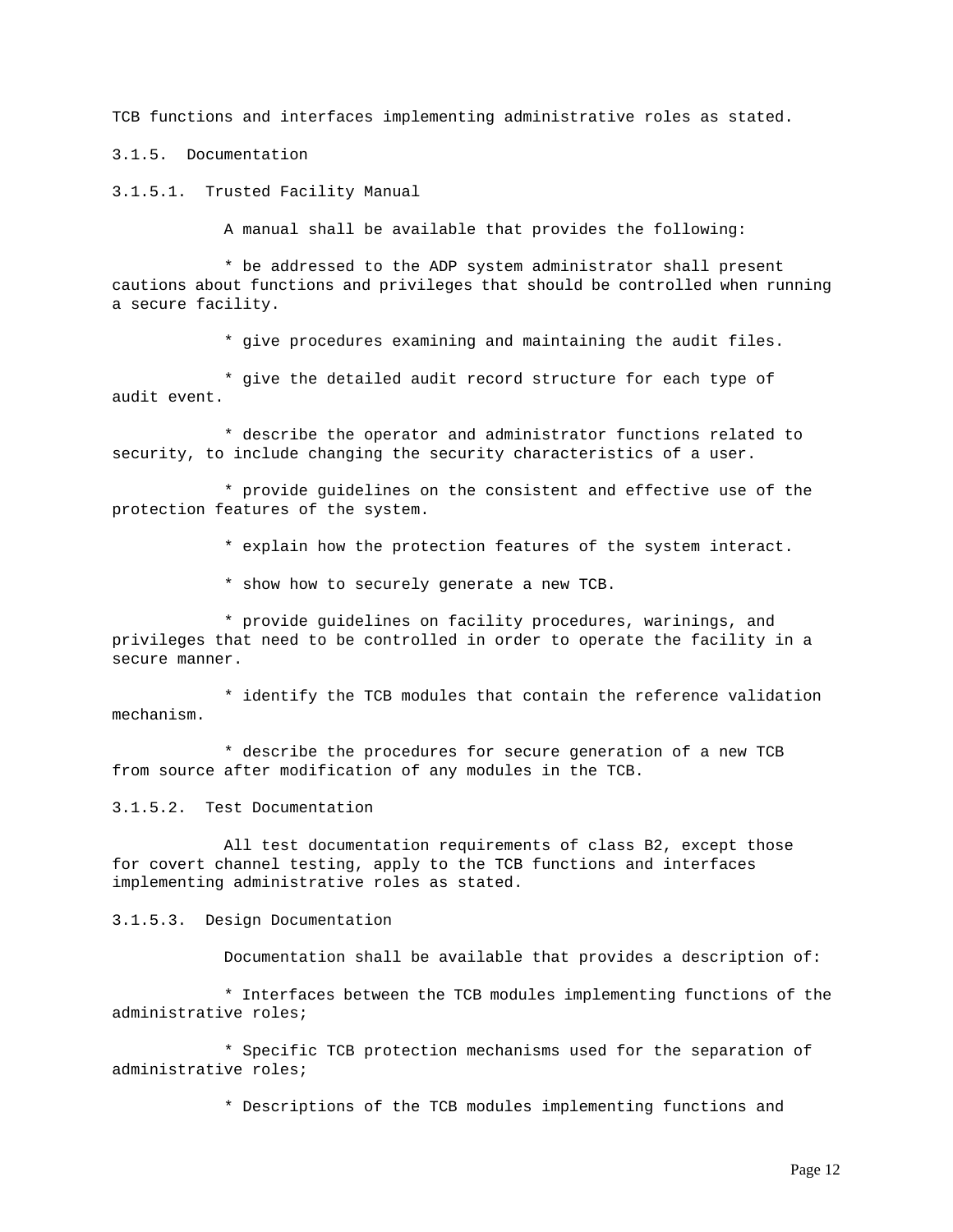TCB functions and interfaces implementing administrative roles as stated.

3.1.5. Documentation

3.1.5.1. Trusted Facility Manual

A manual shall be available that provides the following:

\* be addressed to the ADP system administrator shall present cautions about functions and privileges that should be controlled when running a secure facility.

\* give procedures examining and maintaining the audit files.

\* give the detailed audit record structure for each type of audit event.

\* describe the operator and administrator functions related to security, to include changing the security characteristics of a user.

\* provide guidelines on the consistent and effective use of the protection features of the system.

\* explain how the protection features of the system interact.

\* show how to securely generate a new TCB.

\* provide guidelines on facility procedures, warinings, and privileges that need to be controlled in order to operate the facility in a secure manner.

\* identify the TCB modules that contain the reference validation mechanism.

\* describe the procedures for secure generation of a new TCB from source after modification of any modules in the TCB.

3.1.5.2. Test Documentation

All test documentation requirements of class B2, except those for covert channel testing, apply to the TCB functions and interfaces implementing administrative roles as stated.

3.1.5.3. Design Documentation

Documentation shall be available that provides a description of:

\* Interfaces between the TCB modules implementing functions of the administrative roles;

\* Specific TCB protection mechanisms used for the separation of administrative roles;

\* Descriptions of the TCB modules implementing functions and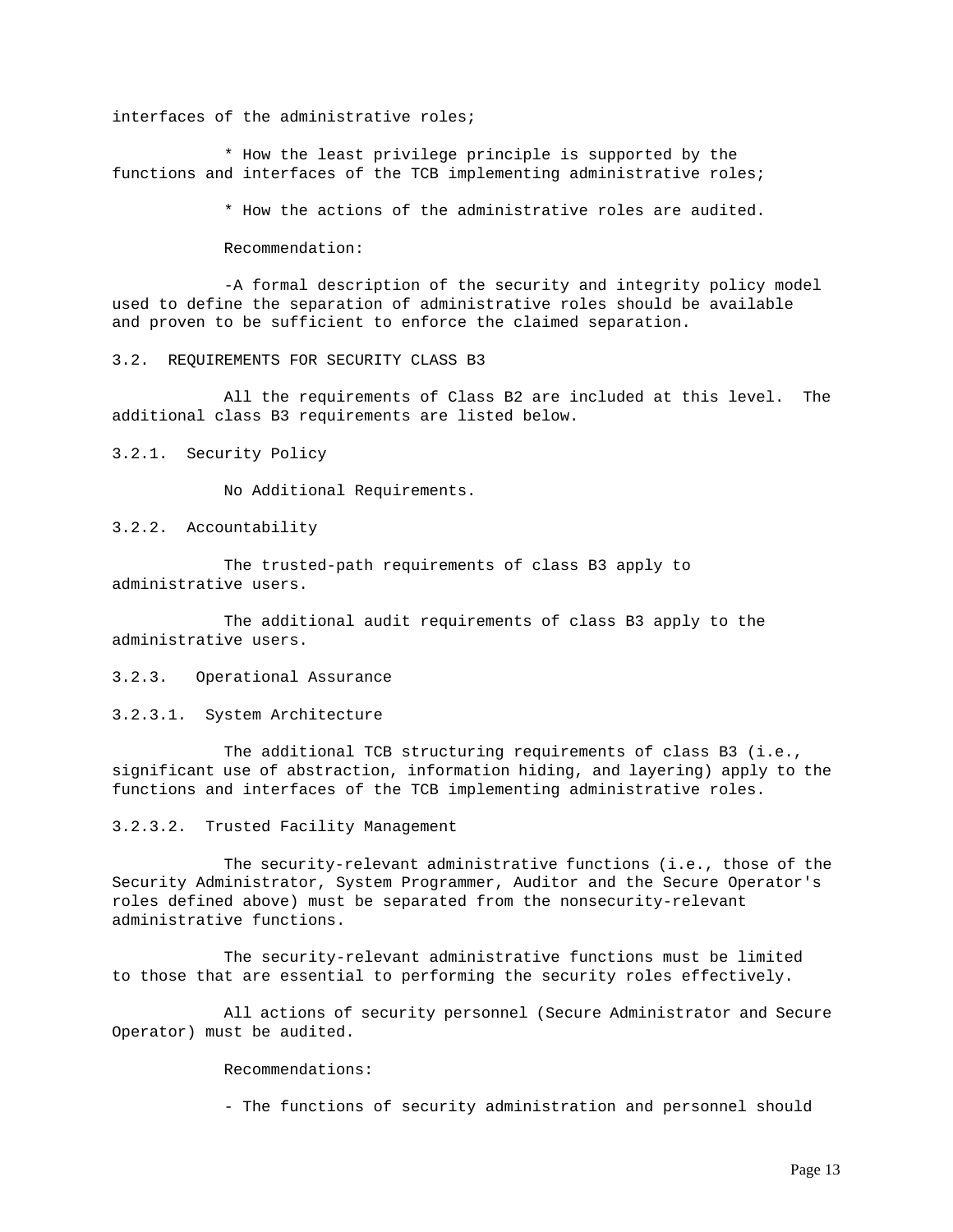interfaces of the administrative roles;

\* How the least privilege principle is supported by the functions and interfaces of the TCB implementing administrative roles;

\* How the actions of the administrative roles are audited.

Recommendation:

-A formal description of the security and integrity policy model used to define the separation of administrative roles should be available and proven to be sufficient to enforce the claimed separation.

3.2. REQUIREMENTS FOR SECURITY CLASS B3

All the requirements of Class B2 are included at this level. The additional class B3 requirements are listed below.

3.2.1. Security Policy

No Additional Requirements.

3.2.2. Accountability

The trusted-path requirements of class B3 apply to administrative users.

The additional audit requirements of class B3 apply to the administrative users.

3.2.3. Operational Assurance

3.2.3.1. System Architecture

The additional TCB structuring requirements of class B3 (i.e., significant use of abstraction, information hiding, and layering) apply to the functions and interfaces of the TCB implementing administrative roles.

3.2.3.2. Trusted Facility Management

The security-relevant administrative functions (i.e., those of the Security Administrator, System Programmer, Auditor and the Secure Operator's roles defined above) must be separated from the nonsecurity-relevant administrative functions.

The security-relevant administrative functions must be limited to those that are essential to performing the security roles effectively.

All actions of security personnel (Secure Administrator and Secure Operator) must be audited.

Recommendations:

- The functions of security administration and personnel should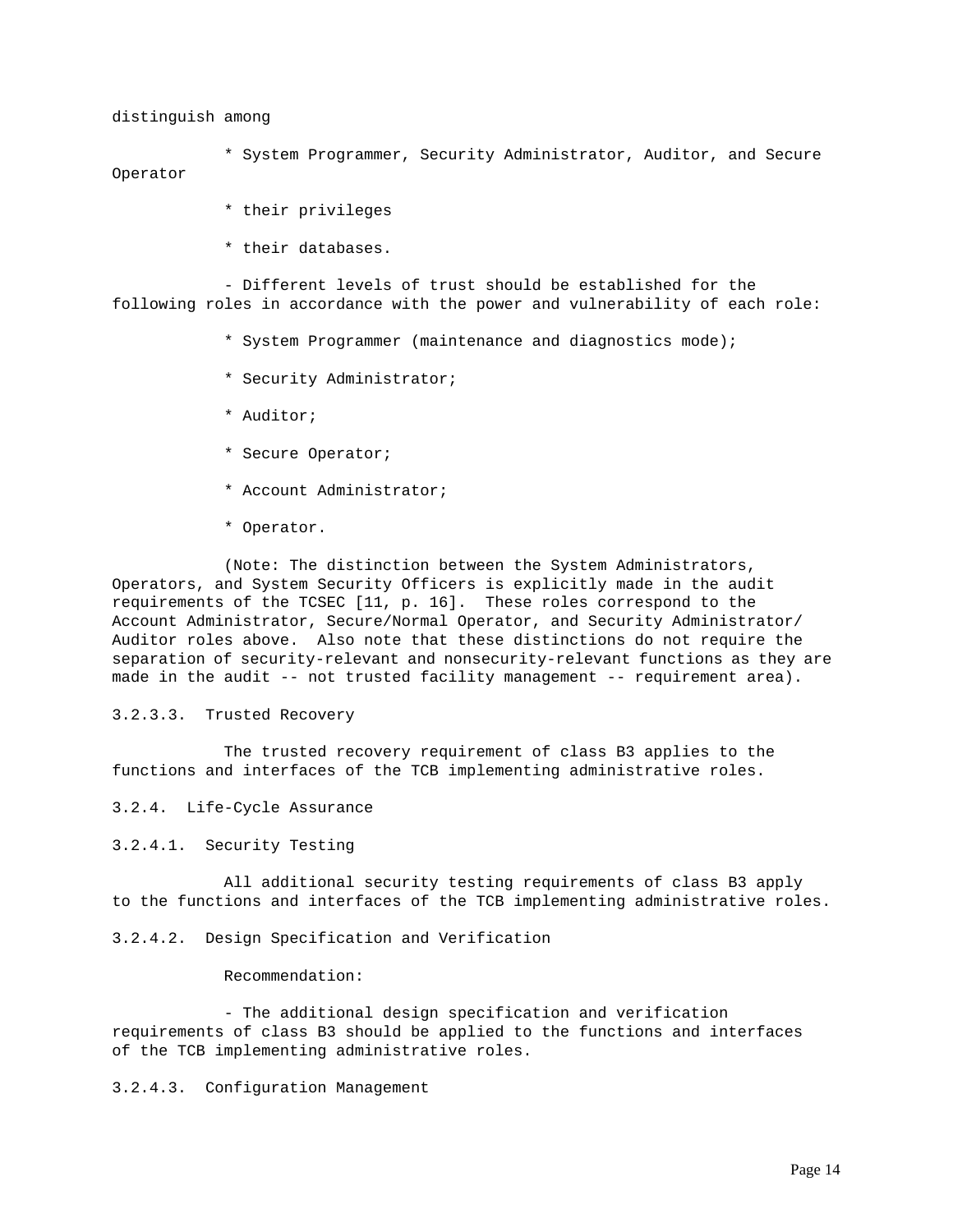distinguish among

\* System Programmer, Security Administrator, Auditor, and Secure Operator

- \* their privileges
- \* their databases.

- Different levels of trust should be established for the following roles in accordance with the power and vulnerability of each role:

- \* System Programmer (maintenance and diagnostics mode);
- \* Security Administrator;
- \* Auditor;
- \* Secure Operator;
- \* Account Administrator;
- \* Operator.

(Note: The distinction between the System Administrators, Operators, and System Security Officers is explicitly made in the audit requirements of the TCSEC [11, p. 16]. These roles correspond to the Account Administrator, Secure/Normal Operator, and Security Administrator/ Auditor roles above. Also note that these distinctions do not require the separation of security-relevant and nonsecurity-relevant functions as they are made in the audit -- not trusted facility management -- requirement area).

# 3.2.3.3. Trusted Recovery

The trusted recovery requirement of class B3 applies to the functions and interfaces of the TCB implementing administrative roles.

3.2.4. Life-Cycle Assurance

3.2.4.1. Security Testing

All additional security testing requirements of class B3 apply to the functions and interfaces of the TCB implementing administrative roles.

3.2.4.2. Design Specification and Verification

## Recommendation:

- The additional design specification and verification requirements of class B3 should be applied to the functions and interfaces of the TCB implementing administrative roles.

3.2.4.3. Configuration Management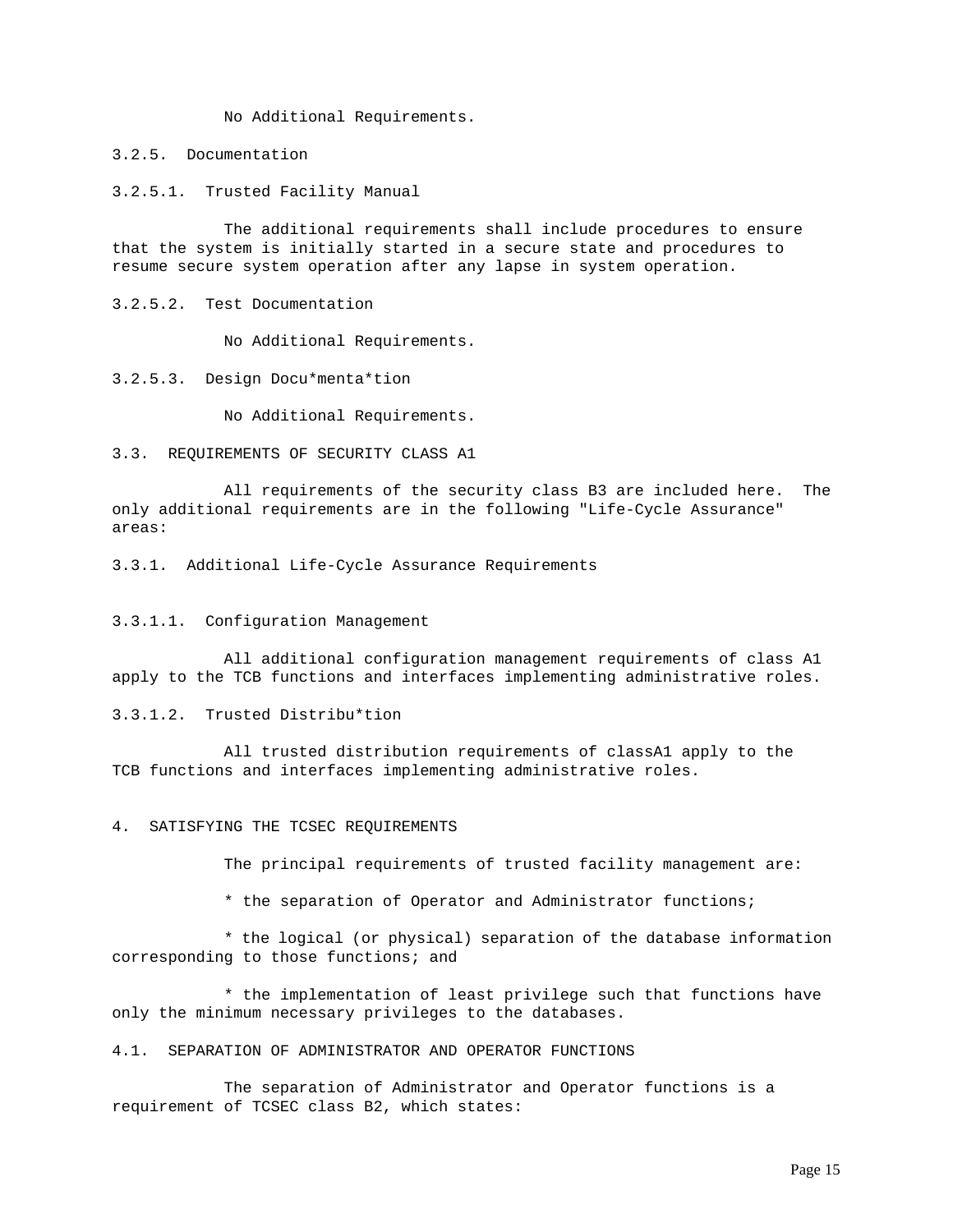No Additional Requirements.

3.2.5. Documentation

3.2.5.1. Trusted Facility Manual

The additional requirements shall include procedures to ensure that the system is initially started in a secure state and procedures to resume secure system operation after any lapse in system operation.

3.2.5.2. Test Documentation

No Additional Requirements.

3.2.5.3. Design Docu\*menta\*tion

No Additional Requirements.

3.3. REQUIREMENTS OF SECURITY CLASS A1

All requirements of the security class B3 are included here. The only additional requirements are in the following "Life-Cycle Assurance" areas:

3.3.1. Additional Life-Cycle Assurance Requirements

# 3.3.1.1. Configuration Management

All additional configuration management requirements of class A1 apply to the TCB functions and interfaces implementing administrative roles.

3.3.1.2. Trusted Distribu\*tion

All trusted distribution requirements of classA1 apply to the TCB functions and interfaces implementing administrative roles.

4. SATISFYING THE TCSEC REQUIREMENTS

The principal requirements of trusted facility management are:

\* the separation of Operator and Administrator functions;

\* the logical (or physical) separation of the database information corresponding to those functions; and

\* the implementation of least privilege such that functions have only the minimum necessary privileges to the databases.

4.1. SEPARATION OF ADMINISTRATOR AND OPERATOR FUNCTIONS

The separation of Administrator and Operator functions is a requirement of TCSEC class B2, which states: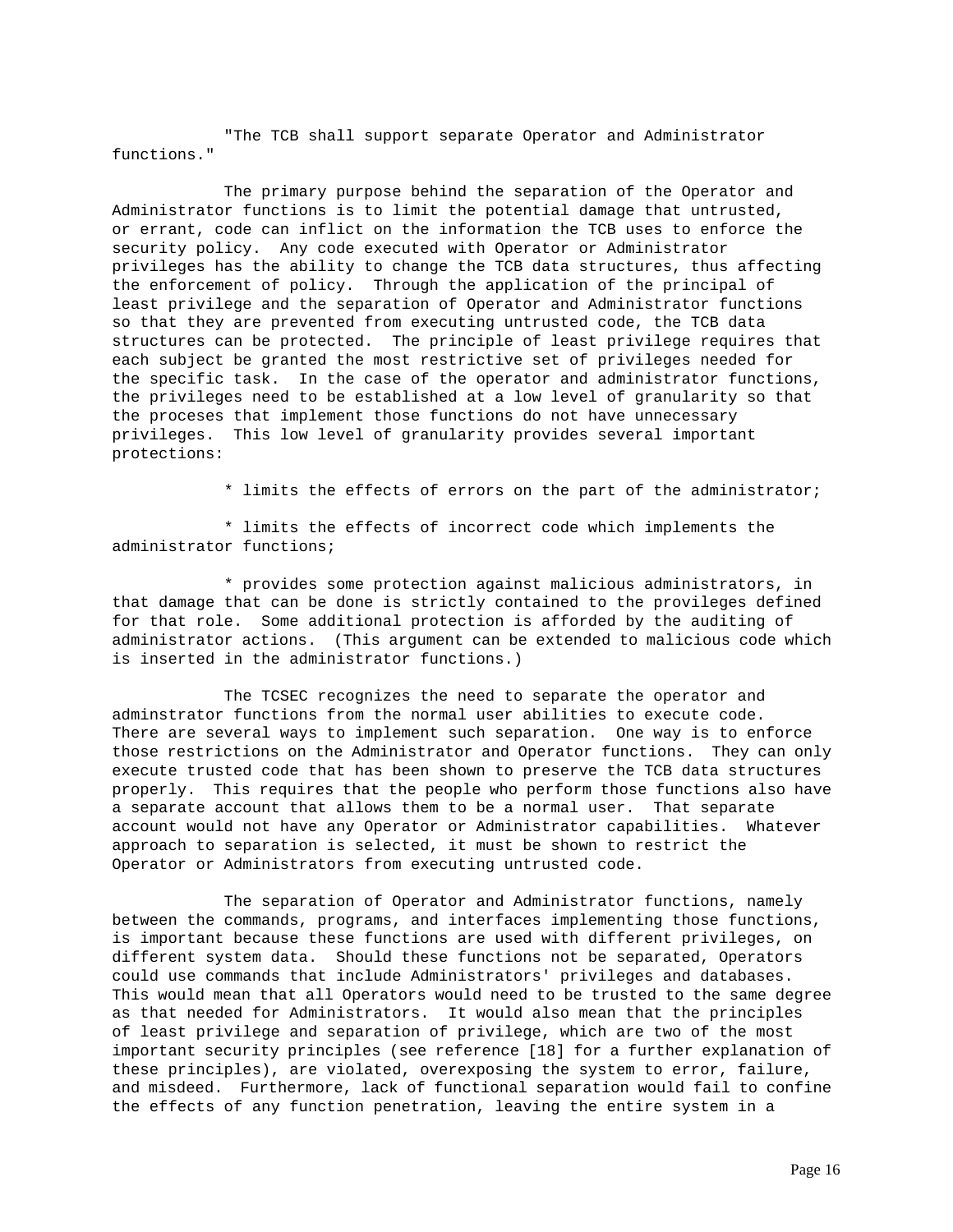"The TCB shall support separate Operator and Administrator functions."

The primary purpose behind the separation of the Operator and Administrator functions is to limit the potential damage that untrusted, or errant, code can inflict on the information the TCB uses to enforce the security policy. Any code executed with Operator or Administrator privileges has the ability to change the TCB data structures, thus affecting the enforcement of policy. Through the application of the principal of least privilege and the separation of Operator and Administrator functions so that they are prevented from executing untrusted code, the TCB data structures can be protected. The principle of least privilege requires that each subject be granted the most restrictive set of privileges needed for the specific task. In the case of the operator and administrator functions, the privileges need to be established at a low level of granularity so that the proceses that implement those functions do not have unnecessary privileges. This low level of granularity provides several important protections:

\* limits the effects of errors on the part of the administrator;

\* limits the effects of incorrect code which implements the administrator functions;

\* provides some protection against malicious administrators, in that damage that can be done is strictly contained to the provileges defined for that role. Some additional protection is afforded by the auditing of administrator actions. (This argument can be extended to malicious code which is inserted in the administrator functions.)

The TCSEC recognizes the need to separate the operator and adminstrator functions from the normal user abilities to execute code. There are several ways to implement such separation. One way is to enforce those restrictions on the Administrator and Operator functions. They can only execute trusted code that has been shown to preserve the TCB data structures properly. This requires that the people who perform those functions also have a separate account that allows them to be a normal user. That separate account would not have any Operator or Administrator capabilities. Whatever approach to separation is selected, it must be shown to restrict the Operator or Administrators from executing untrusted code.

The separation of Operator and Administrator functions, namely between the commands, programs, and interfaces implementing those functions, is important because these functions are used with different privileges, on different system data. Should these functions not be separated, Operators could use commands that include Administrators' privileges and databases. This would mean that all Operators would need to be trusted to the same degree as that needed for Administrators. It would also mean that the principles of least privilege and separation of privilege, which are two of the most important security principles (see reference [18] for a further explanation of these principles), are violated, overexposing the system to error, failure, and misdeed. Furthermore, lack of functional separation would fail to confine the effects of any function penetration, leaving the entire system in a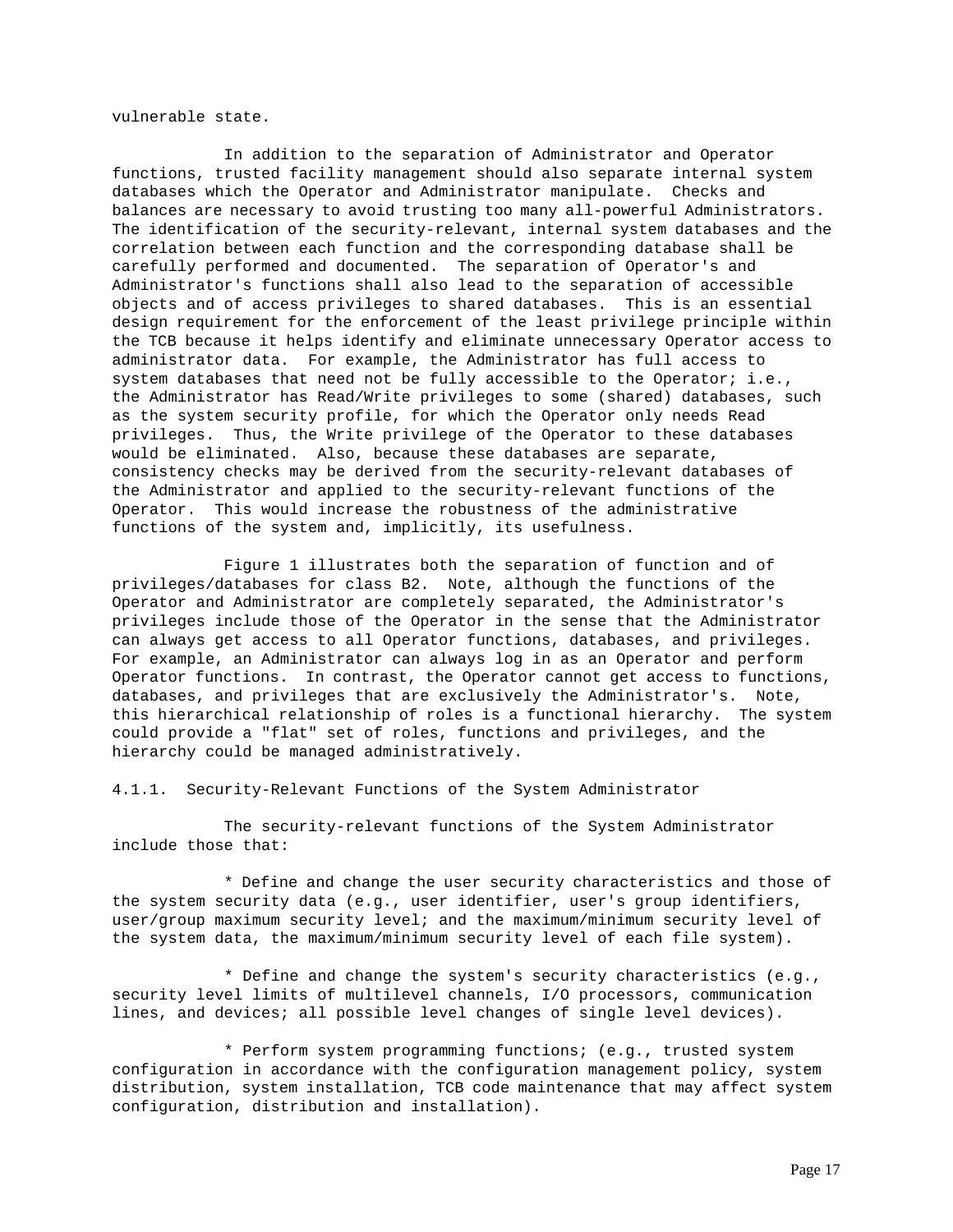vulnerable state.

In addition to the separation of Administrator and Operator functions, trusted facility management should also separate internal system databases which the Operator and Administrator manipulate. Checks and balances are necessary to avoid trusting too many all-powerful Administrators. The identification of the security-relevant, internal system databases and the correlation between each function and the corresponding database shall be carefully performed and documented. The separation of Operator's and Administrator's functions shall also lead to the separation of accessible objects and of access privileges to shared databases. This is an essential design requirement for the enforcement of the least privilege principle within the TCB because it helps identify and eliminate unnecessary Operator access to administrator data. For example, the Administrator has full access to system databases that need not be fully accessible to the Operator; i.e., the Administrator has Read/Write privileges to some (shared) databases, such as the system security profile, for which the Operator only needs Read privileges. Thus, the Write privilege of the Operator to these databases would be eliminated. Also, because these databases are separate, consistency checks may be derived from the security-relevant databases of the Administrator and applied to the security-relevant functions of the Operator. This would increase the robustness of the administrative functions of the system and, implicitly, its usefulness.

Figure 1 illustrates both the separation of function and of privileges/databases for class B2. Note, although the functions of the Operator and Administrator are completely separated, the Administrator's privileges include those of the Operator in the sense that the Administrator can always get access to all Operator functions, databases, and privileges. For example, an Administrator can always log in as an Operator and perform Operator functions. In contrast, the Operator cannot get access to functions, databases, and privileges that are exclusively the Administrator's. Note, this hierarchical relationship of roles is a functional hierarchy. The system could provide a "flat" set of roles, functions and privileges, and the hierarchy could be managed administratively.

4.1.1. Security-Relevant Functions of the System Administrator

The security-relevant functions of the System Administrator include those that:

\* Define and change the user security characteristics and those of the system security data (e.g., user identifier, user's group identifiers, user/group maximum security level; and the maximum/minimum security level of the system data, the maximum/minimum security level of each file system).

\* Define and change the system's security characteristics (e.g., security level limits of multilevel channels, I/O processors, communication lines, and devices; all possible level changes of single level devices).

\* Perform system programming functions; (e.g., trusted system configuration in accordance with the configuration management policy, system distribution, system installation, TCB code maintenance that may affect system configuration, distribution and installation).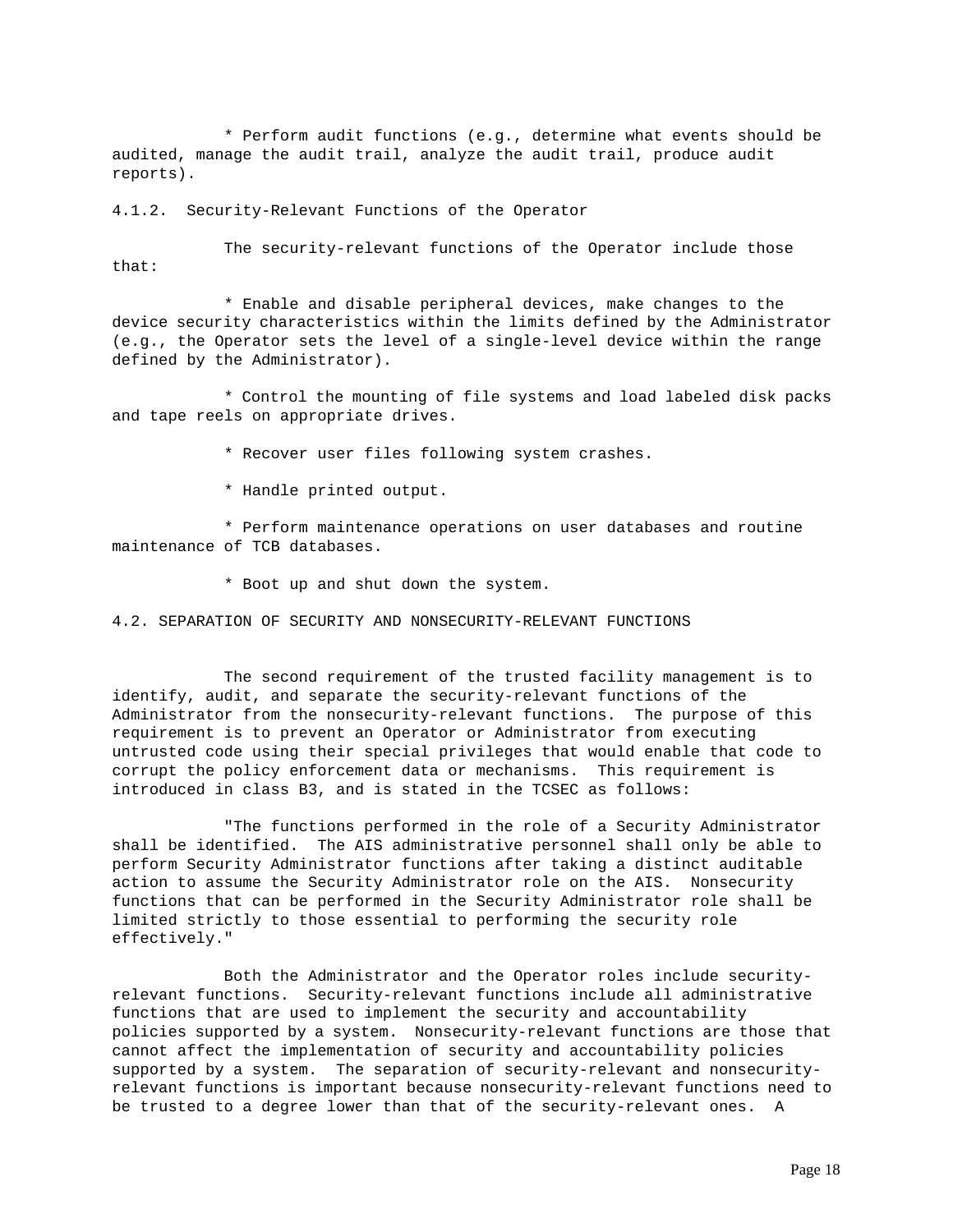\* Perform audit functions (e.g., determine what events should be audited, manage the audit trail, analyze the audit trail, produce audit reports).

4.1.2. Security-Relevant Functions of the Operator

The security-relevant functions of the Operator include those that:

\* Enable and disable peripheral devices, make changes to the device security characteristics within the limits defined by the Administrator (e.g., the Operator sets the level of a single-level device within the range defined by the Administrator).

\* Control the mounting of file systems and load labeled disk packs and tape reels on appropriate drives.

\* Recover user files following system crashes.

\* Handle printed output.

\* Perform maintenance operations on user databases and routine maintenance of TCB databases.

\* Boot up and shut down the system.

4.2. SEPARATION OF SECURITY AND NONSECURITY-RELEVANT FUNCTIONS

The second requirement of the trusted facility management is to identify, audit, and separate the security-relevant functions of the Administrator from the nonsecurity-relevant functions. The purpose of this requirement is to prevent an Operator or Administrator from executing untrusted code using their special privileges that would enable that code to corrupt the policy enforcement data or mechanisms. This requirement is introduced in class B3, and is stated in the TCSEC as follows:

"The functions performed in the role of a Security Administrator shall be identified. The AIS administrative personnel shall only be able to perform Security Administrator functions after taking a distinct auditable action to assume the Security Administrator role on the AIS. Nonsecurity functions that can be performed in the Security Administrator role shall be limited strictly to those essential to performing the security role effectively."

Both the Administrator and the Operator roles include securityrelevant functions. Security-relevant functions include all administrative functions that are used to implement the security and accountability policies supported by a system. Nonsecurity-relevant functions are those that cannot affect the implementation of security and accountability policies supported by a system. The separation of security-relevant and nonsecurityrelevant functions is important because nonsecurity-relevant functions need to be trusted to a degree lower than that of the security-relevant ones. A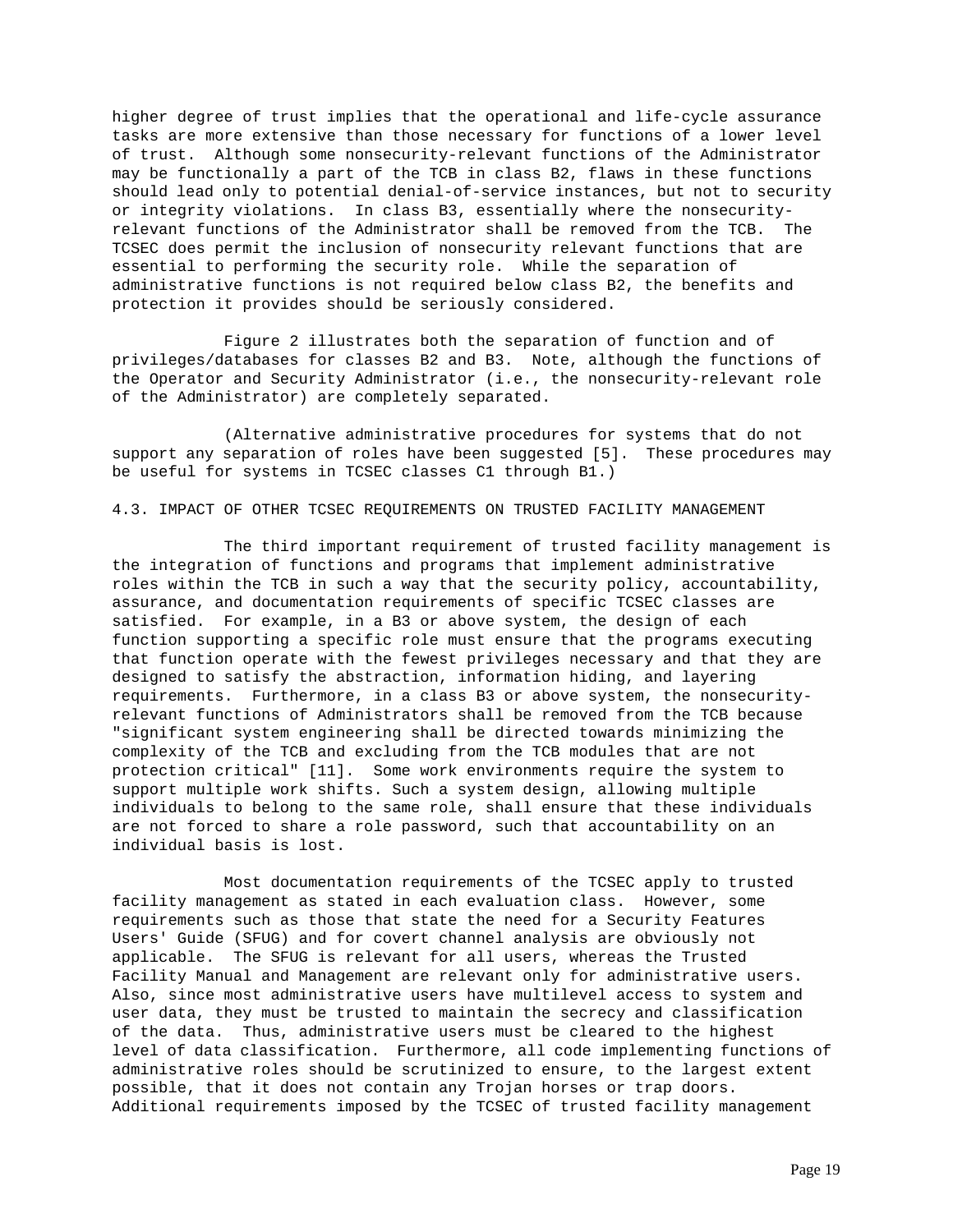higher degree of trust implies that the operational and life-cycle assurance tasks are more extensive than those necessary for functions of a lower level of trust. Although some nonsecurity-relevant functions of the Administrator may be functionally a part of the TCB in class B2, flaws in these functions should lead only to potential denial-of-service instances, but not to security or integrity violations. In class B3, essentially where the nonsecurityrelevant functions of the Administrator shall be removed from the TCB. The TCSEC does permit the inclusion of nonsecurity relevant functions that are essential to performing the security role. While the separation of administrative functions is not required below class B2, the benefits and protection it provides should be seriously considered.

Figure 2 illustrates both the separation of function and of privileges/databases for classes B2 and B3. Note, although the functions of the Operator and Security Administrator (i.e., the nonsecurity-relevant role of the Administrator) are completely separated.

(Alternative administrative procedures for systems that do not support any separation of roles have been suggested [5]. These procedures may be useful for systems in TCSEC classes C1 through B1.)

4.3. IMPACT OF OTHER TCSEC REQUIREMENTS ON TRUSTED FACILITY MANAGEMENT

The third important requirement of trusted facility management is the integration of functions and programs that implement administrative roles within the TCB in such a way that the security policy, accountability, assurance, and documentation requirements of specific TCSEC classes are satisfied. For example, in a B3 or above system, the design of each function supporting a specific role must ensure that the programs executing that function operate with the fewest privileges necessary and that they are designed to satisfy the abstraction, information hiding, and layering requirements. Furthermore, in a class B3 or above system, the nonsecurityrelevant functions of Administrators shall be removed from the TCB because "significant system engineering shall be directed towards minimizing the complexity of the TCB and excluding from the TCB modules that are not protection critical" [11]. Some work environments require the system to support multiple work shifts. Such a system design, allowing multiple individuals to belong to the same role, shall ensure that these individuals are not forced to share a role password, such that accountability on an individual basis is lost.

Most documentation requirements of the TCSEC apply to trusted facility management as stated in each evaluation class. However, some requirements such as those that state the need for a Security Features Users' Guide (SFUG) and for covert channel analysis are obviously not applicable. The SFUG is relevant for all users, whereas the Trusted Facility Manual and Management are relevant only for administrative users. Also, since most administrative users have multilevel access to system and user data, they must be trusted to maintain the secrecy and classification of the data. Thus, administrative users must be cleared to the highest level of data classification. Furthermore, all code implementing functions of administrative roles should be scrutinized to ensure, to the largest extent possible, that it does not contain any Trojan horses or trap doors. Additional requirements imposed by the TCSEC of trusted facility management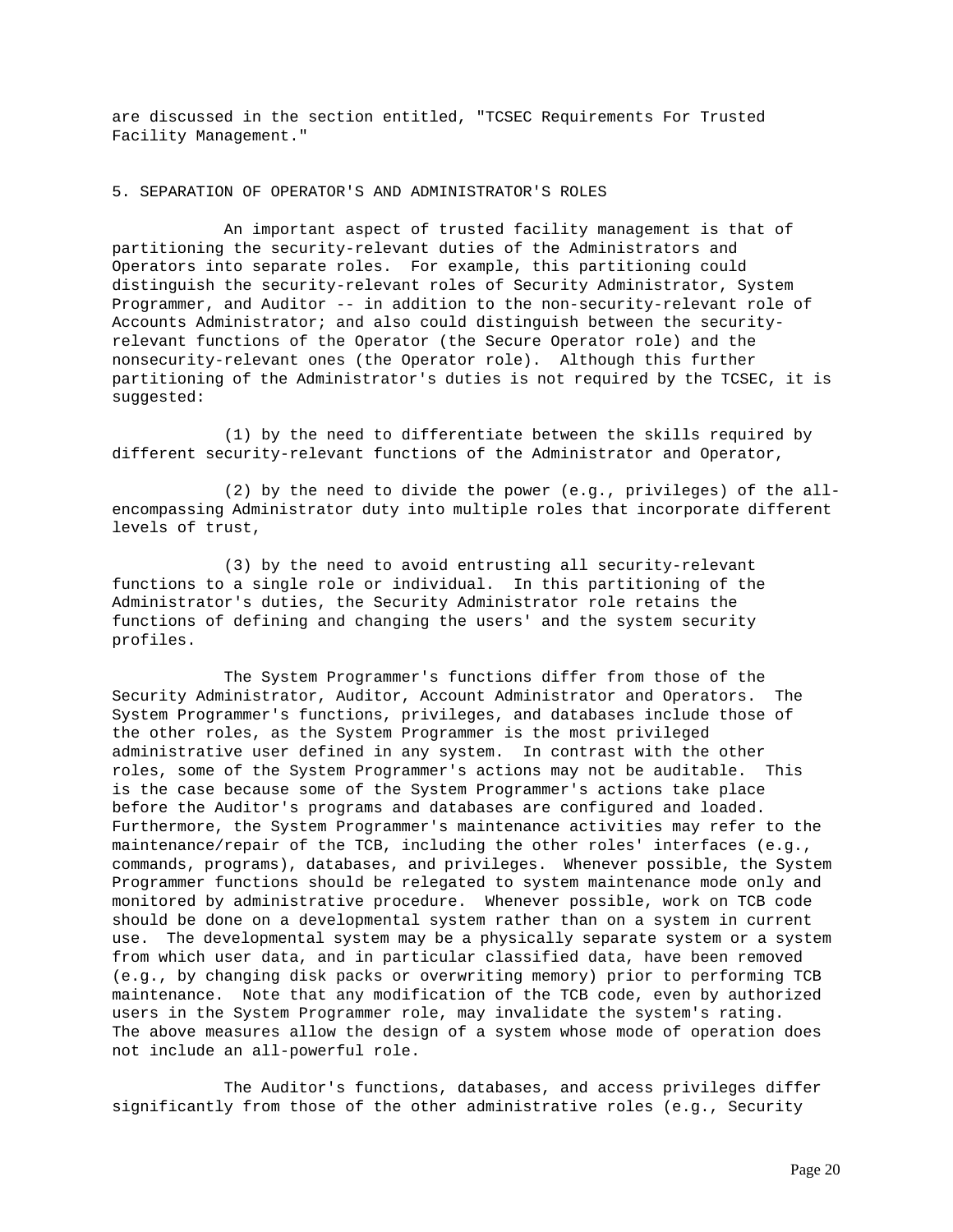are discussed in the section entitled, "TCSEC Requirements For Trusted Facility Management."

### 5. SEPARATION OF OPERATOR'S AND ADMINISTRATOR'S ROLES

An important aspect of trusted facility management is that of partitioning the security-relevant duties of the Administrators and Operators into separate roles. For example, this partitioning could distinguish the security-relevant roles of Security Administrator, System Programmer, and Auditor -- in addition to the non-security-relevant role of Accounts Administrator; and also could distinguish between the securityrelevant functions of the Operator (the Secure Operator role) and the nonsecurity-relevant ones (the Operator role). Although this further partitioning of the Administrator's duties is not required by the TCSEC, it is suggested:

(1) by the need to differentiate between the skills required by different security-relevant functions of the Administrator and Operator,

(2) by the need to divide the power (e.g., privileges) of the allencompassing Administrator duty into multiple roles that incorporate different levels of trust,

(3) by the need to avoid entrusting all security-relevant functions to a single role or individual. In this partitioning of the Administrator's duties, the Security Administrator role retains the functions of defining and changing the users' and the system security profiles.

The System Programmer's functions differ from those of the Security Administrator, Auditor, Account Administrator and Operators. The System Programmer's functions, privileges, and databases include those of the other roles, as the System Programmer is the most privileged administrative user defined in any system. In contrast with the other roles, some of the System Programmer's actions may not be auditable. This is the case because some of the System Programmer's actions take place before the Auditor's programs and databases are configured and loaded. Furthermore, the System Programmer's maintenance activities may refer to the maintenance/repair of the TCB, including the other roles' interfaces (e.g., commands, programs), databases, and privileges. Whenever possible, the System Programmer functions should be relegated to system maintenance mode only and monitored by administrative procedure. Whenever possible, work on TCB code should be done on a developmental system rather than on a system in current use. The developmental system may be a physically separate system or a system from which user data, and in particular classified data, have been removed (e.g., by changing disk packs or overwriting memory) prior to performing TCB maintenance. Note that any modification of the TCB code, even by authorized users in the System Programmer role, may invalidate the system's rating. The above measures allow the design of a system whose mode of operation does not include an all-powerful role.

The Auditor's functions, databases, and access privileges differ significantly from those of the other administrative roles (e.g., Security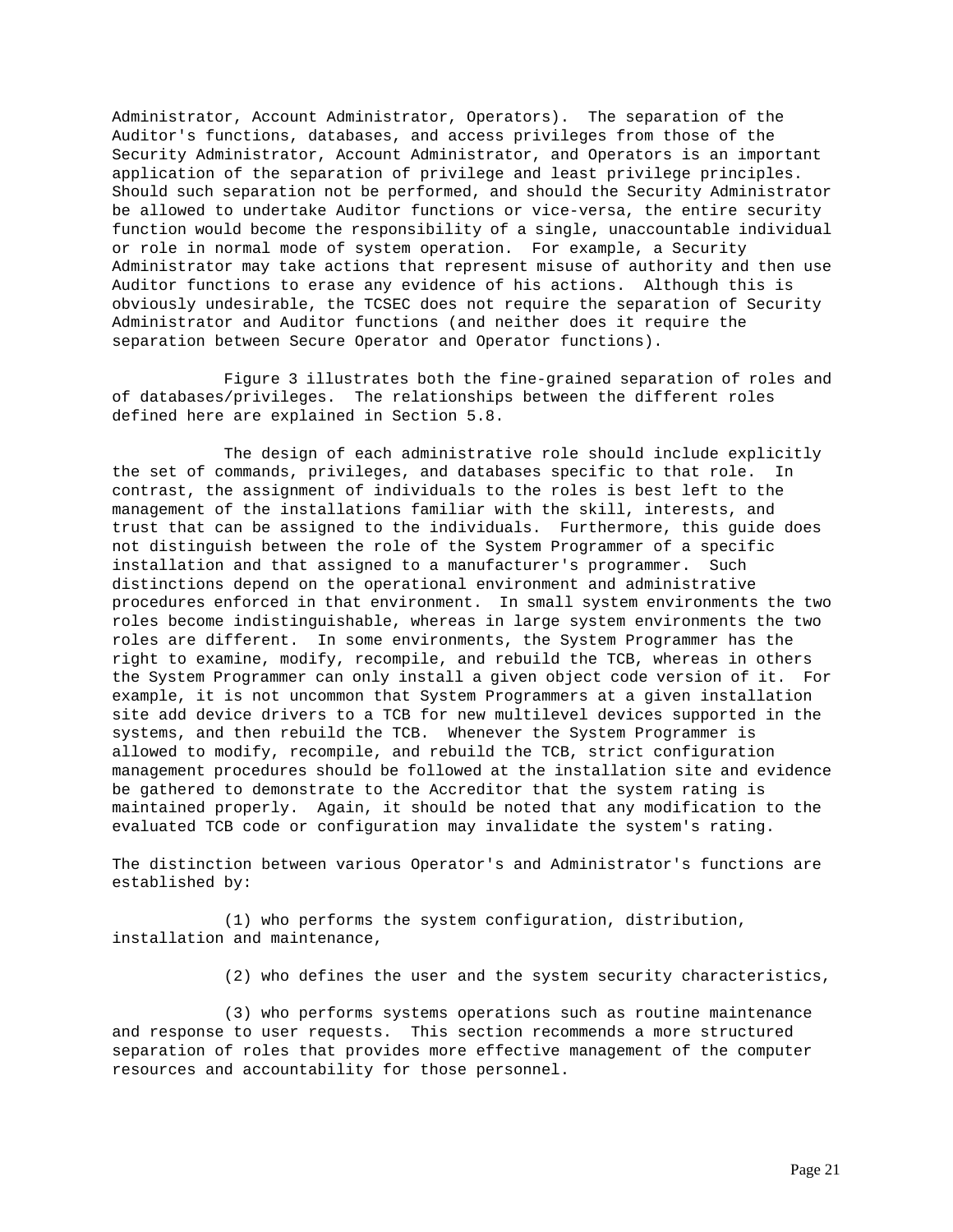Administrator, Account Administrator, Operators). The separation of the Auditor's functions, databases, and access privileges from those of the Security Administrator, Account Administrator, and Operators is an important application of the separation of privilege and least privilege principles. Should such separation not be performed, and should the Security Administrator be allowed to undertake Auditor functions or vice-versa, the entire security function would become the responsibility of a single, unaccountable individual or role in normal mode of system operation. For example, a Security Administrator may take actions that represent misuse of authority and then use Auditor functions to erase any evidence of his actions. Although this is obviously undesirable, the TCSEC does not require the separation of Security Administrator and Auditor functions (and neither does it require the separation between Secure Operator and Operator functions).

Figure 3 illustrates both the fine-grained separation of roles and of databases/privileges. The relationships between the different roles defined here are explained in Section 5.8.

The design of each administrative role should include explicitly the set of commands, privileges, and databases specific to that role. In contrast, the assignment of individuals to the roles is best left to the management of the installations familiar with the skill, interests, and trust that can be assigned to the individuals. Furthermore, this guide does not distinguish between the role of the System Programmer of a specific installation and that assigned to a manufacturer's programmer. Such distinctions depend on the operational environment and administrative procedures enforced in that environment. In small system environments the two roles become indistinguishable, whereas in large system environments the two roles are different. In some environments, the System Programmer has the right to examine, modify, recompile, and rebuild the TCB, whereas in others the System Programmer can only install a given object code version of it. For example, it is not uncommon that System Programmers at a given installation site add device drivers to a TCB for new multilevel devices supported in the systems, and then rebuild the TCB. Whenever the System Programmer is allowed to modify, recompile, and rebuild the TCB, strict configuration management procedures should be followed at the installation site and evidence be gathered to demonstrate to the Accreditor that the system rating is maintained properly. Again, it should be noted that any modification to the evaluated TCB code or configuration may invalidate the system's rating.

The distinction between various Operator's and Administrator's functions are established by:

(1) who performs the system configuration, distribution, installation and maintenance,

(2) who defines the user and the system security characteristics,

(3) who performs systems operations such as routine maintenance and response to user requests. This section recommends a more structured separation of roles that provides more effective management of the computer resources and accountability for those personnel.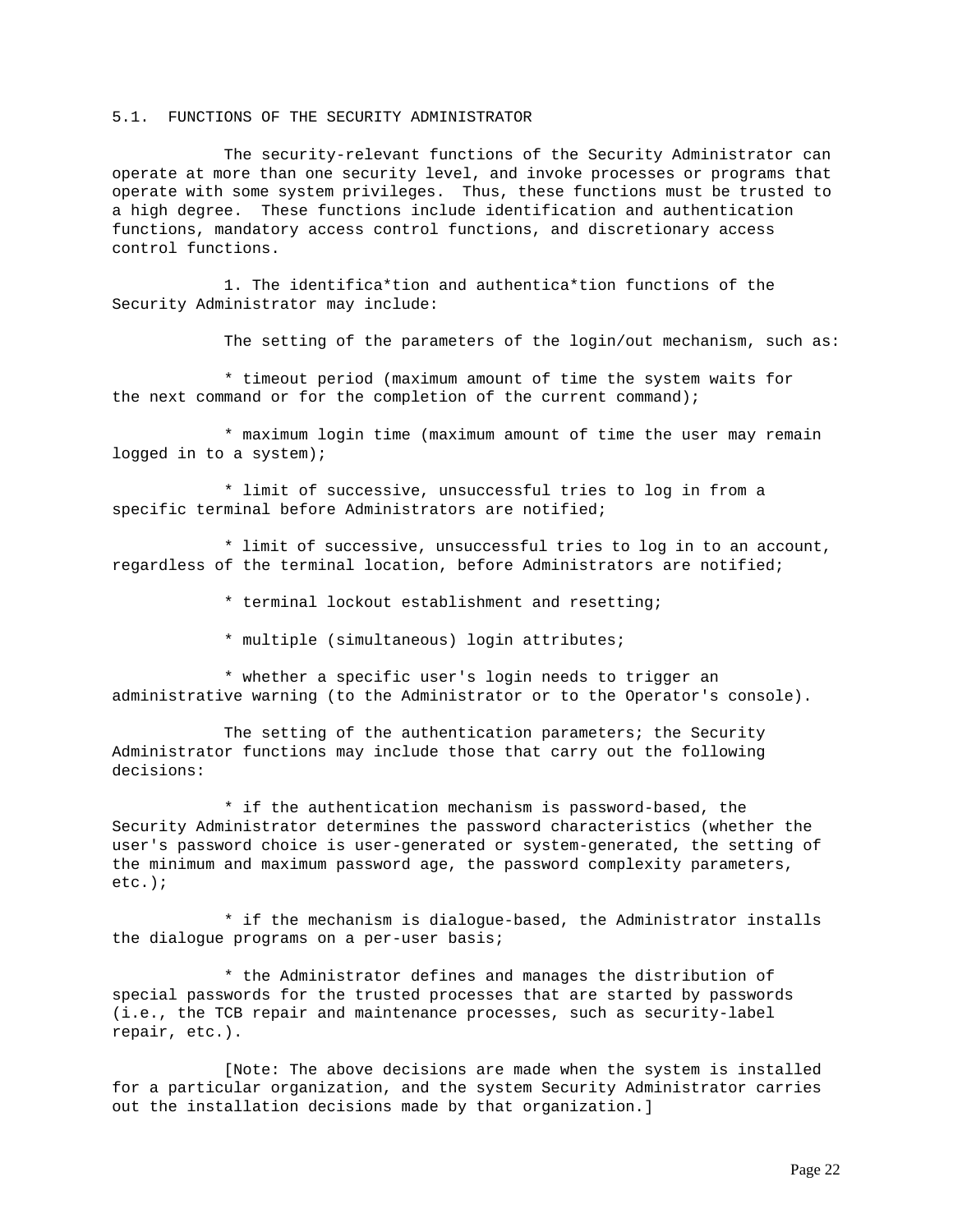# 5.1. FUNCTIONS OF THE SECURITY ADMINISTRATOR

The security-relevant functions of the Security Administrator can operate at more than one security level, and invoke processes or programs that operate with some system privileges. Thus, these functions must be trusted to a high degree. These functions include identification and authentication functions, mandatory access control functions, and discretionary access control functions.

1. The identifica\*tion and authentica\*tion functions of the Security Administrator may include:

The setting of the parameters of the login/out mechanism, such as:

\* timeout period (maximum amount of time the system waits for the next command or for the completion of the current command);

\* maximum login time (maximum amount of time the user may remain logged in to a system);

\* limit of successive, unsuccessful tries to log in from a specific terminal before Administrators are notified;

\* limit of successive, unsuccessful tries to log in to an account, regardless of the terminal location, before Administrators are notified;

\* terminal lockout establishment and resetting;

\* multiple (simultaneous) login attributes;

\* whether a specific user's login needs to trigger an administrative warning (to the Administrator or to the Operator's console).

The setting of the authentication parameters; the Security Administrator functions may include those that carry out the following decisions:

\* if the authentication mechanism is password-based, the Security Administrator determines the password characteristics (whether the user's password choice is user-generated or system-generated, the setting of the minimum and maximum password age, the password complexity parameters, etc.);

\* if the mechanism is dialogue-based, the Administrator installs the dialogue programs on a per-user basis;

\* the Administrator defines and manages the distribution of special passwords for the trusted processes that are started by passwords (i.e., the TCB repair and maintenance processes, such as security-label repair, etc.).

[Note: The above decisions are made when the system is installed for a particular organization, and the system Security Administrator carries out the installation decisions made by that organization.]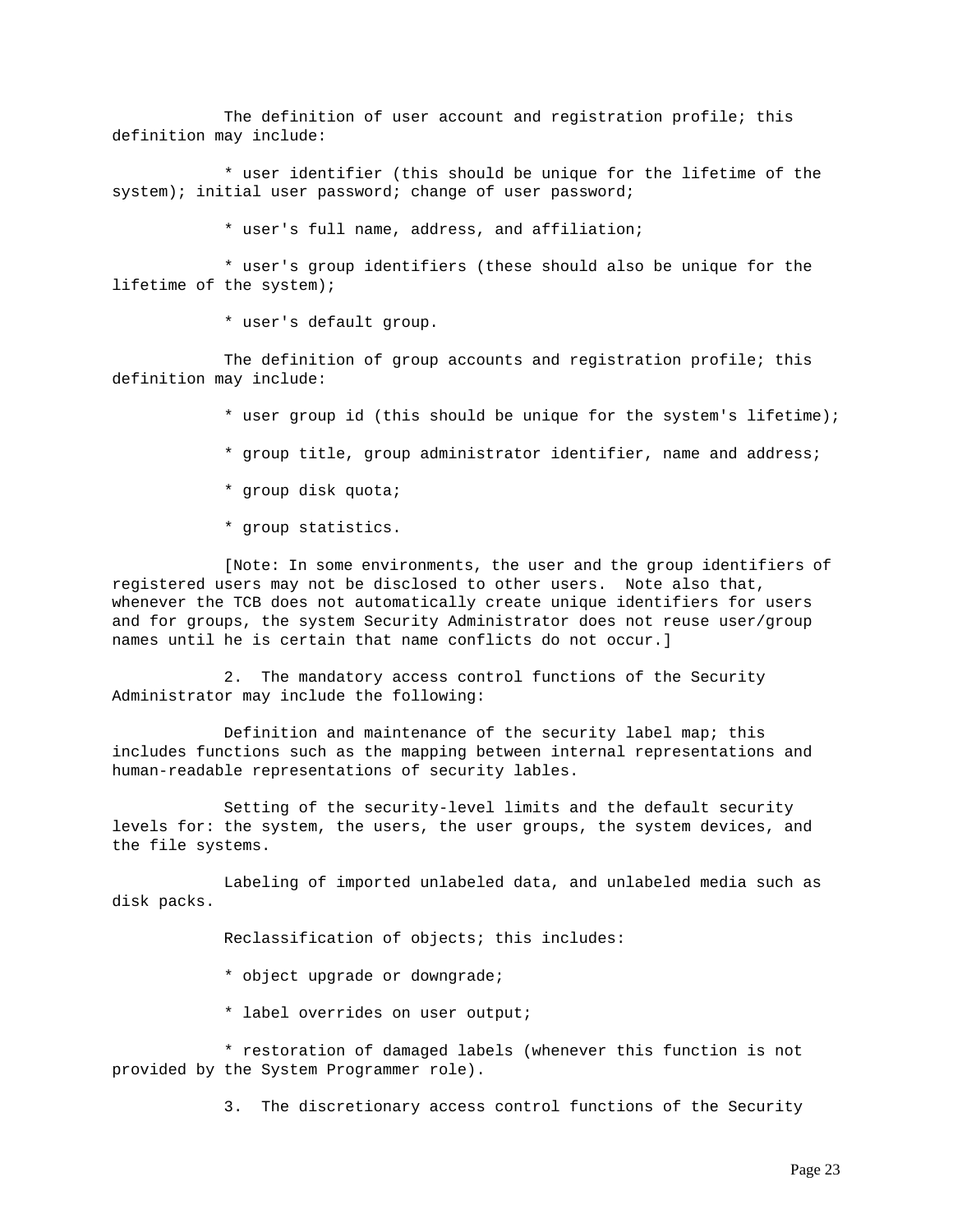The definition of user account and registration profile; this definition may include:

\* user identifier (this should be unique for the lifetime of the system); initial user password; change of user password;

\* user's full name, address, and affiliation;

\* user's group identifiers (these should also be unique for the lifetime of the system);

\* user's default group.

The definition of group accounts and registration profile; this definition may include:

- \* user group id (this should be unique for the system's lifetime);
- \* group title, group administrator identifier, name and address;
- \* group disk quota;
- \* group statistics.

[Note: In some environments, the user and the group identifiers of registered users may not be disclosed to other users. Note also that, whenever the TCB does not automatically create unique identifiers for users and for groups, the system Security Administrator does not reuse user/group names until he is certain that name conflicts do not occur.]

2. The mandatory access control functions of the Security Administrator may include the following:

Definition and maintenance of the security label map; this includes functions such as the mapping between internal representations and human-readable representations of security lables.

Setting of the security-level limits and the default security levels for: the system, the users, the user groups, the system devices, and the file systems.

Labeling of imported unlabeled data, and unlabeled media such as disk packs.

Reclassification of objects; this includes:

- \* object upgrade or downgrade;
- \* label overrides on user output;

\* restoration of damaged labels (whenever this function is not provided by the System Programmer role).

3. The discretionary access control functions of the Security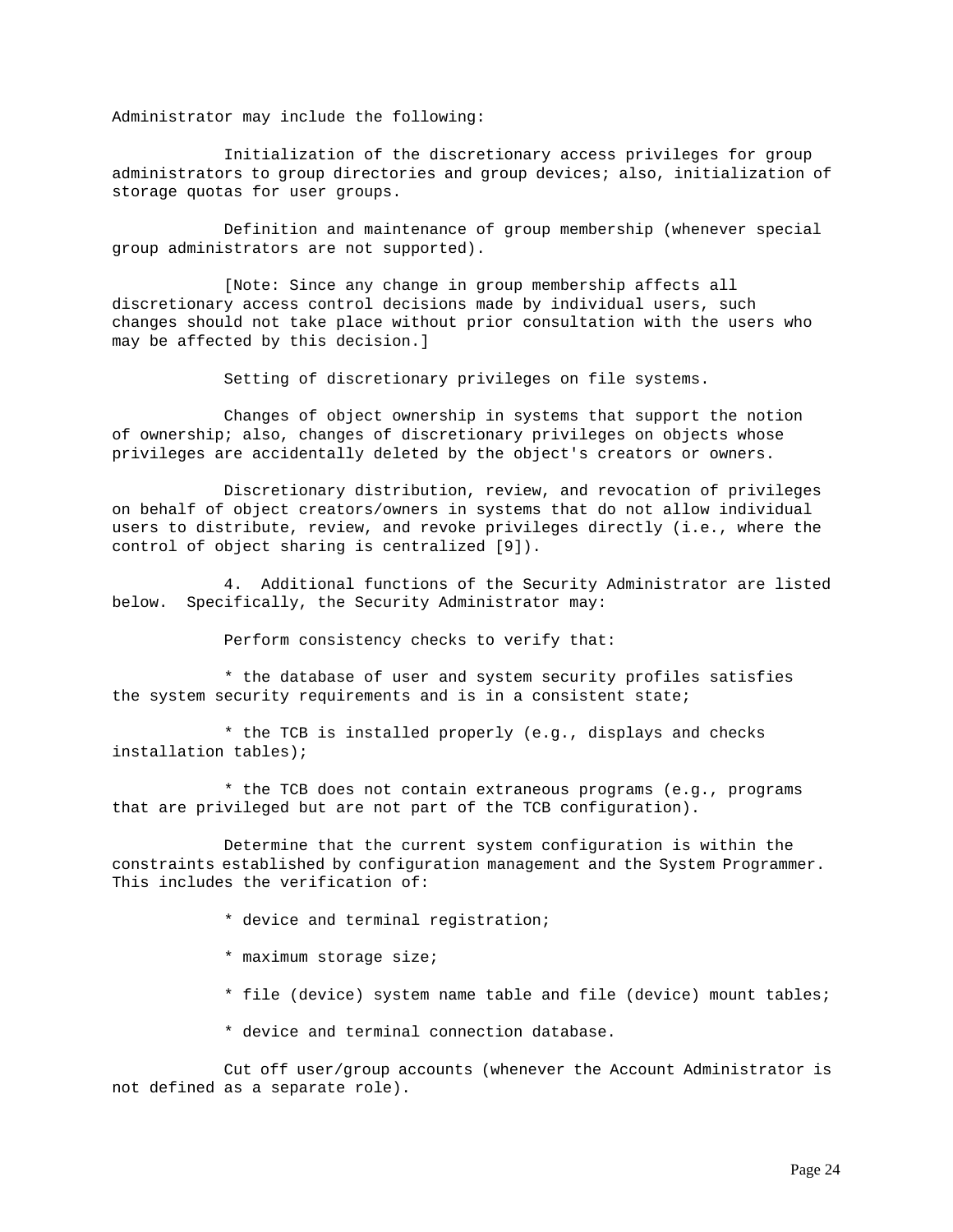Administrator may include the following:

Initialization of the discretionary access privileges for group administrators to group directories and group devices; also, initialization of storage quotas for user groups.

Definition and maintenance of group membership (whenever special group administrators are not supported).

[Note: Since any change in group membership affects all discretionary access control decisions made by individual users, such changes should not take place without prior consultation with the users who may be affected by this decision.]

Setting of discretionary privileges on file systems.

Changes of object ownership in systems that support the notion of ownership; also, changes of discretionary privileges on objects whose privileges are accidentally deleted by the object's creators or owners.

Discretionary distribution, review, and revocation of privileges on behalf of object creators/owners in systems that do not allow individual users to distribute, review, and revoke privileges directly (i.e., where the control of object sharing is centralized [9]).

4. Additional functions of the Security Administrator are listed below. Specifically, the Security Administrator may:

Perform consistency checks to verify that:

\* the database of user and system security profiles satisfies the system security requirements and is in a consistent state;

\* the TCB is installed properly (e.g., displays and checks installation tables);

\* the TCB does not contain extraneous programs (e.g., programs that are privileged but are not part of the TCB configuration).

Determine that the current system configuration is within the constraints established by configuration management and the System Programmer. This includes the verification of:

- \* device and terminal registration;
- \* maximum storage size;
- \* file (device) system name table and file (device) mount tables;
- \* device and terminal connection database.

Cut off user/group accounts (whenever the Account Administrator is not defined as a separate role).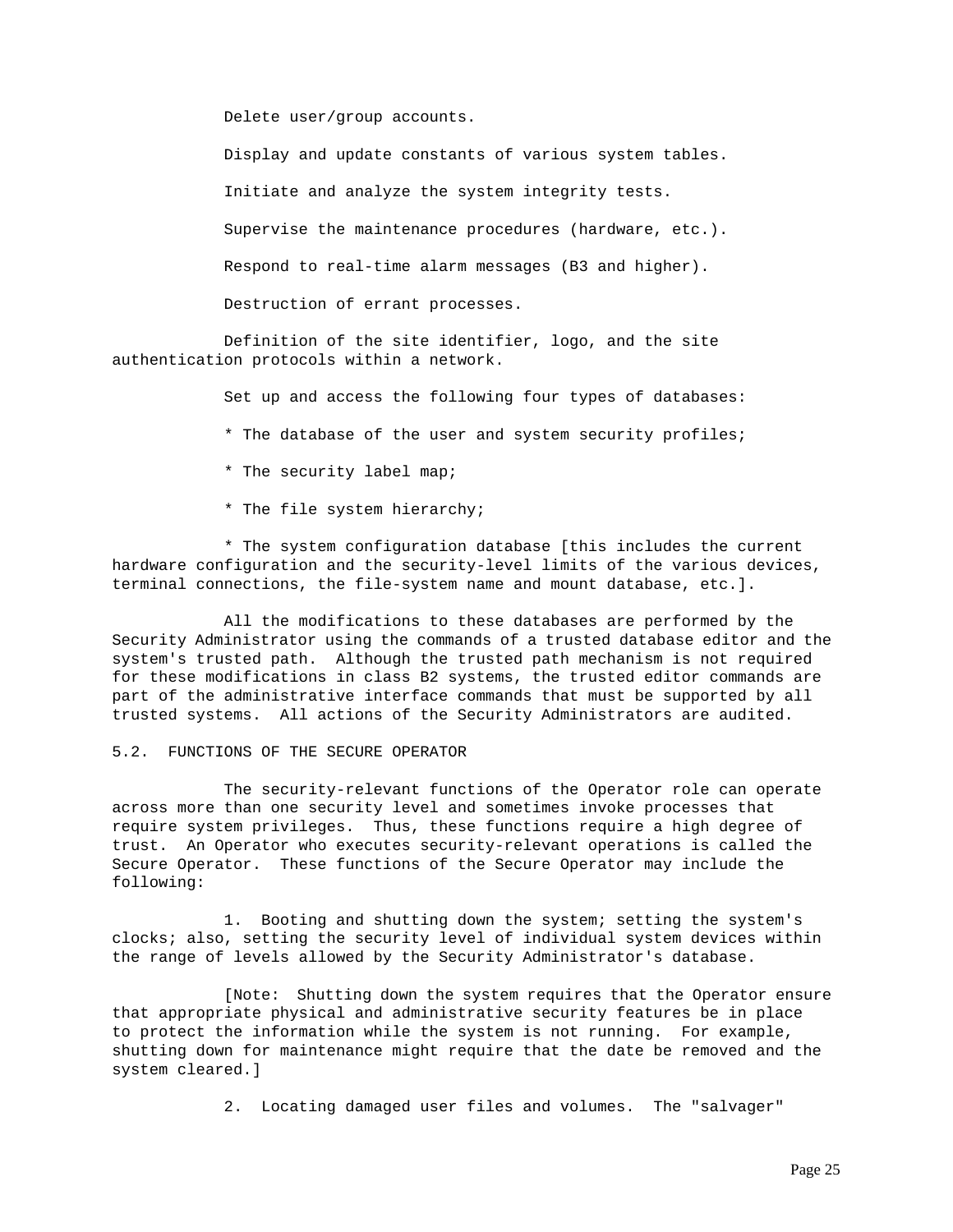Delete user/group accounts.

Display and update constants of various system tables.

Initiate and analyze the system integrity tests.

Supervise the maintenance procedures (hardware, etc.).

Respond to real-time alarm messages (B3 and higher).

Destruction of errant processes.

Definition of the site identifier, logo, and the site authentication protocols within a network.

Set up and access the following four types of databases:

\* The database of the user and system security profiles;

- \* The security label map;
- \* The file system hierarchy;

\* The system configuration database [this includes the current hardware configuration and the security-level limits of the various devices, terminal connections, the file-system name and mount database, etc.].

All the modifications to these databases are performed by the Security Administrator using the commands of a trusted database editor and the system's trusted path. Although the trusted path mechanism is not required for these modifications in class B2 systems, the trusted editor commands are part of the administrative interface commands that must be supported by all trusted systems. All actions of the Security Administrators are audited.

# 5.2. FUNCTIONS OF THE SECURE OPERATOR

The security-relevant functions of the Operator role can operate across more than one security level and sometimes invoke processes that require system privileges. Thus, these functions require a high degree of trust. An Operator who executes security-relevant operations is called the Secure Operator. These functions of the Secure Operator may include the following:

1. Booting and shutting down the system; setting the system's clocks; also, setting the security level of individual system devices within the range of levels allowed by the Security Administrator's database.

[Note: Shutting down the system requires that the Operator ensure that appropriate physical and administrative security features be in place to protect the information while the system is not running. For example, shutting down for maintenance might require that the date be removed and the system cleared.]

2. Locating damaged user files and volumes. The "salvager"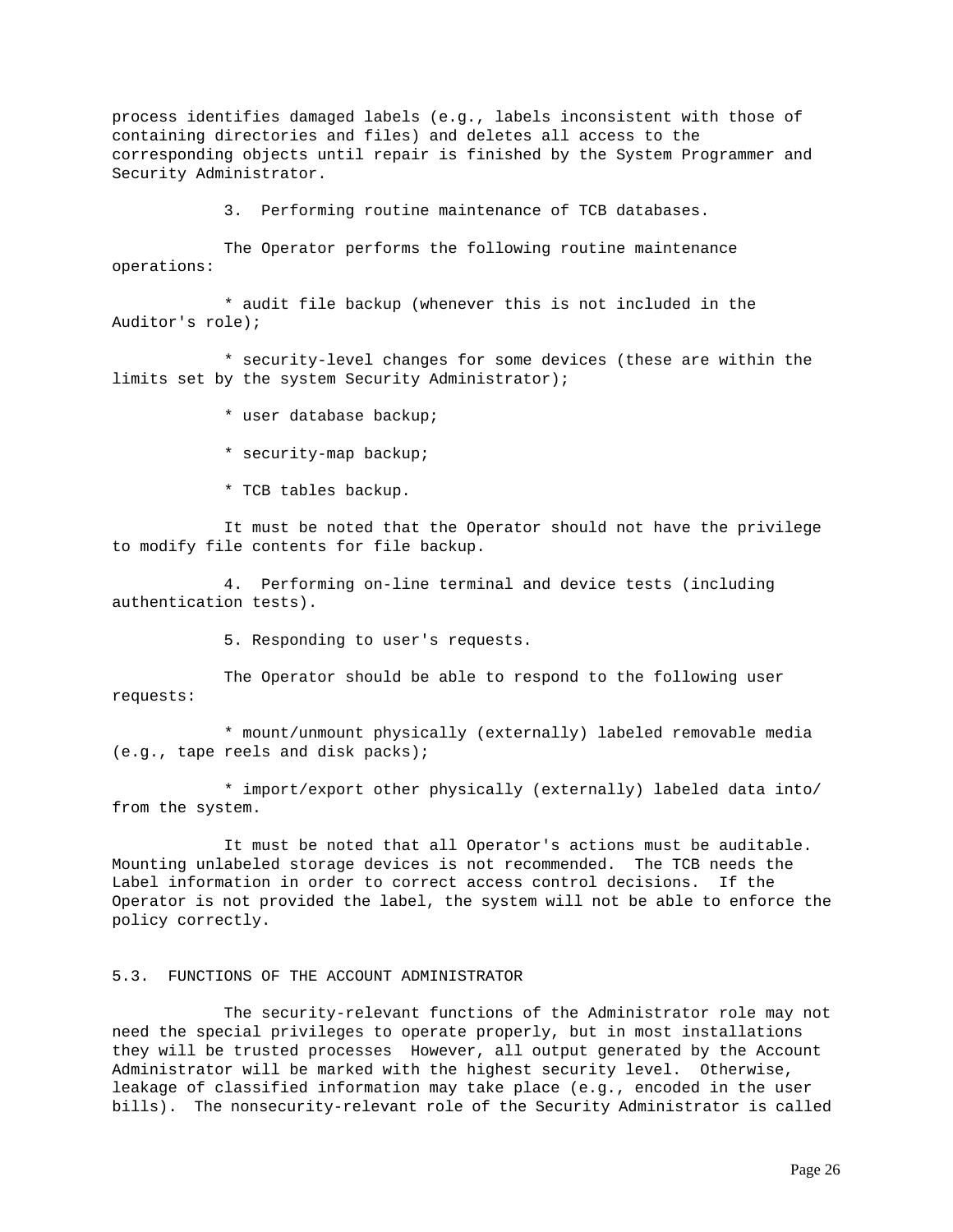process identifies damaged labels (e.g., labels inconsistent with those of containing directories and files) and deletes all access to the corresponding objects until repair is finished by the System Programmer and Security Administrator.

3. Performing routine maintenance of TCB databases.

The Operator performs the following routine maintenance operations:

\* audit file backup (whenever this is not included in the Auditor's role);

\* security-level changes for some devices (these are within the limits set by the system Security Administrator);

\* user database backup;

\* security-map backup;

\* TCB tables backup.

It must be noted that the Operator should not have the privilege to modify file contents for file backup.

4. Performing on-line terminal and device tests (including authentication tests).

5. Responding to user's requests.

The Operator should be able to respond to the following user requests:

\* mount/unmount physically (externally) labeled removable media (e.g., tape reels and disk packs);

\* import/export other physically (externally) labeled data into/ from the system.

It must be noted that all Operator's actions must be auditable. Mounting unlabeled storage devices is not recommended. The TCB needs the Label information in order to correct access control decisions. If the Operator is not provided the label, the system will not be able to enforce the policy correctly.

## 5.3. FUNCTIONS OF THE ACCOUNT ADMINISTRATOR

The security-relevant functions of the Administrator role may not need the special privileges to operate properly, but in most installations they will be trusted processes However, all output generated by the Account Administrator will be marked with the highest security level. Otherwise, leakage of classified information may take place (e.g., encoded in the user bills). The nonsecurity-relevant role of the Security Administrator is called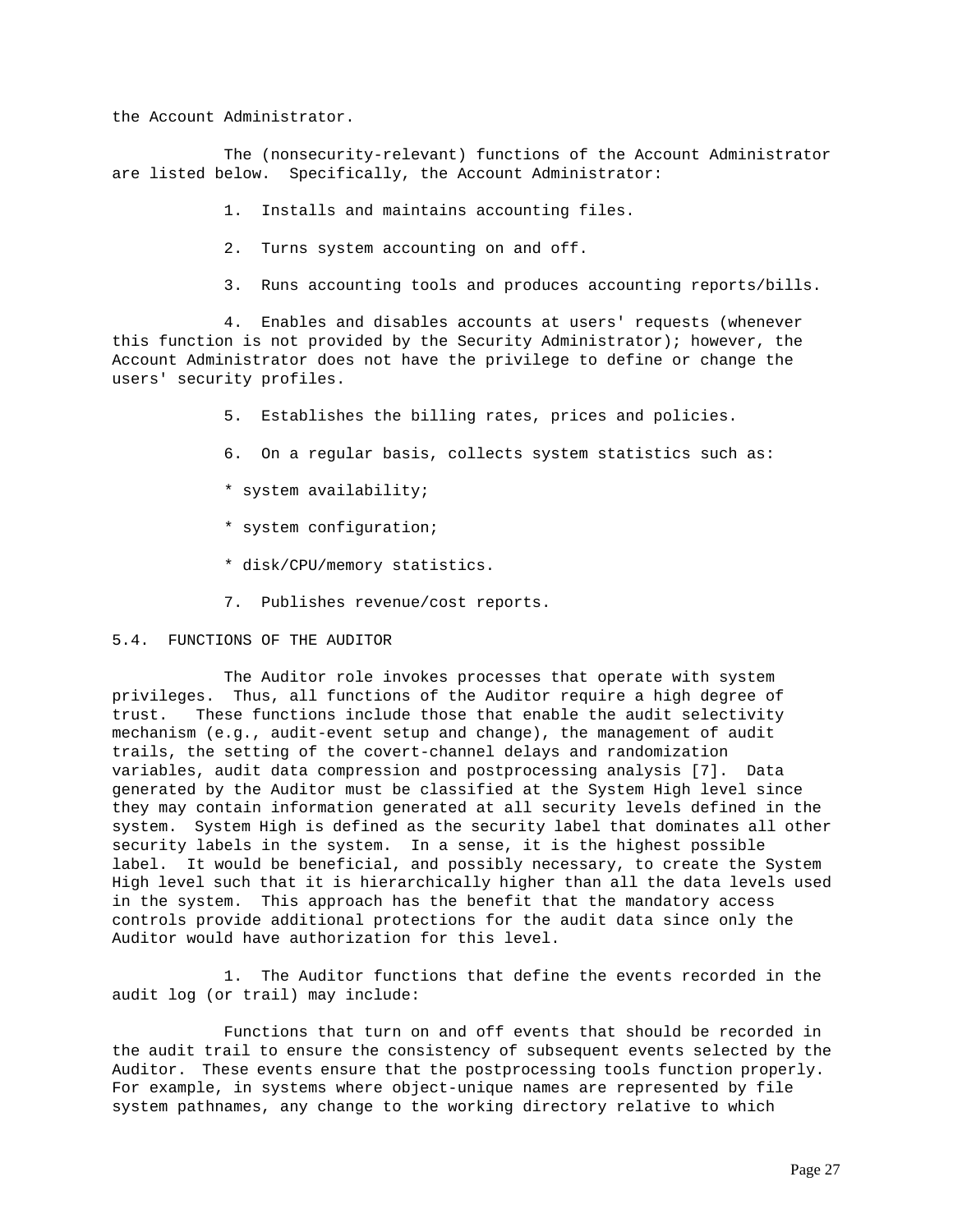the Account Administrator.

The (nonsecurity-relevant) functions of the Account Administrator are listed below. Specifically, the Account Administrator:

- 1. Installs and maintains accounting files.
- 2. Turns system accounting on and off.
- 3. Runs accounting tools and produces accounting reports/bills.

4. Enables and disables accounts at users' requests (whenever this function is not provided by the Security Administrator); however, the Account Administrator does not have the privilege to define or change the users' security profiles.

- 5. Establishes the billing rates, prices and policies.
- 6. On a regular basis, collects system statistics such as:
- \* system availability;
- \* system configuration;
- \* disk/CPU/memory statistics.
- 7. Publishes revenue/cost reports.

# 5.4. FUNCTIONS OF THE AUDITOR

The Auditor role invokes processes that operate with system privileges. Thus, all functions of the Auditor require a high degree of trust. These functions include those that enable the audit selectivity mechanism (e.g., audit-event setup and change), the management of audit trails, the setting of the covert-channel delays and randomization variables, audit data compression and postprocessing analysis [7]. Data generated by the Auditor must be classified at the System High level since they may contain information generated at all security levels defined in the system. System High is defined as the security label that dominates all other security labels in the system. In a sense, it is the highest possible label. It would be beneficial, and possibly necessary, to create the System High level such that it is hierarchically higher than all the data levels used in the system. This approach has the benefit that the mandatory access controls provide additional protections for the audit data since only the Auditor would have authorization for this level.

1. The Auditor functions that define the events recorded in the audit log (or trail) may include:

Functions that turn on and off events that should be recorded in the audit trail to ensure the consistency of subsequent events selected by the Auditor. These events ensure that the postprocessing tools function properly. For example, in systems where object-unique names are represented by file system pathnames, any change to the working directory relative to which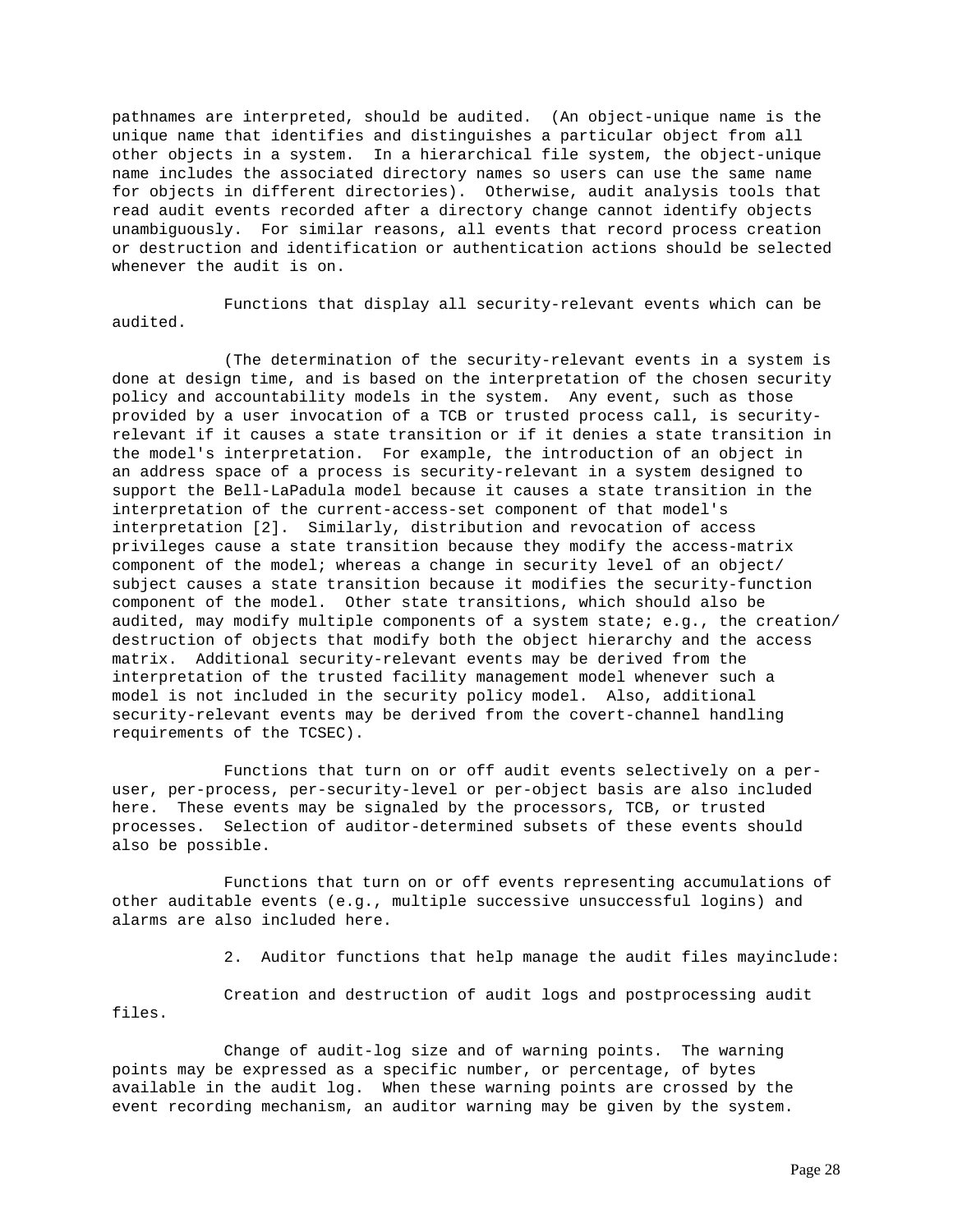pathnames are interpreted, should be audited. (An object-unique name is the unique name that identifies and distinguishes a particular object from all other objects in a system. In a hierarchical file system, the object-unique name includes the associated directory names so users can use the same name for objects in different directories). Otherwise, audit analysis tools that read audit events recorded after a directory change cannot identify objects unambiguously. For similar reasons, all events that record process creation or destruction and identification or authentication actions should be selected whenever the audit is on.

Functions that display all security-relevant events which can be audited.

(The determination of the security-relevant events in a system is done at design time, and is based on the interpretation of the chosen security policy and accountability models in the system. Any event, such as those provided by a user invocation of a TCB or trusted process call, is securityrelevant if it causes a state transition or if it denies a state transition in the model's interpretation. For example, the introduction of an object in an address space of a process is security-relevant in a system designed to support the Bell-LaPadula model because it causes a state transition in the interpretation of the current-access-set component of that model's interpretation [2]. Similarly, distribution and revocation of access privileges cause a state transition because they modify the access-matrix component of the model; whereas a change in security level of an object/ subject causes a state transition because it modifies the security-function component of the model. Other state transitions, which should also be audited, may modify multiple components of a system state; e.g., the creation/ destruction of objects that modify both the object hierarchy and the access matrix. Additional security-relevant events may be derived from the interpretation of the trusted facility management model whenever such a model is not included in the security policy model. Also, additional security-relevant events may be derived from the covert-channel handling requirements of the TCSEC).

Functions that turn on or off audit events selectively on a peruser, per-process, per-security-level or per-object basis are also included here. These events may be signaled by the processors, TCB, or trusted processes. Selection of auditor-determined subsets of these events should also be possible.

Functions that turn on or off events representing accumulations of other auditable events (e.g., multiple successive unsuccessful logins) and alarms are also included here.

2. Auditor functions that help manage the audit files mayinclude:

Creation and destruction of audit logs and postprocessing audit files.

Change of audit-log size and of warning points. The warning points may be expressed as a specific number, or percentage, of bytes available in the audit log. When these warning points are crossed by the event recording mechanism, an auditor warning may be given by the system.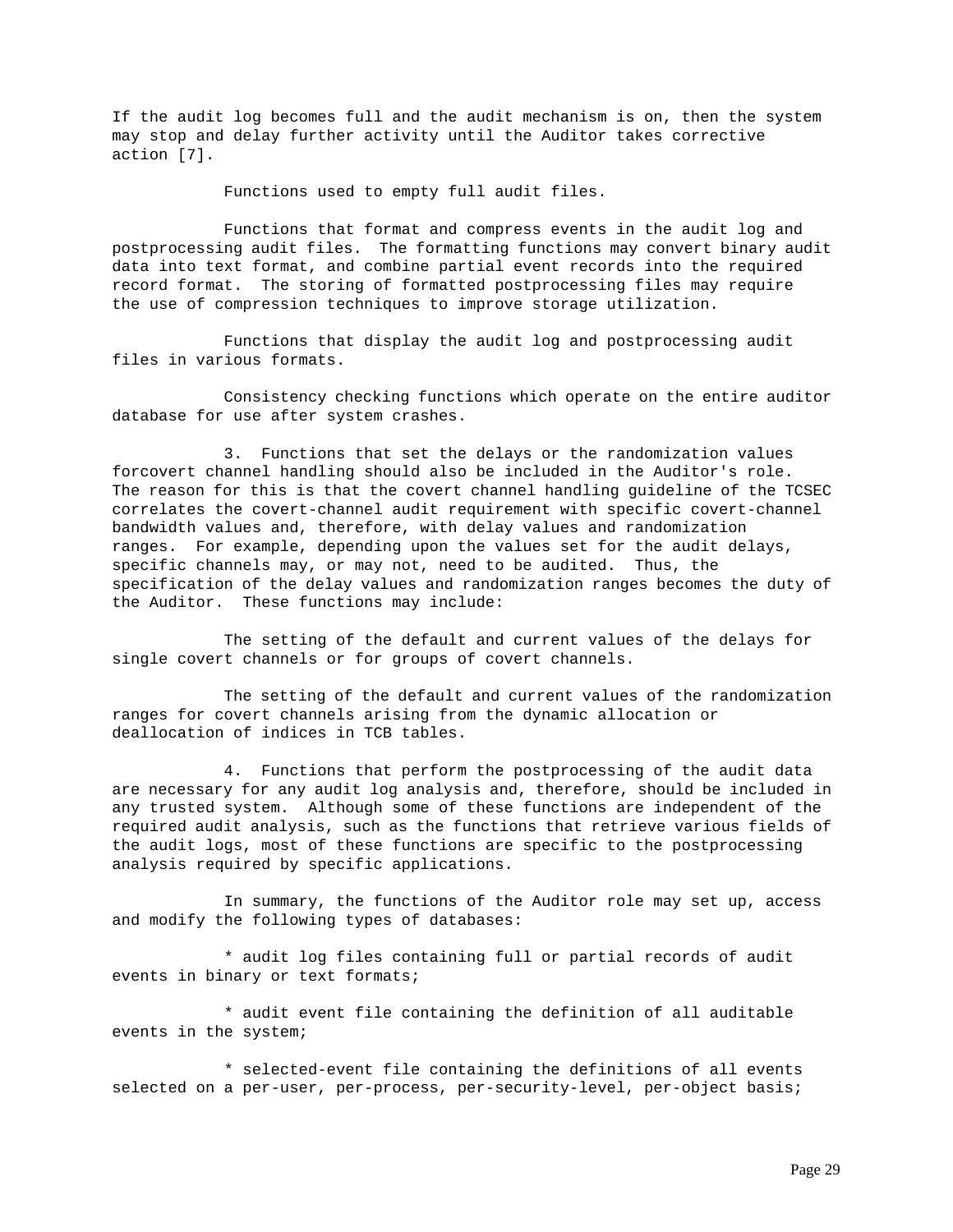If the audit log becomes full and the audit mechanism is on, then the system may stop and delay further activity until the Auditor takes corrective action [7].

Functions used to empty full audit files.

Functions that format and compress events in the audit log and postprocessing audit files. The formatting functions may convert binary audit data into text format, and combine partial event records into the required record format. The storing of formatted postprocessing files may require the use of compression techniques to improve storage utilization.

Functions that display the audit log and postprocessing audit files in various formats.

Consistency checking functions which operate on the entire auditor database for use after system crashes.

3. Functions that set the delays or the randomization values forcovert channel handling should also be included in the Auditor's role. The reason for this is that the covert channel handling guideline of the TCSEC correlates the covert-channel audit requirement with specific covert-channel bandwidth values and, therefore, with delay values and randomization ranges. For example, depending upon the values set for the audit delays, specific channels may, or may not, need to be audited. Thus, the specification of the delay values and randomization ranges becomes the duty of the Auditor. These functions may include:

The setting of the default and current values of the delays for single covert channels or for groups of covert channels.

The setting of the default and current values of the randomization ranges for covert channels arising from the dynamic allocation or deallocation of indices in TCB tables.

4. Functions that perform the postprocessing of the audit data are necessary for any audit log analysis and, therefore, should be included in any trusted system. Although some of these functions are independent of the required audit analysis, such as the functions that retrieve various fields of the audit logs, most of these functions are specific to the postprocessing analysis required by specific applications.

In summary, the functions of the Auditor role may set up, access and modify the following types of databases:

\* audit log files containing full or partial records of audit events in binary or text formats;

\* audit event file containing the definition of all auditable events in the system;

\* selected-event file containing the definitions of all events selected on a per-user, per-process, per-security-level, per-object basis;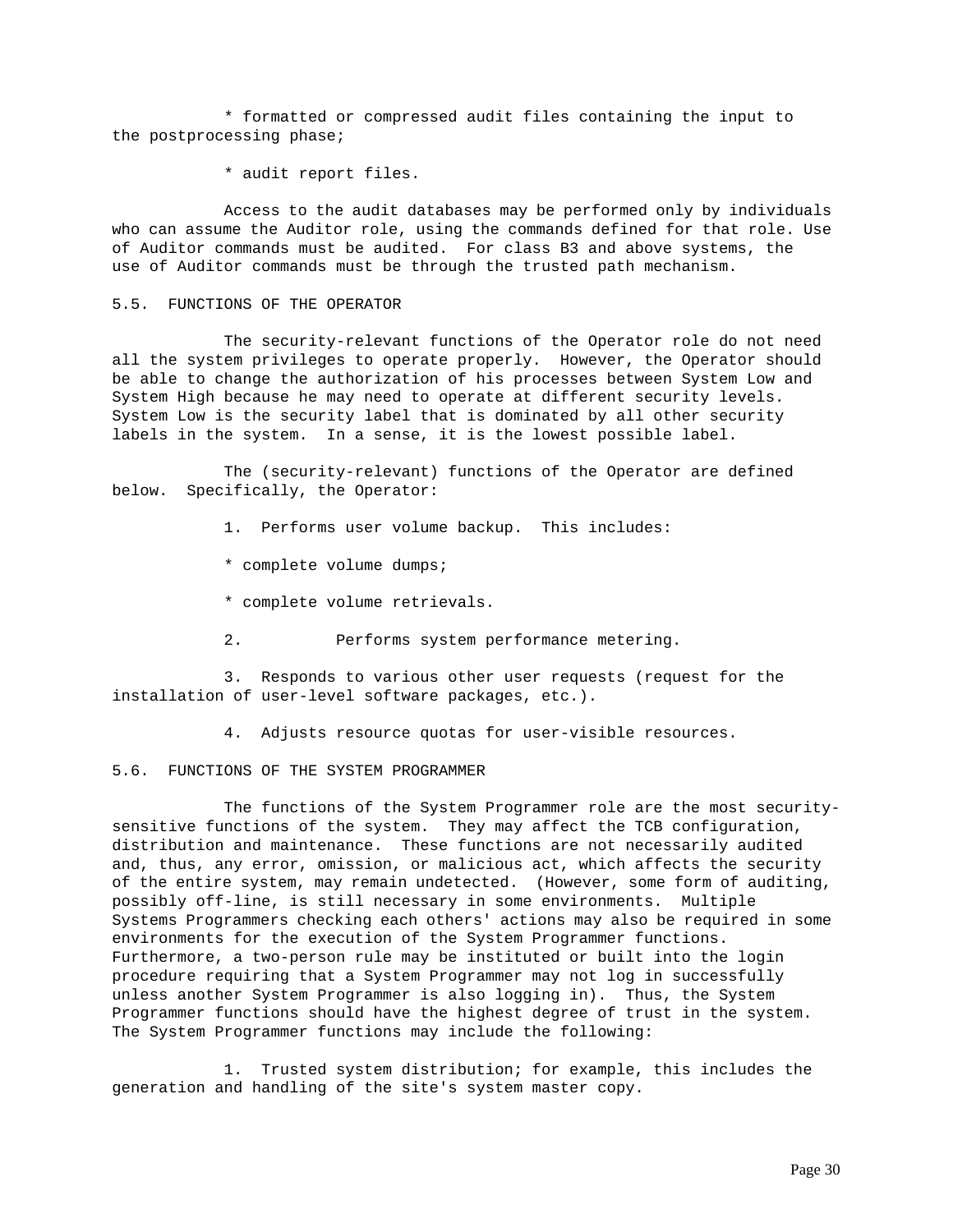\* formatted or compressed audit files containing the input to the postprocessing phase;

\* audit report files.

Access to the audit databases may be performed only by individuals who can assume the Auditor role, using the commands defined for that role. Use of Auditor commands must be audited. For class B3 and above systems, the use of Auditor commands must be through the trusted path mechanism.

### 5.5. FUNCTIONS OF THE OPERATOR

The security-relevant functions of the Operator role do not need all the system privileges to operate properly. However, the Operator should be able to change the authorization of his processes between System Low and System High because he may need to operate at different security levels. System Low is the security label that is dominated by all other security labels in the system. In a sense, it is the lowest possible label.

The (security-relevant) functions of the Operator are defined below. Specifically, the Operator:

- 1. Performs user volume backup. This includes:
- \* complete volume dumps;
- \* complete volume retrievals.
- 2. Performs system performance metering.

3. Responds to various other user requests (request for the installation of user-level software packages, etc.).

4. Adjusts resource quotas for user-visible resources.

# 5.6. FUNCTIONS OF THE SYSTEM PROGRAMMER

The functions of the System Programmer role are the most securitysensitive functions of the system. They may affect the TCB configuration, distribution and maintenance. These functions are not necessarily audited and, thus, any error, omission, or malicious act, which affects the security of the entire system, may remain undetected. (However, some form of auditing, possibly off-line, is still necessary in some environments. Multiple Systems Programmers checking each others' actions may also be required in some environments for the execution of the System Programmer functions. Furthermore, a two-person rule may be instituted or built into the login procedure requiring that a System Programmer may not log in successfully unless another System Programmer is also logging in). Thus, the System Programmer functions should have the highest degree of trust in the system. The System Programmer functions may include the following:

1. Trusted system distribution; for example, this includes the generation and handling of the site's system master copy.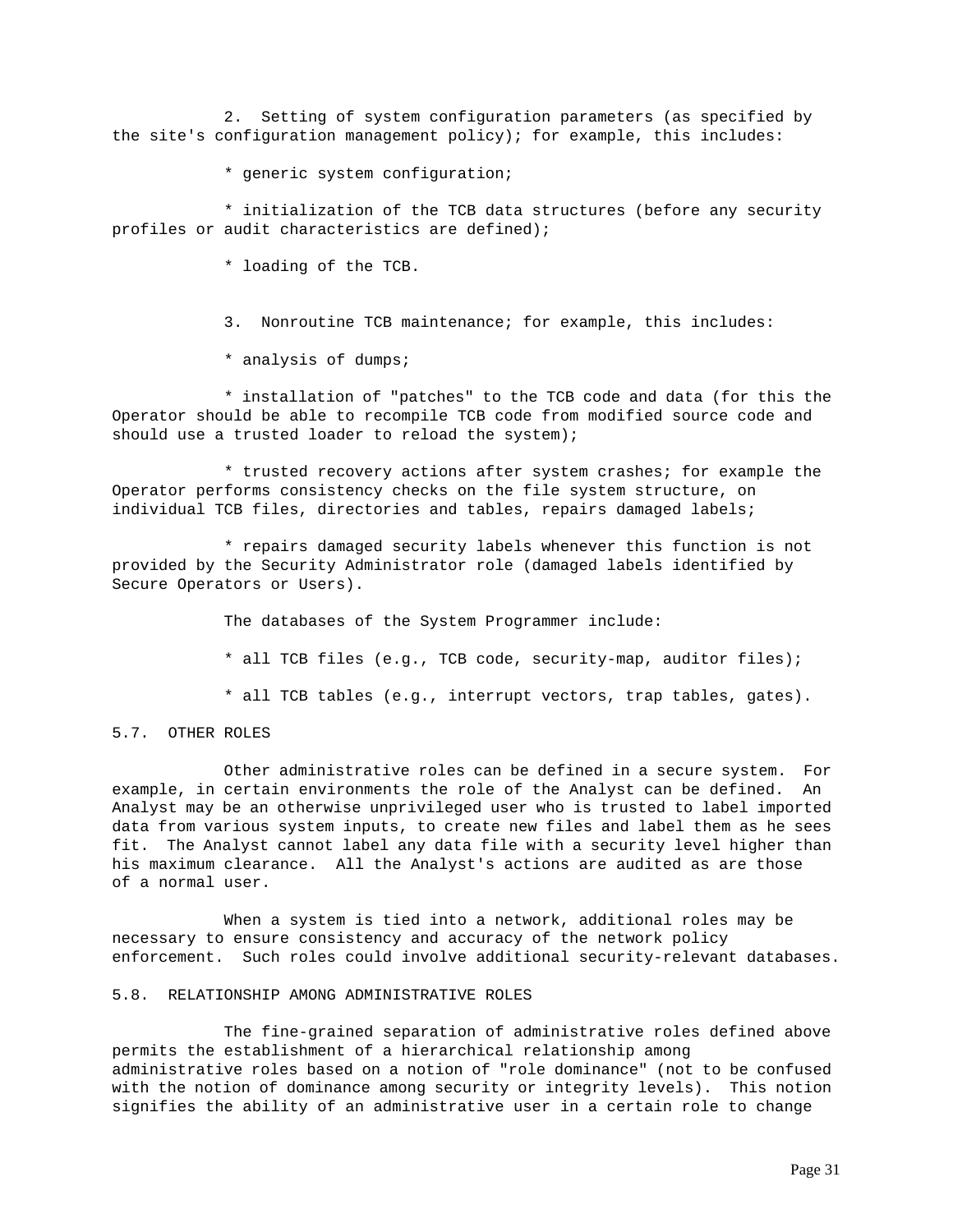2. Setting of system configuration parameters (as specified by the site's configuration management policy); for example, this includes:

\* generic system configuration;

\* initialization of the TCB data structures (before any security profiles or audit characteristics are defined);

\* loading of the TCB.

3. Nonroutine TCB maintenance; for example, this includes:

\* analysis of dumps;

\* installation of "patches" to the TCB code and data (for this the Operator should be able to recompile TCB code from modified source code and should use a trusted loader to reload the system);

\* trusted recovery actions after system crashes; for example the Operator performs consistency checks on the file system structure, on individual TCB files, directories and tables, repairs damaged labels;

\* repairs damaged security labels whenever this function is not provided by the Security Administrator role (damaged labels identified by Secure Operators or Users).

The databases of the System Programmer include:

- \* all TCB files (e.g., TCB code, security-map, auditor files);
- \* all TCB tables (e.g., interrupt vectors, trap tables, gates).

5.7. OTHER ROLES

Other administrative roles can be defined in a secure system. For example, in certain environments the role of the Analyst can be defined. An Analyst may be an otherwise unprivileged user who is trusted to label imported data from various system inputs, to create new files and label them as he sees fit. The Analyst cannot label any data file with a security level higher than his maximum clearance. All the Analyst's actions are audited as are those of a normal user.

When a system is tied into a network, additional roles may be necessary to ensure consistency and accuracy of the network policy enforcement. Such roles could involve additional security-relevant databases.

# 5.8. RELATIONSHIP AMONG ADMINISTRATIVE ROLES

The fine-grained separation of administrative roles defined above permits the establishment of a hierarchical relationship among administrative roles based on a notion of "role dominance" (not to be confused with the notion of dominance among security or integrity levels). This notion signifies the ability of an administrative user in a certain role to change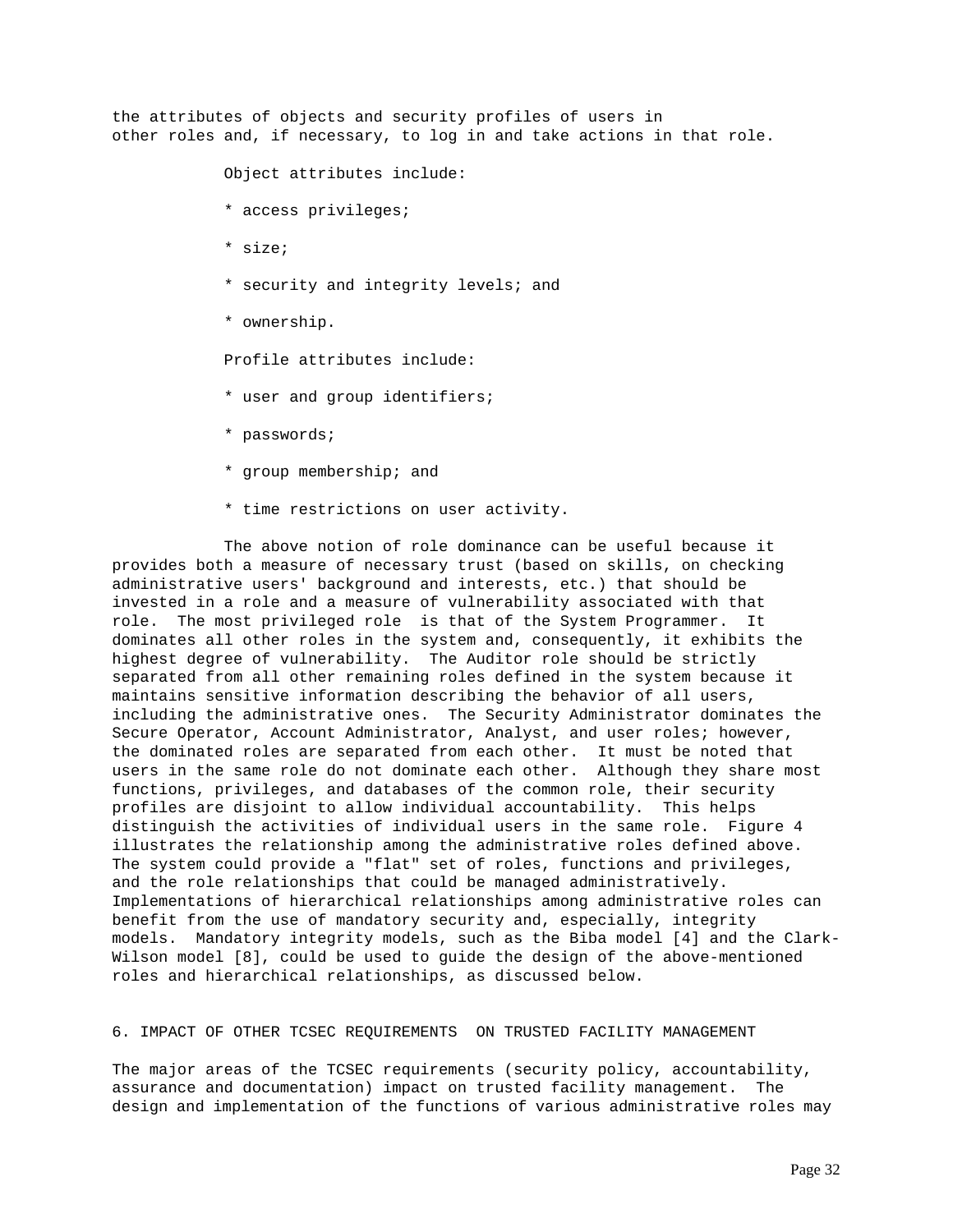the attributes of objects and security profiles of users in other roles and, if necessary, to log in and take actions in that role.

Object attributes include:

- \* access privileges;
- \* size;
- \* security and integrity levels; and
- \* ownership.

Profile attributes include:

- \* user and group identifiers;
- \* passwords;
- \* group membership; and
- \* time restrictions on user activity.

The above notion of role dominance can be useful because it provides both a measure of necessary trust (based on skills, on checking administrative users' background and interests, etc.) that should be invested in a role and a measure of vulnerability associated with that role. The most privileged role is that of the System Programmer. It dominates all other roles in the system and, consequently, it exhibits the highest degree of vulnerability. The Auditor role should be strictly separated from all other remaining roles defined in the system because it maintains sensitive information describing the behavior of all users, including the administrative ones. The Security Administrator dominates the Secure Operator, Account Administrator, Analyst, and user roles; however, the dominated roles are separated from each other. It must be noted that users in the same role do not dominate each other. Although they share most functions, privileges, and databases of the common role, their security profiles are disjoint to allow individual accountability. This helps distinguish the activities of individual users in the same role. Figure 4 illustrates the relationship among the administrative roles defined above. The system could provide a "flat" set of roles, functions and privileges, and the role relationships that could be managed administratively. Implementations of hierarchical relationships among administrative roles can benefit from the use of mandatory security and, especially, integrity models. Mandatory integrity models, such as the Biba model [4] and the Clark-Wilson model [8], could be used to guide the design of the above-mentioned roles and hierarchical relationships, as discussed below.

## 6. IMPACT OF OTHER TCSEC REQUIREMENTS ON TRUSTED FACILITY MANAGEMENT

The major areas of the TCSEC requirements (security policy, accountability, assurance and documentation) impact on trusted facility management. The design and implementation of the functions of various administrative roles may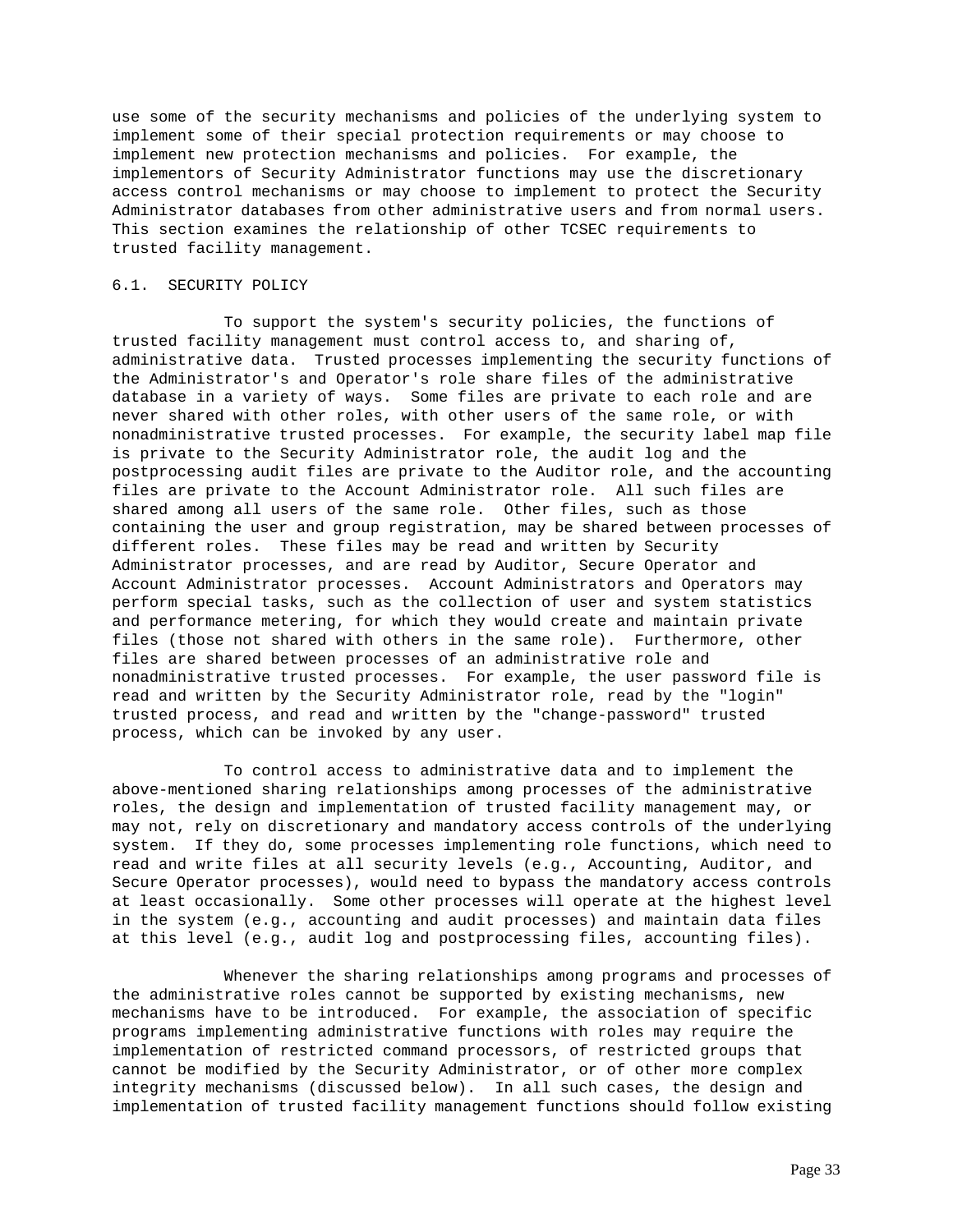use some of the security mechanisms and policies of the underlying system to implement some of their special protection requirements or may choose to implement new protection mechanisms and policies. For example, the implementors of Security Administrator functions may use the discretionary access control mechanisms or may choose to implement to protect the Security Administrator databases from other administrative users and from normal users. This section examines the relationship of other TCSEC requirements to trusted facility management.

# 6.1. SECURITY POLICY

To support the system's security policies, the functions of trusted facility management must control access to, and sharing of, administrative data. Trusted processes implementing the security functions of the Administrator's and Operator's role share files of the administrative database in a variety of ways. Some files are private to each role and are never shared with other roles, with other users of the same role, or with nonadministrative trusted processes. For example, the security label map file is private to the Security Administrator role, the audit log and the postprocessing audit files are private to the Auditor role, and the accounting files are private to the Account Administrator role. All such files are shared among all users of the same role. Other files, such as those containing the user and group registration, may be shared between processes of different roles. These files may be read and written by Security Administrator processes, and are read by Auditor, Secure Operator and Account Administrator processes. Account Administrators and Operators may perform special tasks, such as the collection of user and system statistics and performance metering, for which they would create and maintain private files (those not shared with others in the same role). Furthermore, other files are shared between processes of an administrative role and nonadministrative trusted processes. For example, the user password file is read and written by the Security Administrator role, read by the "login" trusted process, and read and written by the "change-password" trusted process, which can be invoked by any user.

To control access to administrative data and to implement the above-mentioned sharing relationships among processes of the administrative roles, the design and implementation of trusted facility management may, or may not, rely on discretionary and mandatory access controls of the underlying system. If they do, some processes implementing role functions, which need to read and write files at all security levels (e.g., Accounting, Auditor, and Secure Operator processes), would need to bypass the mandatory access controls at least occasionally. Some other processes will operate at the highest level in the system (e.g., accounting and audit processes) and maintain data files at this level (e.g., audit log and postprocessing files, accounting files).

Whenever the sharing relationships among programs and processes of the administrative roles cannot be supported by existing mechanisms, new mechanisms have to be introduced. For example, the association of specific programs implementing administrative functions with roles may require the implementation of restricted command processors, of restricted groups that cannot be modified by the Security Administrator, or of other more complex integrity mechanisms (discussed below). In all such cases, the design and implementation of trusted facility management functions should follow existing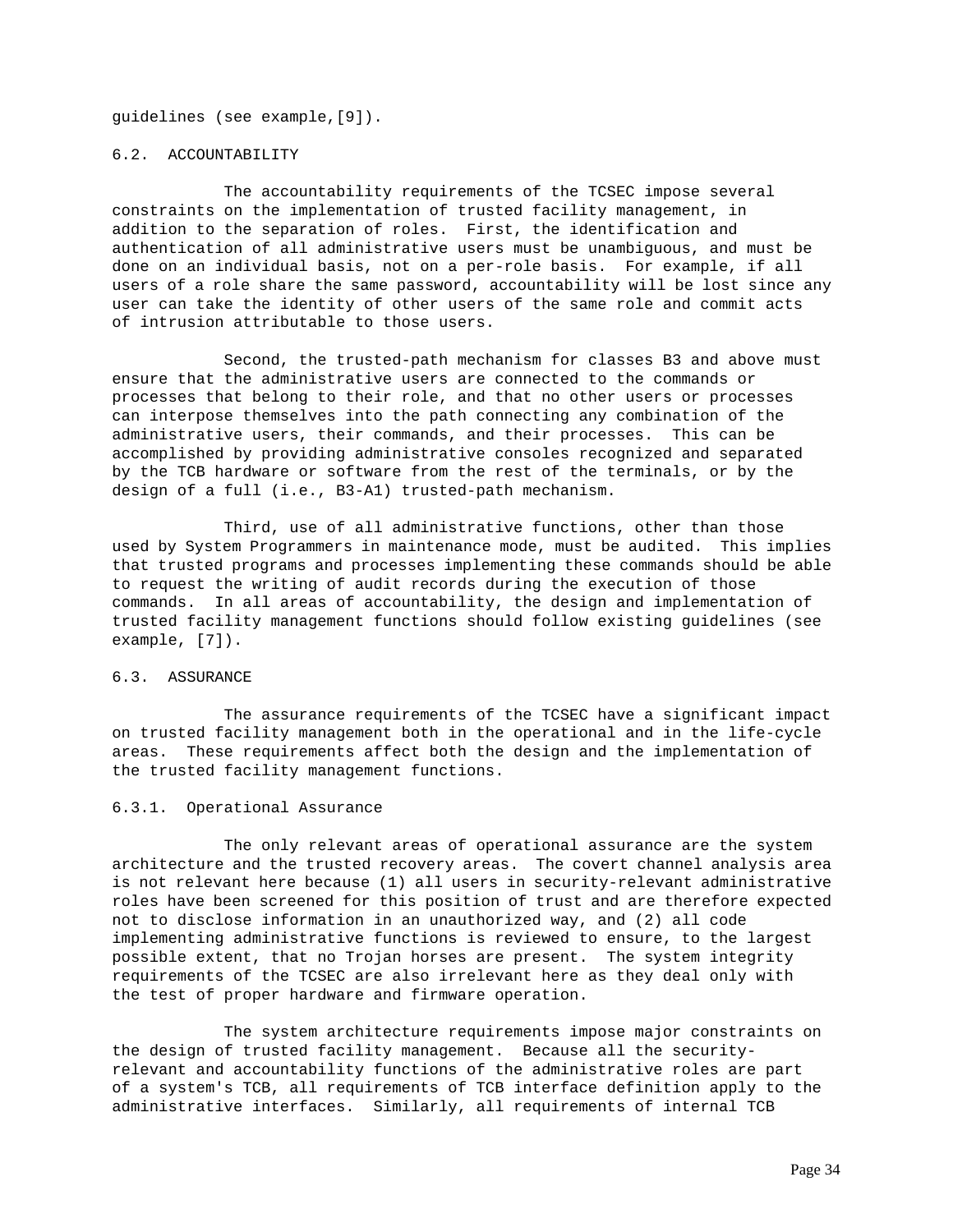guidelines (see example,[9]).

### 6.2. ACCOUNTABILITY

The accountability requirements of the TCSEC impose several constraints on the implementation of trusted facility management, in addition to the separation of roles. First, the identification and authentication of all administrative users must be unambiguous, and must be done on an individual basis, not on a per-role basis. For example, if all users of a role share the same password, accountability will be lost since any user can take the identity of other users of the same role and commit acts of intrusion attributable to those users.

Second, the trusted-path mechanism for classes B3 and above must ensure that the administrative users are connected to the commands or processes that belong to their role, and that no other users or processes can interpose themselves into the path connecting any combination of the administrative users, their commands, and their processes. This can be accomplished by providing administrative consoles recognized and separated by the TCB hardware or software from the rest of the terminals, or by the design of a full (i.e., B3-A1) trusted-path mechanism.

Third, use of all administrative functions, other than those used by System Programmers in maintenance mode, must be audited. This implies that trusted programs and processes implementing these commands should be able to request the writing of audit records during the execution of those commands. In all areas of accountability, the design and implementation of trusted facility management functions should follow existing guidelines (see example, [7]).

# 6.3. ASSURANCE

The assurance requirements of the TCSEC have a significant impact on trusted facility management both in the operational and in the life-cycle areas. These requirements affect both the design and the implementation of the trusted facility management functions.

#### 6.3.1. Operational Assurance

The only relevant areas of operational assurance are the system architecture and the trusted recovery areas. The covert channel analysis area is not relevant here because (1) all users in security-relevant administrative roles have been screened for this position of trust and are therefore expected not to disclose information in an unauthorized way, and (2) all code implementing administrative functions is reviewed to ensure, to the largest possible extent, that no Trojan horses are present. The system integrity requirements of the TCSEC are also irrelevant here as they deal only with the test of proper hardware and firmware operation.

The system architecture requirements impose major constraints on the design of trusted facility management. Because all the securityrelevant and accountability functions of the administrative roles are part of a system's TCB, all requirements of TCB interface definition apply to the administrative interfaces. Similarly, all requirements of internal TCB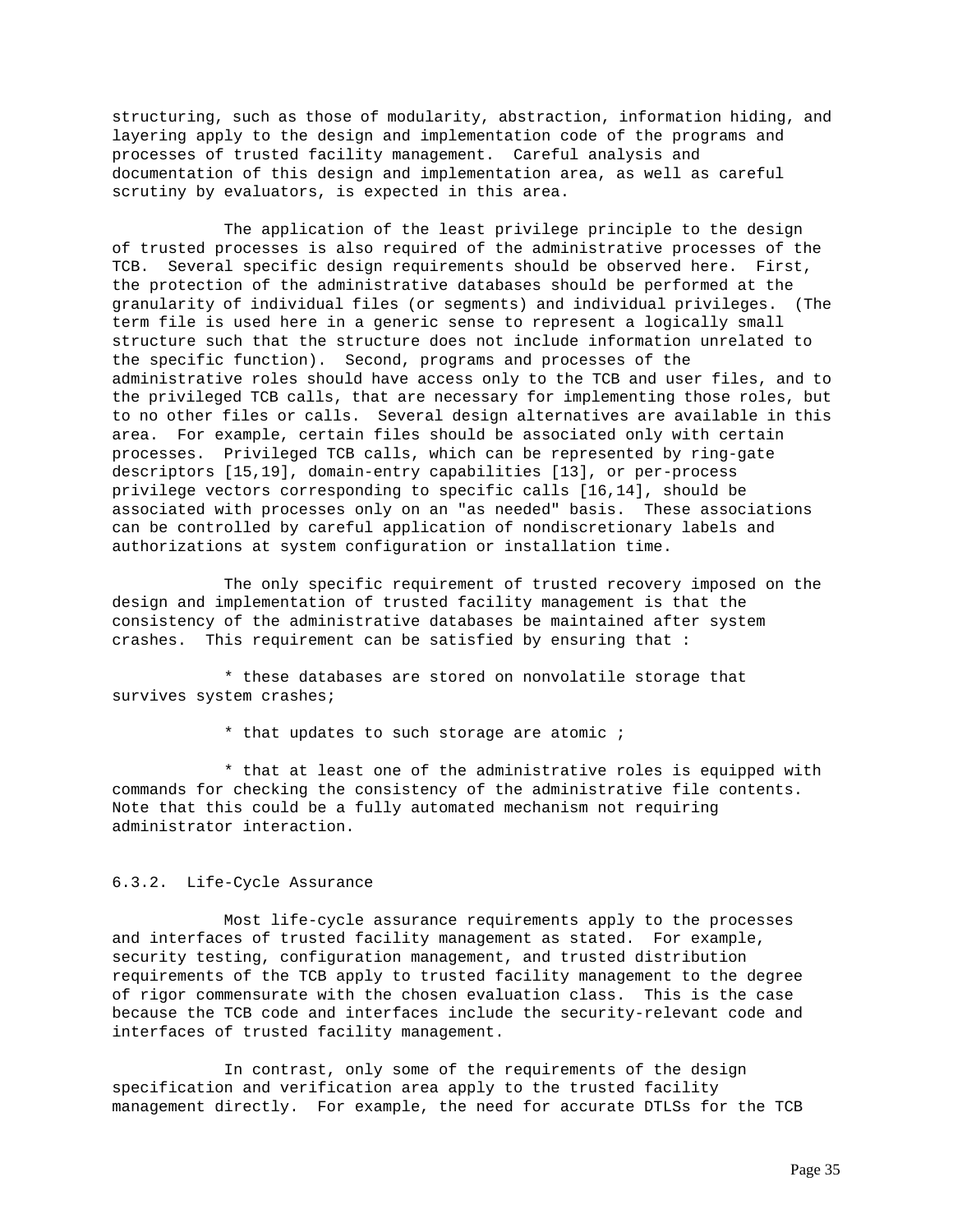structuring, such as those of modularity, abstraction, information hiding, and layering apply to the design and implementation code of the programs and processes of trusted facility management. Careful analysis and documentation of this design and implementation area, as well as careful scrutiny by evaluators, is expected in this area.

The application of the least privilege principle to the design of trusted processes is also required of the administrative processes of the TCB. Several specific design requirements should be observed here. First, the protection of the administrative databases should be performed at the granularity of individual files (or segments) and individual privileges. (The term file is used here in a generic sense to represent a logically small structure such that the structure does not include information unrelated to the specific function). Second, programs and processes of the administrative roles should have access only to the TCB and user files, and to the privileged TCB calls, that are necessary for implementing those roles, but to no other files or calls. Several design alternatives are available in this area. For example, certain files should be associated only with certain processes. Privileged TCB calls, which can be represented by ring-gate descriptors [15,19], domain-entry capabilities [13], or per-process privilege vectors corresponding to specific calls [16,14], should be associated with processes only on an "as needed" basis. These associations can be controlled by careful application of nondiscretionary labels and authorizations at system configuration or installation time.

The only specific requirement of trusted recovery imposed on the design and implementation of trusted facility management is that the consistency of the administrative databases be maintained after system crashes. This requirement can be satisfied by ensuring that :

\* these databases are stored on nonvolatile storage that survives system crashes;

\* that updates to such storage are atomic ;

\* that at least one of the administrative roles is equipped with commands for checking the consistency of the administrative file contents. Note that this could be a fully automated mechanism not requiring administrator interaction.

# 6.3.2. Life-Cycle Assurance

Most life-cycle assurance requirements apply to the processes and interfaces of trusted facility management as stated. For example, security testing, configuration management, and trusted distribution requirements of the TCB apply to trusted facility management to the degree of rigor commensurate with the chosen evaluation class. This is the case because the TCB code and interfaces include the security-relevant code and interfaces of trusted facility management.

In contrast, only some of the requirements of the design specification and verification area apply to the trusted facility management directly. For example, the need for accurate DTLSs for the TCB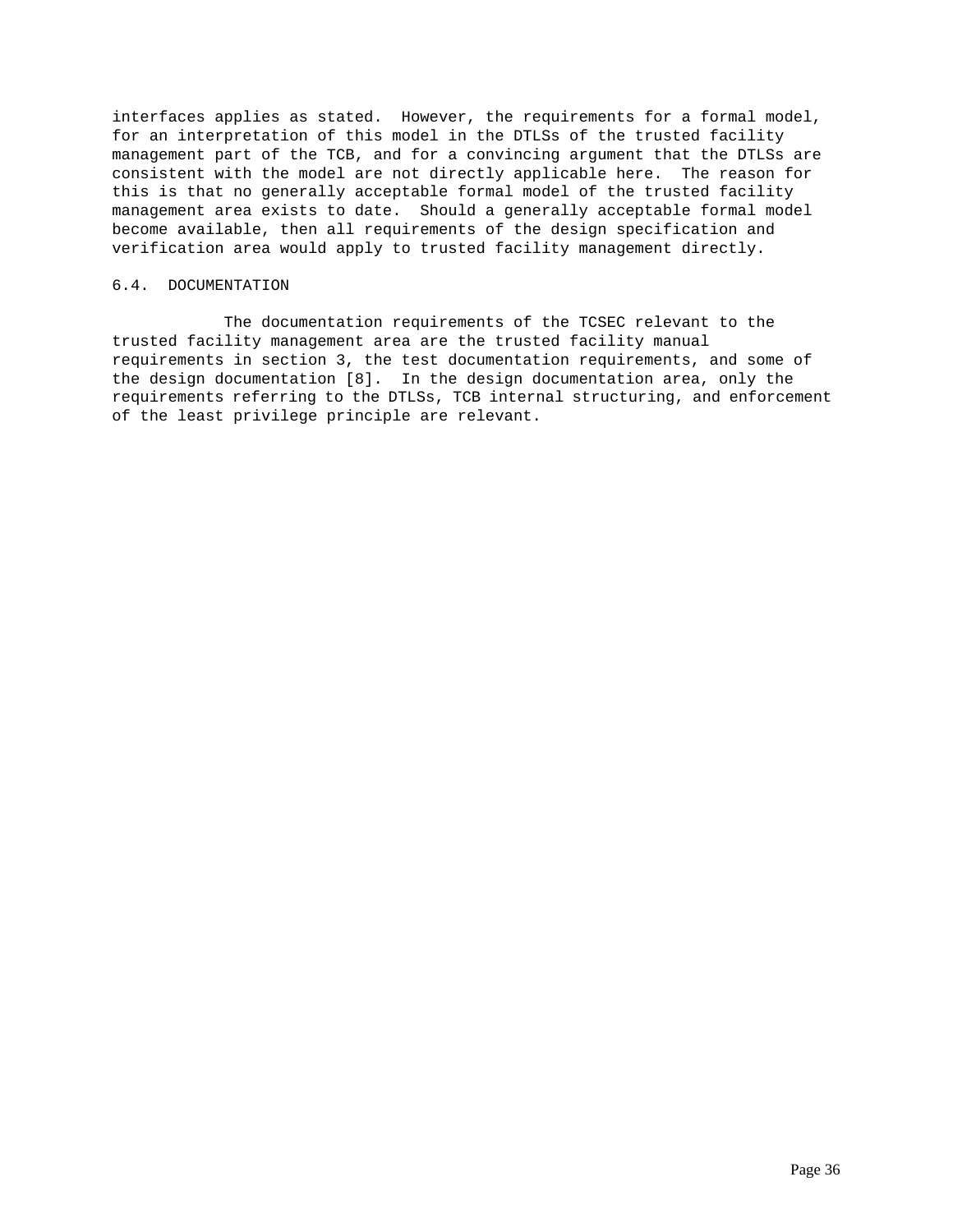interfaces applies as stated. However, the requirements for a formal model, for an interpretation of this model in the DTLSs of the trusted facility management part of the TCB, and for a convincing argument that the DTLSs are consistent with the model are not directly applicable here. The reason for this is that no generally acceptable formal model of the trusted facility management area exists to date. Should a generally acceptable formal model become available, then all requirements of the design specification and verification area would apply to trusted facility management directly.

# 6.4. DOCUMENTATION

The documentation requirements of the TCSEC relevant to the trusted facility management area are the trusted facility manual requirements in section 3, the test documentation requirements, and some of the design documentation [8]. In the design documentation area, only the requirements referring to the DTLSs, TCB internal structuring, and enforcement of the least privilege principle are relevant.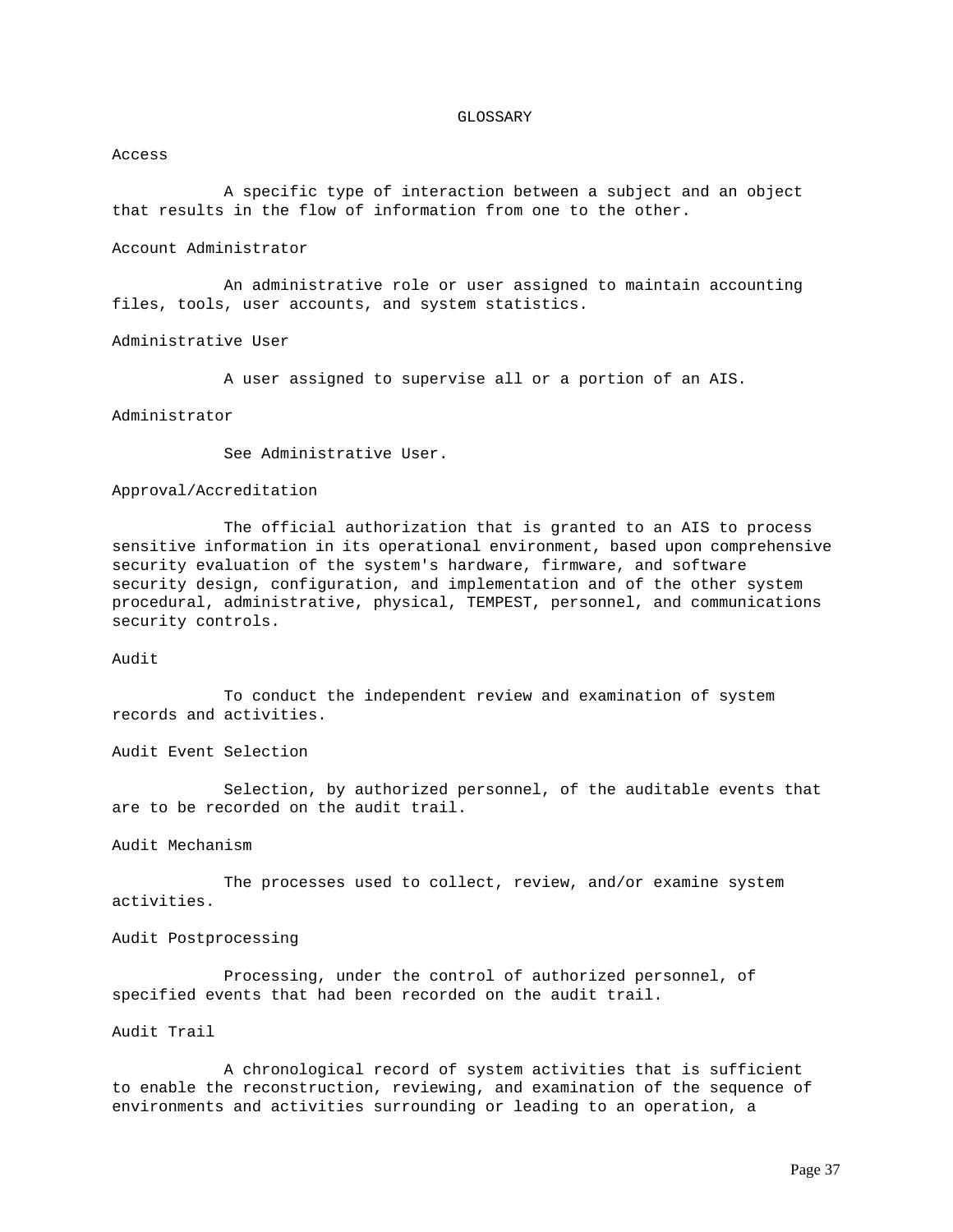### GLOSSARY

#### Access

A specific type of interaction between a subject and an object that results in the flow of information from one to the other.

# Account Administrator

An administrative role or user assigned to maintain accounting files, tools, user accounts, and system statistics.

Administrative User

A user assigned to supervise all or a portion of an AIS.

## Administrator

See Administrative User.

### Approval/Accreditation

The official authorization that is granted to an AIS to process sensitive information in its operational environment, based upon comprehensive security evaluation of the system's hardware, firmware, and software security design, configuration, and implementation and of the other system procedural, administrative, physical, TEMPEST, personnel, and communications security controls.

# Audit

To conduct the independent review and examination of system records and activities.

Audit Event Selection

Selection, by authorized personnel, of the auditable events that are to be recorded on the audit trail.

Audit Mechanism

The processes used to collect, review, and/or examine system activities.

Audit Postprocessing

Processing, under the control of authorized personnel, of specified events that had been recorded on the audit trail.

### Audit Trail

A chronological record of system activities that is sufficient to enable the reconstruction, reviewing, and examination of the sequence of environments and activities surrounding or leading to an operation, a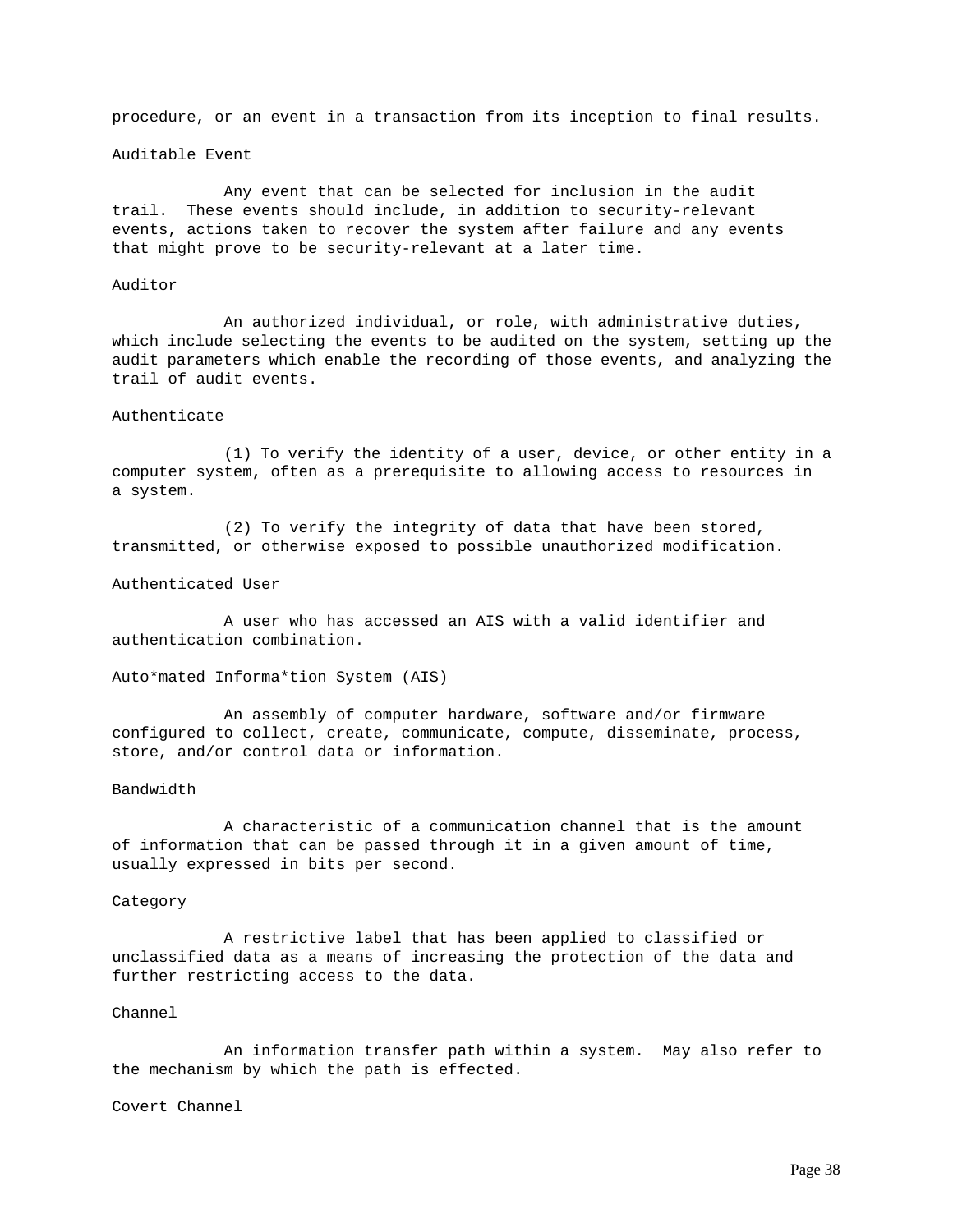procedure, or an event in a transaction from its inception to final results.

#### Auditable Event

Any event that can be selected for inclusion in the audit trail. These events should include, in addition to security-relevant events, actions taken to recover the system after failure and any events that might prove to be security-relevant at a later time.

# Auditor

An authorized individual, or role, with administrative duties, which include selecting the events to be audited on the system, setting up the audit parameters which enable the recording of those events, and analyzing the trail of audit events.

### Authenticate

(1) To verify the identity of a user, device, or other entity in a computer system, often as a prerequisite to allowing access to resources in a system.

(2) To verify the integrity of data that have been stored, transmitted, or otherwise exposed to possible unauthorized modification.

# Authenticated User

A user who has accessed an AIS with a valid identifier and authentication combination.

Auto\*mated Informa\*tion System (AIS)

An assembly of computer hardware, software and/or firmware configured to collect, create, communicate, compute, disseminate, process, store, and/or control data or information.

# Bandwidth

A characteristic of a communication channel that is the amount of information that can be passed through it in a given amount of time, usually expressed in bits per second.

#### Category

A restrictive label that has been applied to classified or unclassified data as a means of increasing the protection of the data and further restricting access to the data.

#### Channel

An information transfer path within a system. May also refer to the mechanism by which the path is effected.

Covert Channel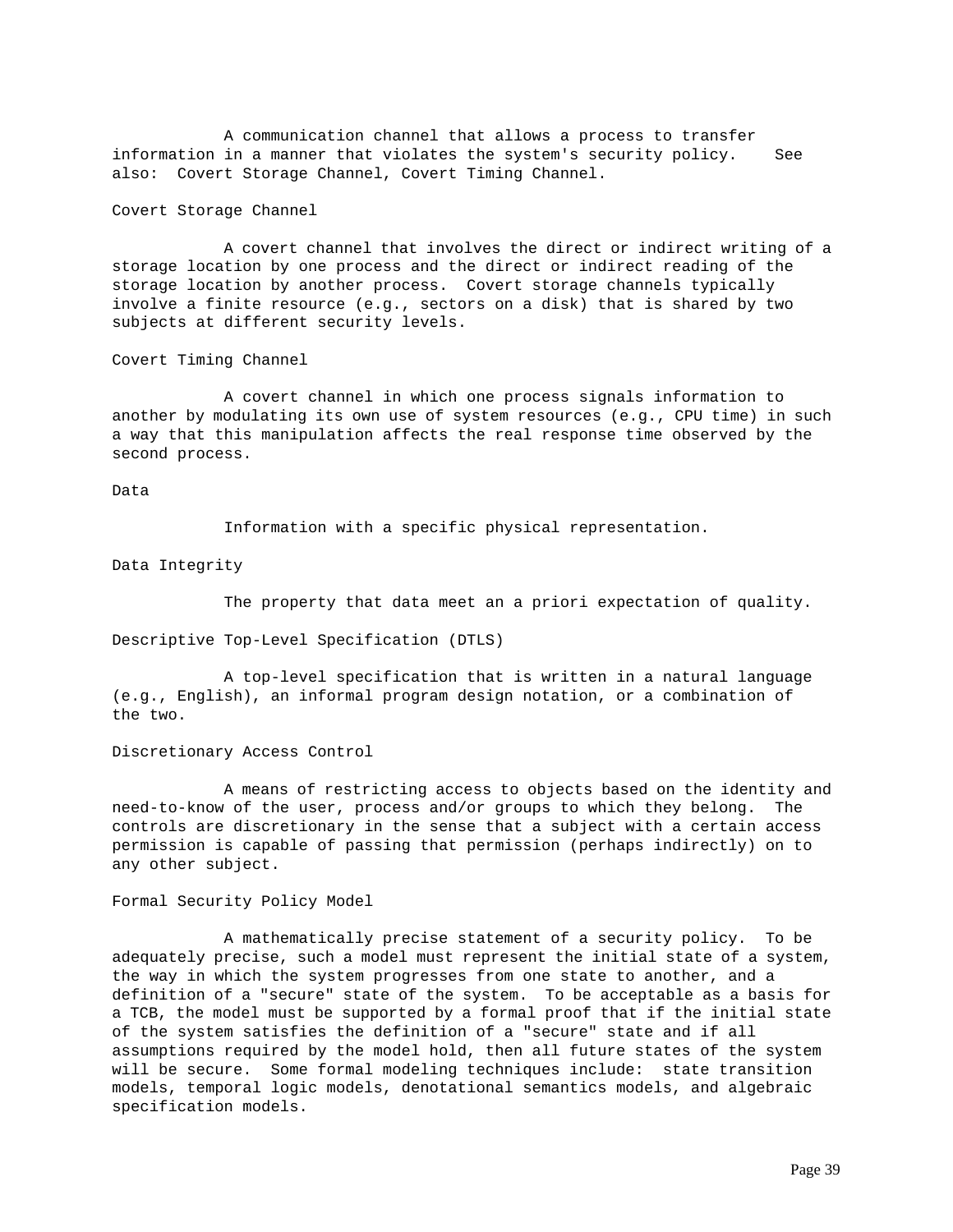A communication channel that allows a process to transfer information in a manner that violates the system's security policy. See also: Covert Storage Channel, Covert Timing Channel.

Covert Storage Channel

A covert channel that involves the direct or indirect writing of a storage location by one process and the direct or indirect reading of the storage location by another process. Covert storage channels typically involve a finite resource (e.g., sectors on a disk) that is shared by two subjects at different security levels.

Covert Timing Channel

A covert channel in which one process signals information to another by modulating its own use of system resources (e.g., CPU time) in such a way that this manipulation affects the real response time observed by the second process.

Data

Information with a specific physical representation.

Data Integrity

The property that data meet an a priori expectation of quality.

Descriptive Top-Level Specification (DTLS)

A top-level specification that is written in a natural language (e.g., English), an informal program design notation, or a combination of the two.

Discretionary Access Control

A means of restricting access to objects based on the identity and need-to-know of the user, process and/or groups to which they belong. The controls are discretionary in the sense that a subject with a certain access permission is capable of passing that permission (perhaps indirectly) on to any other subject.

Formal Security Policy Model

A mathematically precise statement of a security policy. To be adequately precise, such a model must represent the initial state of a system, the way in which the system progresses from one state to another, and a definition of a "secure" state of the system. To be acceptable as a basis for a TCB, the model must be supported by a formal proof that if the initial state of the system satisfies the definition of a "secure" state and if all assumptions required by the model hold, then all future states of the system will be secure. Some formal modeling techniques include: state transition models, temporal logic models, denotational semantics models, and algebraic specification models.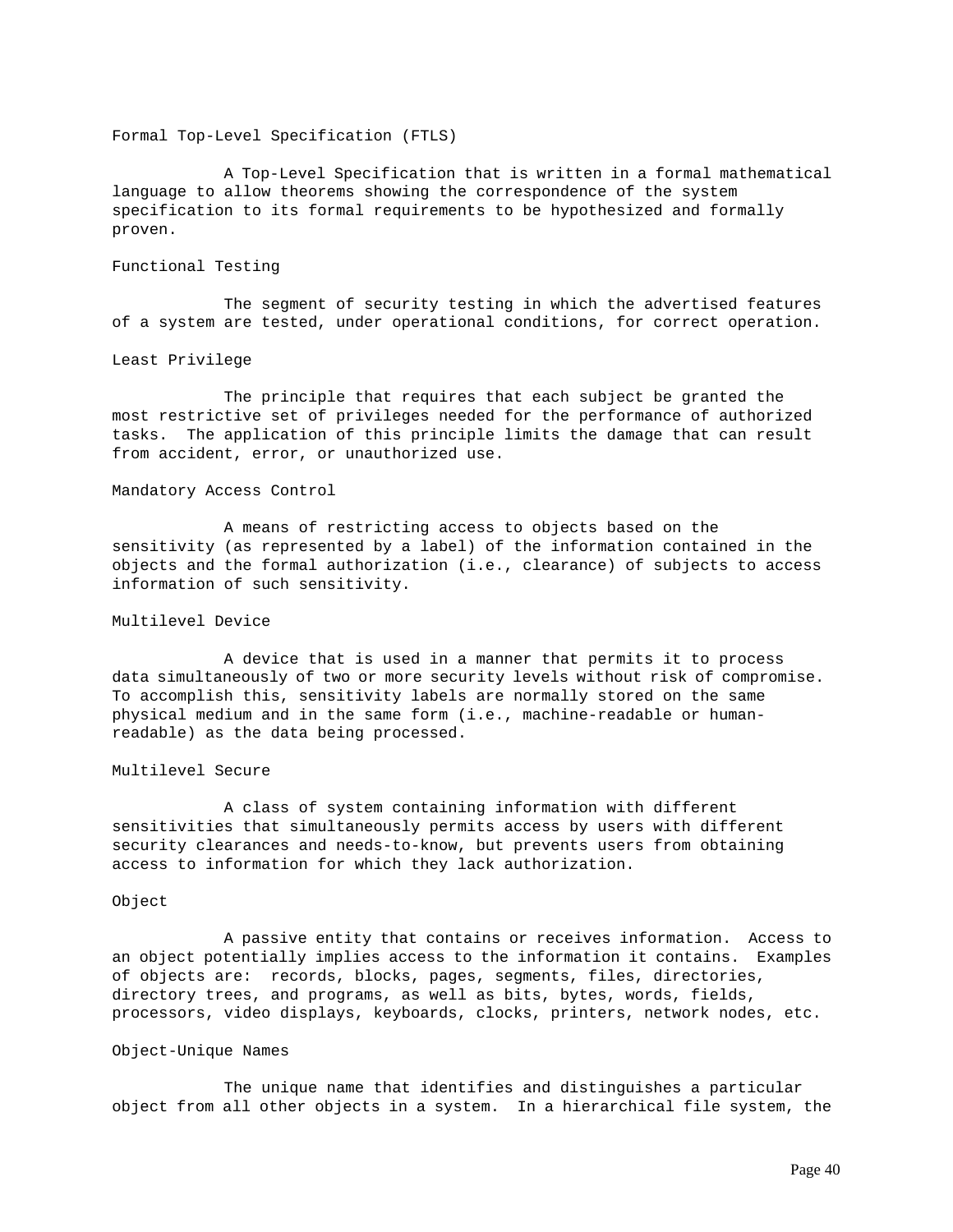Formal Top-Level Specification (FTLS)

A Top-Level Specification that is written in a formal mathematical language to allow theorems showing the correspondence of the system specification to its formal requirements to be hypothesized and formally proven.

# Functional Testing

The segment of security testing in which the advertised features of a system are tested, under operational conditions, for correct operation.

#### Least Privilege

The principle that requires that each subject be granted the most restrictive set of privileges needed for the performance of authorized tasks. The application of this principle limits the damage that can result from accident, error, or unauthorized use.

#### Mandatory Access Control

A means of restricting access to objects based on the sensitivity (as represented by a label) of the information contained in the objects and the formal authorization (i.e., clearance) of subjects to access information of such sensitivity.

# Multilevel Device

A device that is used in a manner that permits it to process data simultaneously of two or more security levels without risk of compromise. To accomplish this, sensitivity labels are normally stored on the same physical medium and in the same form (i.e., machine-readable or humanreadable) as the data being processed.

# Multilevel Secure

A class of system containing information with different sensitivities that simultaneously permits access by users with different security clearances and needs-to-know, but prevents users from obtaining access to information for which they lack authorization.

#### Object

A passive entity that contains or receives information. Access to an object potentially implies access to the information it contains. Examples of objects are: records, blocks, pages, segments, files, directories, directory trees, and programs, as well as bits, bytes, words, fields, processors, video displays, keyboards, clocks, printers, network nodes, etc.

### Object-Unique Names

The unique name that identifies and distinguishes a particular object from all other objects in a system. In a hierarchical file system, the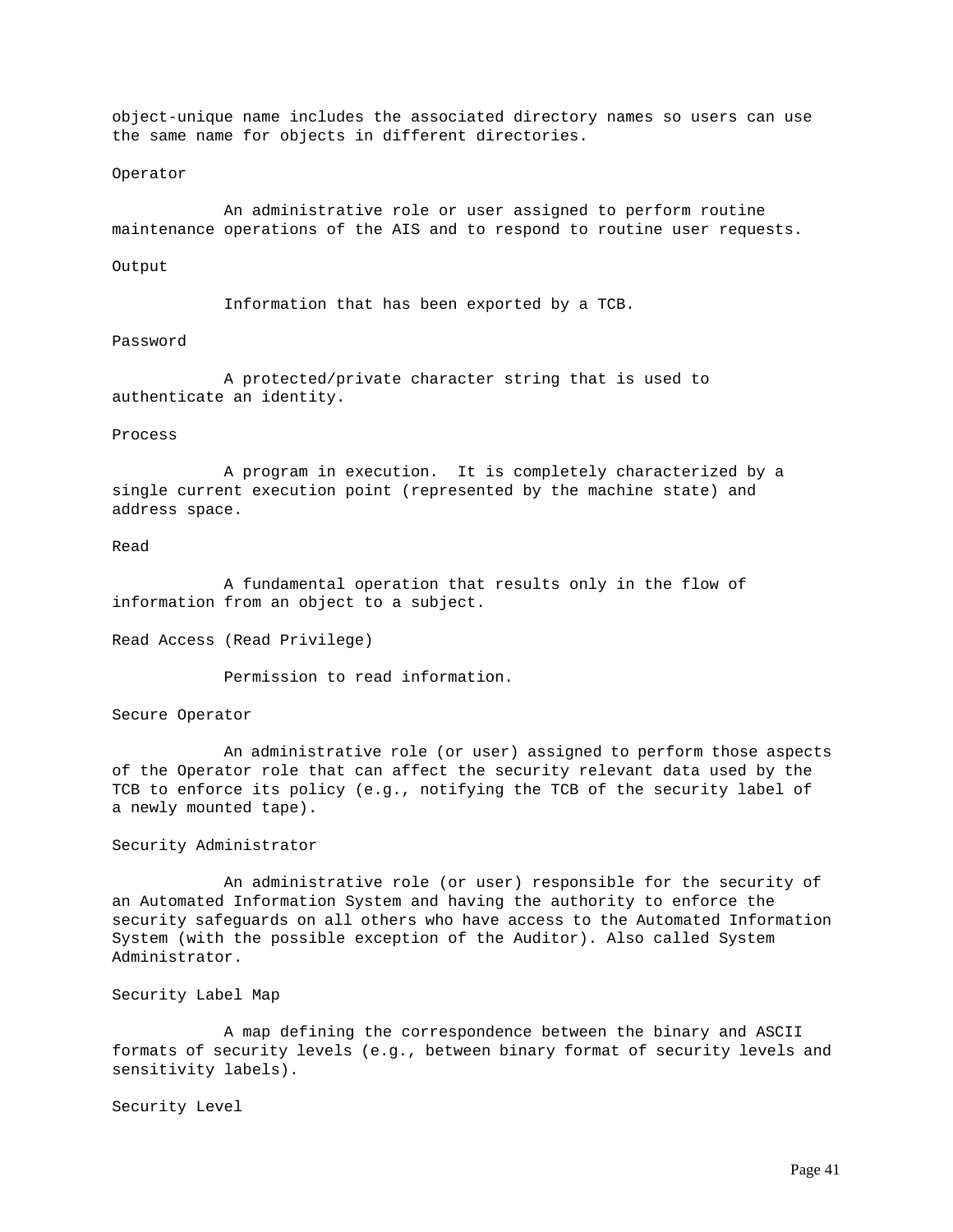object-unique name includes the associated directory names so users can use the same name for objects in different directories.

#### Operator

An administrative role or user assigned to perform routine maintenance operations of the AIS and to respond to routine user requests.

### Output

Information that has been exported by a TCB.

# Password

A protected/private character string that is used to authenticate an identity.

### Process

A program in execution. It is completely characterized by a single current execution point (represented by the machine state) and address space.

# Read

A fundamental operation that results only in the flow of information from an object to a subject.

Read Access (Read Privilege)

Permission to read information.

#### Secure Operator

An administrative role (or user) assigned to perform those aspects of the Operator role that can affect the security relevant data used by the TCB to enforce its policy (e.g., notifying the TCB of the security label of a newly mounted tape).

### Security Administrator

An administrative role (or user) responsible for the security of an Automated Information System and having the authority to enforce the security safeguards on all others who have access to the Automated Information System (with the possible exception of the Auditor). Also called System Administrator.

## Security Label Map

A map defining the correspondence between the binary and ASCII formats of security levels (e.g., between binary format of security levels and sensitivity labels).

Security Level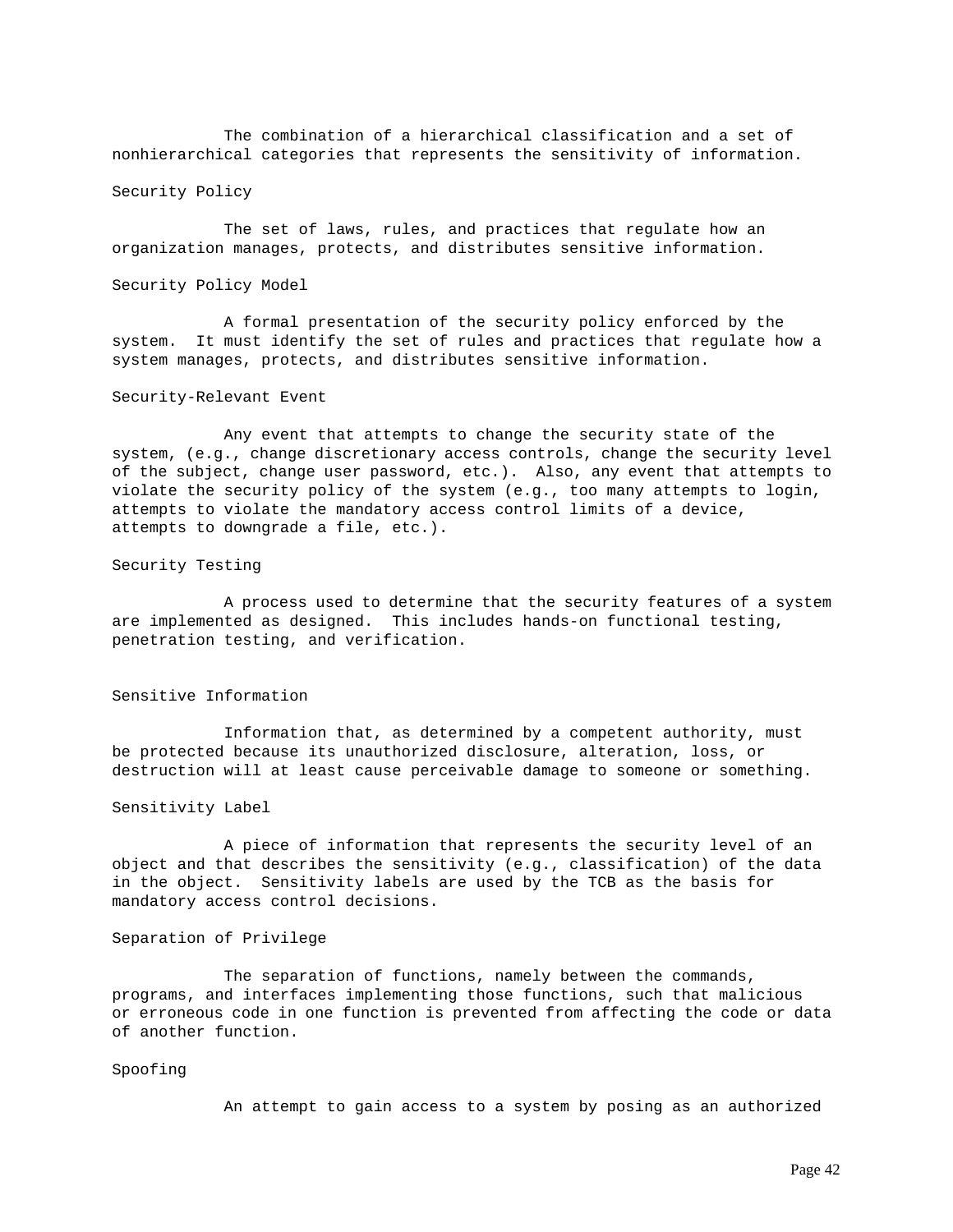The combination of a hierarchical classification and a set of nonhierarchical categories that represents the sensitivity of information.

Security Policy

The set of laws, rules, and practices that regulate how an organization manages, protects, and distributes sensitive information.

Security Policy Model

A formal presentation of the security policy enforced by the system. It must identify the set of rules and practices that regulate how a system manages, protects, and distributes sensitive information.

#### Security-Relevant Event

Any event that attempts to change the security state of the system, (e.g., change discretionary access controls, change the security level of the subject, change user password, etc.). Also, any event that attempts to violate the security policy of the system (e.g., too many attempts to login, attempts to violate the mandatory access control limits of a device, attempts to downgrade a file, etc.).

#### Security Testing

A process used to determine that the security features of a system are implemented as designed. This includes hands-on functional testing, penetration testing, and verification.

Sensitive Information

Information that, as determined by a competent authority, must be protected because its unauthorized disclosure, alteration, loss, or destruction will at least cause perceivable damage to someone or something.

#### Sensitivity Label

A piece of information that represents the security level of an object and that describes the sensitivity (e.g., classification) of the data in the object. Sensitivity labels are used by the TCB as the basis for mandatory access control decisions.

### Separation of Privilege

The separation of functions, namely between the commands, programs, and interfaces implementing those functions, such that malicious or erroneous code in one function is prevented from affecting the code or data of another function.

### Spoofing

An attempt to gain access to a system by posing as an authorized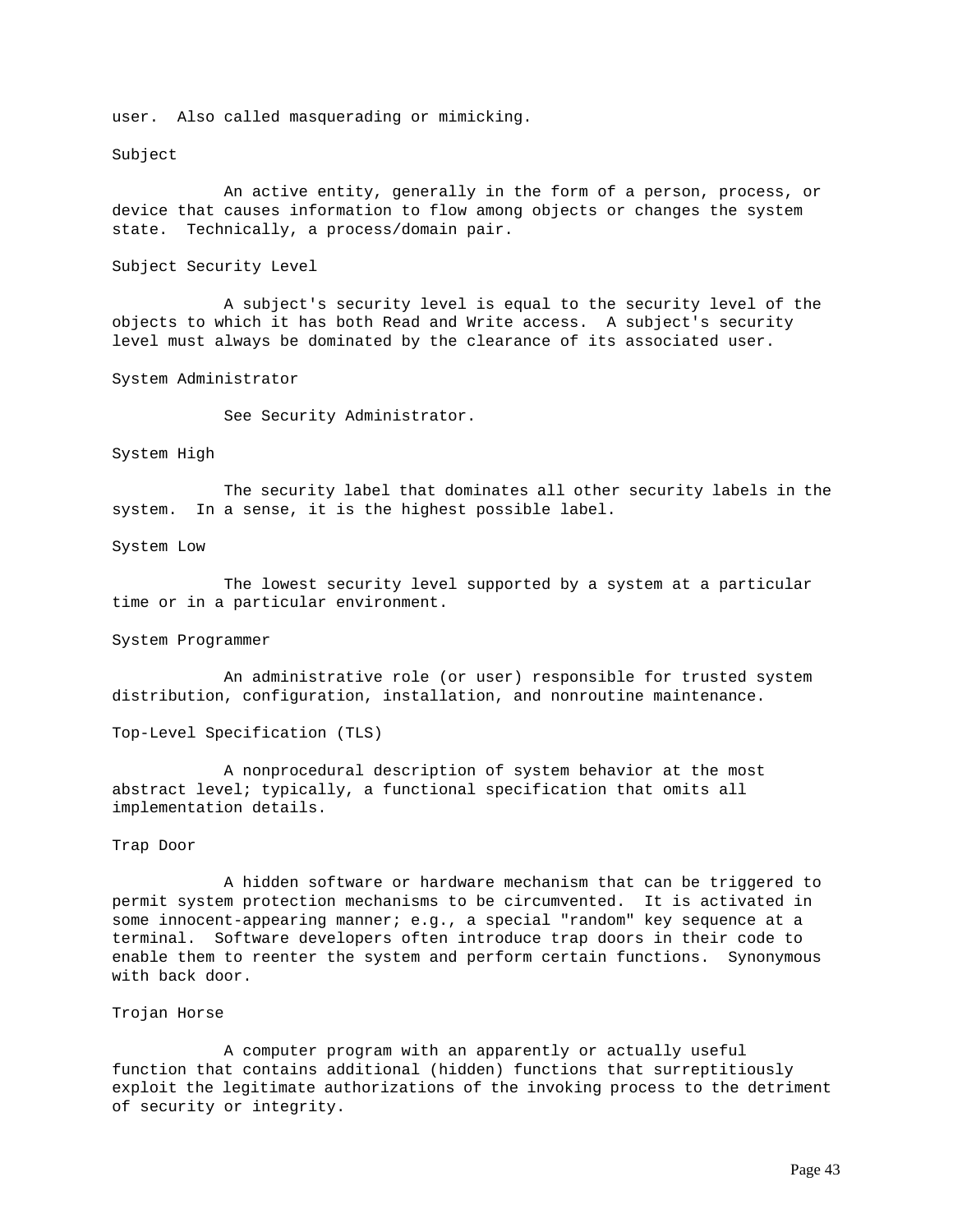user. Also called masquerading or mimicking.

### Subject

An active entity, generally in the form of a person, process, or device that causes information to flow among objects or changes the system state. Technically, a process/domain pair.

Subject Security Level

A subject's security level is equal to the security level of the objects to which it has both Read and Write access. A subject's security level must always be dominated by the clearance of its associated user.

System Administrator

See Security Administrator.

### System High

The security label that dominates all other security labels in the system. In a sense, it is the highest possible label.

### System Low

The lowest security level supported by a system at a particular time or in a particular environment.

### System Programmer

An administrative role (or user) responsible for trusted system distribution, configuration, installation, and nonroutine maintenance.

Top-Level Specification (TLS)

A nonprocedural description of system behavior at the most abstract level; typically, a functional specification that omits all implementation details.

### Trap Door

A hidden software or hardware mechanism that can be triggered to permit system protection mechanisms to be circumvented. It is activated in some innocent-appearing manner; e.g., a special "random" key sequence at a terminal. Software developers often introduce trap doors in their code to enable them to reenter the system and perform certain functions. Synonymous with back door.

#### Trojan Horse

A computer program with an apparently or actually useful function that contains additional (hidden) functions that surreptitiously exploit the legitimate authorizations of the invoking process to the detriment of security or integrity.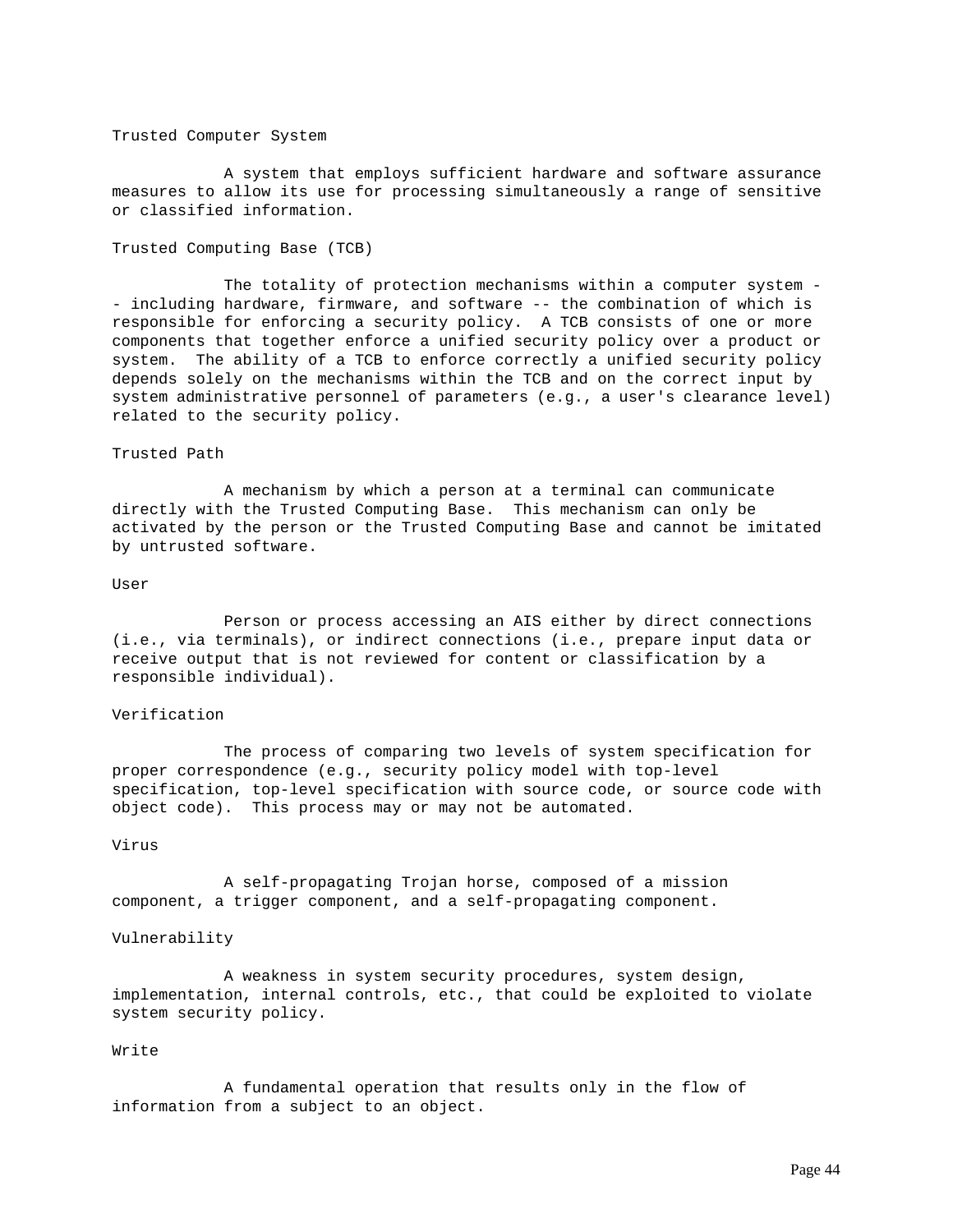### Trusted Computer System

A system that employs sufficient hardware and software assurance measures to allow its use for processing simultaneously a range of sensitive or classified information.

# Trusted Computing Base (TCB)

The totality of protection mechanisms within a computer system - - including hardware, firmware, and software -- the combination of which is responsible for enforcing a security policy. A TCB consists of one or more components that together enforce a unified security policy over a product or system. The ability of a TCB to enforce correctly a unified security policy depends solely on the mechanisms within the TCB and on the correct input by system administrative personnel of parameters (e.g., a user's clearance level) related to the security policy.

# Trusted Path

A mechanism by which a person at a terminal can communicate directly with the Trusted Computing Base. This mechanism can only be activated by the person or the Trusted Computing Base and cannot be imitated by untrusted software.

### User

Person or process accessing an AIS either by direct connections (i.e., via terminals), or indirect connections (i.e., prepare input data or receive output that is not reviewed for content or classification by a responsible individual).

### Verification

The process of comparing two levels of system specification for proper correspondence (e.g., security policy model with top-level specification, top-level specification with source code, or source code with object code). This process may or may not be automated.

### Virus

A self-propagating Trojan horse, composed of a mission component, a trigger component, and a self-propagating component.

# Vulnerability

A weakness in system security procedures, system design, implementation, internal controls, etc., that could be exploited to violate system security policy.

### Write

A fundamental operation that results only in the flow of information from a subject to an object.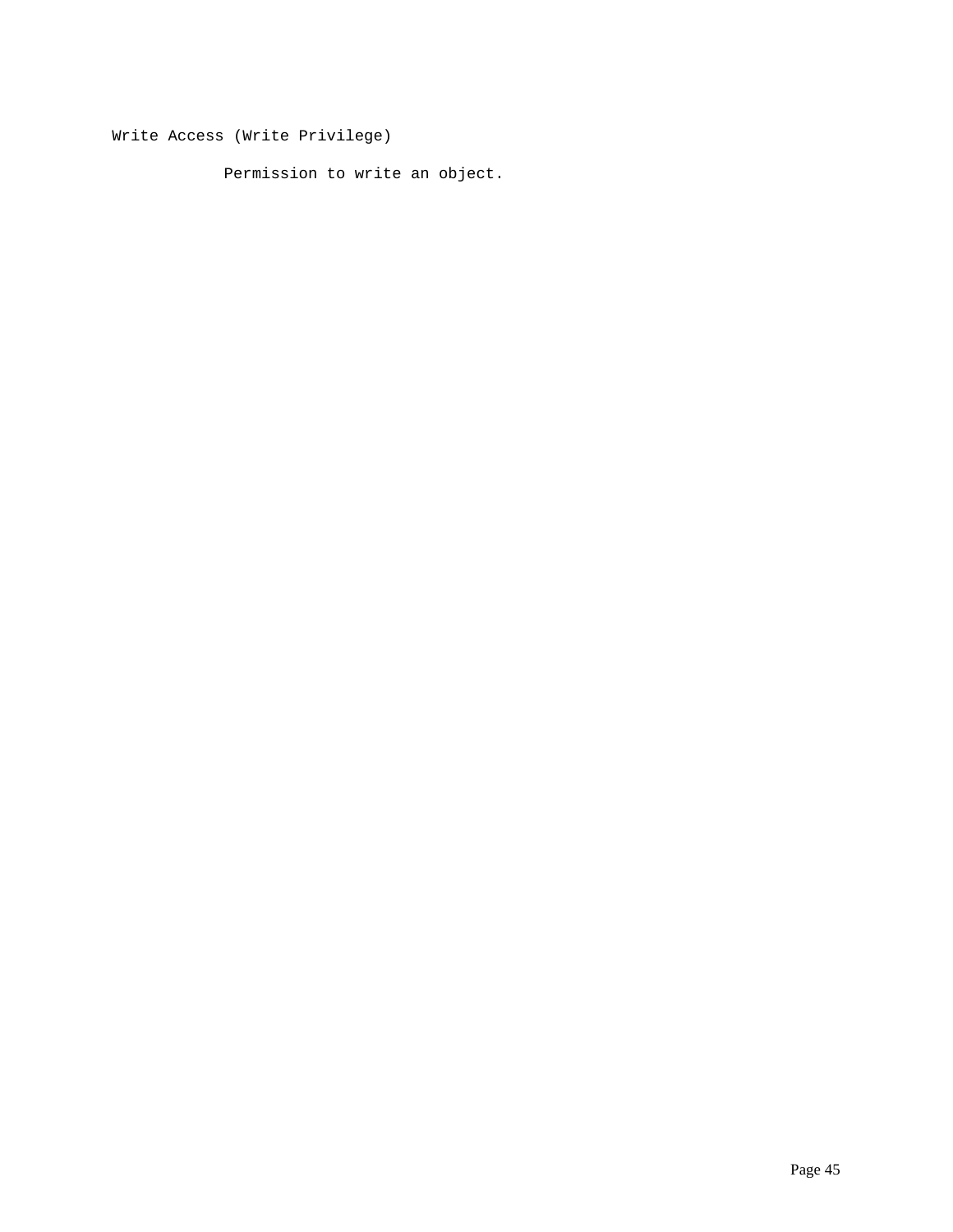Write Access (Write Privilege)

Permission to write an object.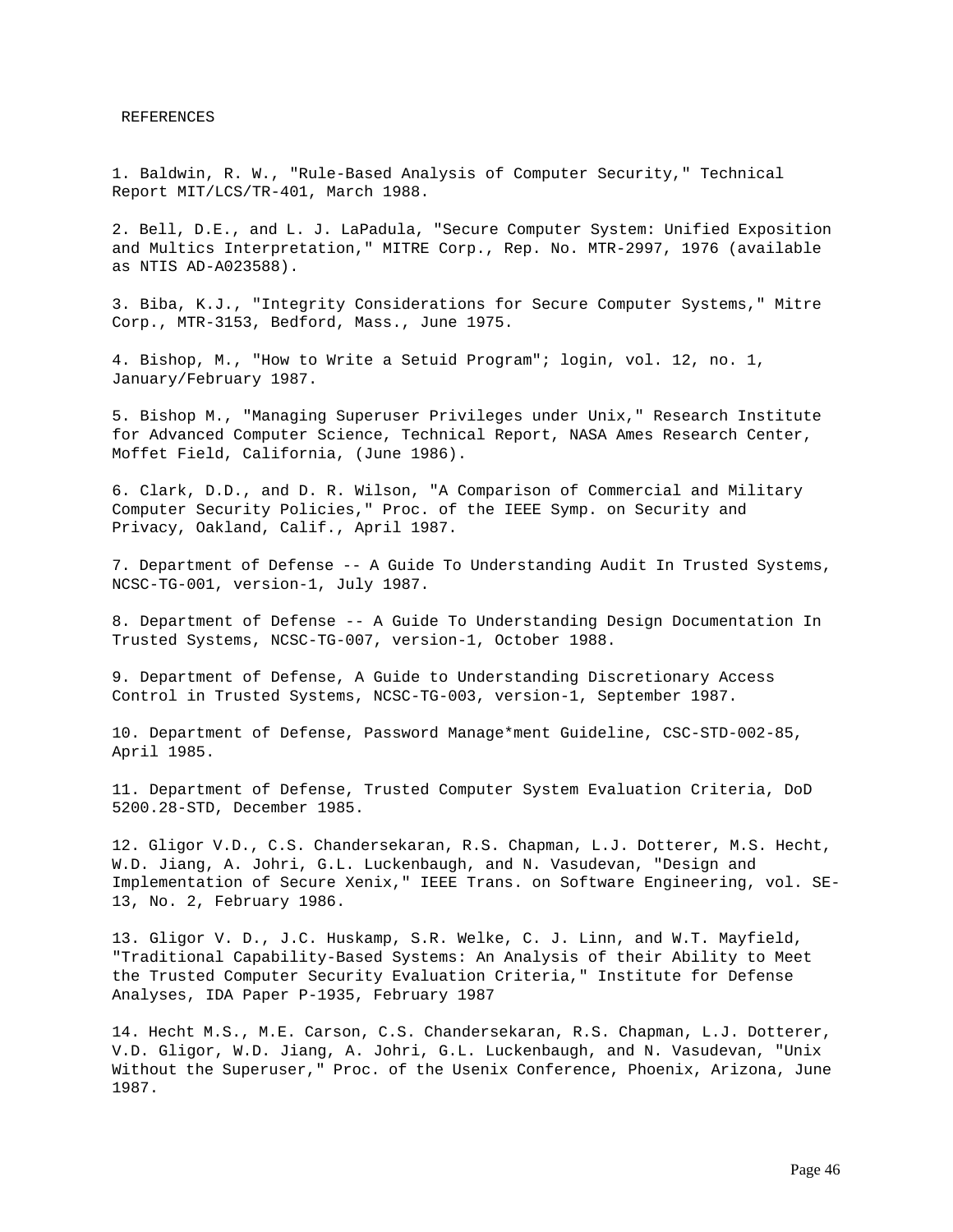REFERENCES

1. Baldwin, R. W., "Rule-Based Analysis of Computer Security," Technical Report MIT/LCS/TR-401, March 1988.

2. Bell, D.E., and L. J. LaPadula, "Secure Computer System: Unified Exposition and Multics Interpretation," MITRE Corp., Rep. No. MTR-2997, 1976 (available as NTIS AD-A023588).

3. Biba, K.J., "Integrity Considerations for Secure Computer Systems," Mitre Corp., MTR-3153, Bedford, Mass., June 1975.

4. Bishop, M., "How to Write a Setuid Program"; login, vol. 12, no. 1, January/February 1987.

5. Bishop M., "Managing Superuser Privileges under Unix," Research Institute for Advanced Computer Science, Technical Report, NASA Ames Research Center, Moffet Field, California, (June 1986).

6. Clark, D.D., and D. R. Wilson, "A Comparison of Commercial and Military Computer Security Policies," Proc. of the IEEE Symp. on Security and Privacy, Oakland, Calif., April 1987.

7. Department of Defense -- A Guide To Understanding Audit In Trusted Systems, NCSC-TG-001, version-1, July 1987.

8. Department of Defense -- A Guide To Understanding Design Documentation In Trusted Systems, NCSC-TG-007, version-1, October 1988.

9. Department of Defense, A Guide to Understanding Discretionary Access Control in Trusted Systems, NCSC-TG-003, version-1, September 1987.

10. Department of Defense, Password Manage\*ment Guideline, CSC-STD-002-85, April 1985.

11. Department of Defense, Trusted Computer System Evaluation Criteria, DoD 5200.28-STD, December 1985.

12. Gligor V.D., C.S. Chandersekaran, R.S. Chapman, L.J. Dotterer, M.S. Hecht, W.D. Jiang, A. Johri, G.L. Luckenbaugh, and N. Vasudevan, "Design and Implementation of Secure Xenix," IEEE Trans. on Software Engineering, vol. SE-13, No. 2, February 1986.

13. Gligor V. D., J.C. Huskamp, S.R. Welke, C. J. Linn, and W.T. Mayfield, "Traditional Capability-Based Systems: An Analysis of their Ability to Meet the Trusted Computer Security Evaluation Criteria," Institute for Defense Analyses, IDA Paper P-1935, February 1987

14. Hecht M.S., M.E. Carson, C.S. Chandersekaran, R.S. Chapman, L.J. Dotterer, V.D. Gligor, W.D. Jiang, A. Johri, G.L. Luckenbaugh, and N. Vasudevan, "Unix Without the Superuser," Proc. of the Usenix Conference, Phoenix, Arizona, June 1987.